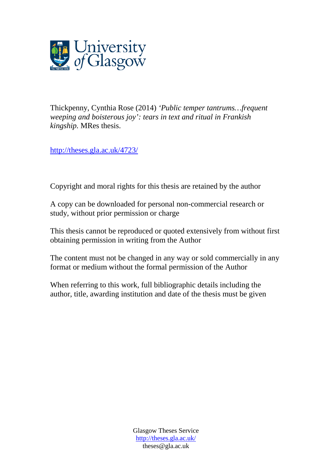

Thickpenny, Cynthia Rose (2014) *'Public temper tantrums…frequent weeping and boisterous joy': tears in text and ritual in Frankish kingship.* MRes thesis.

<http://theses.gla.ac.uk/4723/>

Copyright and moral rights for this thesis are retained by the author

A copy can be downloaded for personal non-commercial research or study, without prior permission or charge

This thesis cannot be reproduced or quoted extensively from without first obtaining permission in writing from the Author

The content must not be changed in any way or sold commercially in any format or medium without the formal permission of the Author

When referring to this work, full bibliographic details including the author, title, awarding institution and date of the thesis must be given

> Glasgow Theses Service <http://theses.gla.ac.uk/> theses@gla.ac.uk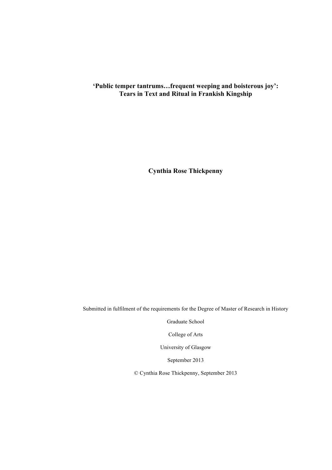## **'Public temper tantrums…frequent weeping and boisterous joy': Tears in Text and Ritual in Frankish Kingship**

**Cynthia Rose Thickpenny**

Submitted in fulfilment of the requirements for the Degree of Master of Research in History

Graduate School

College of Arts

University of Glasgow

September 2013

© Cynthia Rose Thickpenny, September 2013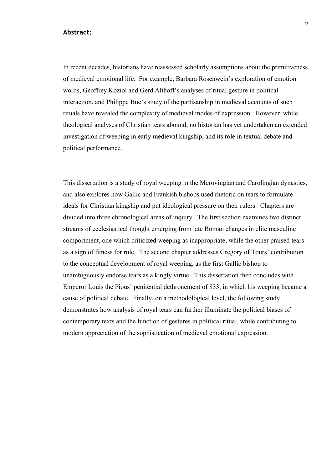#### **Abstract:**

In recent decades, historians have reassessed scholarly assumptions about the primitiveness of medieval emotional life. For example, Barbara Rosenwein's exploration of emotion words, Geoffrey Koziol and Gerd Althoff's analyses of ritual gesture in political interaction, and Philippe Buc's study of the partisanship in medieval accounts of such rituals have revealed the complexity of medieval modes of expression. However, while theological analyses of Christian tears abound, no historian has yet undertaken an extended investigation of weeping in early medieval kingship, and its role in textual debate and political performance.

This dissertation is a study of royal weeping in the Merovingian and Carolingian dynasties, and also explores how Gallic and Frankish bishops used rhetoric on tears to formulate ideals for Christian kingship and put ideological pressure on their rulers. Chapters are divided into three chronological areas of inquiry. The first section examines two distinct streams of ecclesiastical thought emerging from late Roman changes in elite masculine comportment, one which criticized weeping as inappropriate, while the other praised tears as a sign of fitness for rule. The second chapter addresses Gregory of Tours' contribution to the conceptual development of royal weeping, as the first Gallic bishop to unambiguously endorse tears as a kingly virtue. This dissertation then concludes with Emperor Louis the Pious' penitential dethronement of 833, in which his weeping became a cause of political debate. Finally, on a methodological level, the following study demonstrates how analysis of royal tears can further illuminate the political biases of contemporary texts and the function of gestures in political ritual, while contributing to modern appreciation of the sophistication of medieval emotional expression.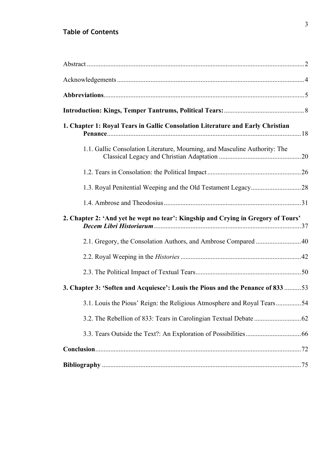## **Table of Contents**

| 1. Chapter 1: Royal Tears in Gallic Consolation Literature and Early Christian    |  |
|-----------------------------------------------------------------------------------|--|
| 1.1. Gallic Consolation Literature, Mourning, and Masculine Authority: The        |  |
|                                                                                   |  |
|                                                                                   |  |
|                                                                                   |  |
| 2. Chapter 2: 'And yet he wept no tear': Kingship and Crying in Gregory of Tours' |  |
| 2.1. Gregory, the Consolation Authors, and Ambrose Compared  40                   |  |
|                                                                                   |  |
|                                                                                   |  |
| 3. Chapter 3: 'Soften and Acquiesce': Louis the Pious and the Penance of 833  53  |  |
| 3.1. Louis the Pious' Reign: the Religious Atmosphere and Royal Tears54           |  |
|                                                                                   |  |
|                                                                                   |  |
|                                                                                   |  |
|                                                                                   |  |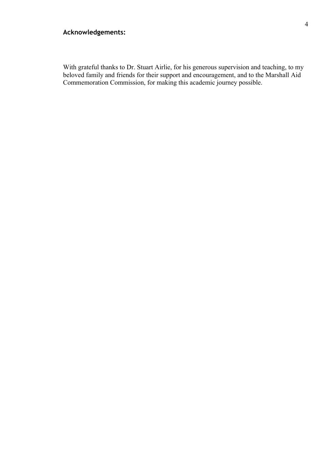## **Acknowledgements:**

With grateful thanks to Dr. Stuart Airlie, for his generous supervision and teaching, to my beloved family and friends for their support and encouragement, and to the Marshall Aid Commemoration Commission, for making this academic journey possible.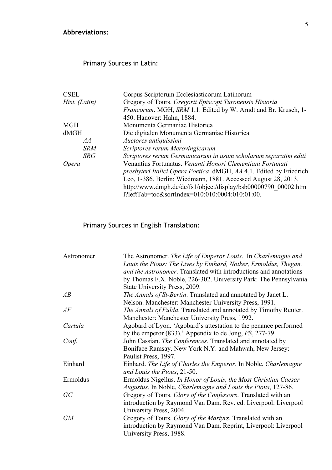## **Abbreviations:**

## Primary Sources in Latin:

| <b>CSEL</b>   | Corpus Scriptorum Ecclesiasticorum Latinorum                               |
|---------------|----------------------------------------------------------------------------|
| Hist. (Latin) | Gregory of Tours. Gregorii Episcopi Turonensis Historia                    |
|               | Francorum. MGH, SRM 1,1. Edited by W. Arndt and Br. Krusch, 1-             |
|               | 450. Hanover: Hahn, 1884.                                                  |
| <b>MGH</b>    | Monumenta Germaniae Historica                                              |
| dMGH          | Die digitalen Monumenta Germaniae Historica                                |
| AA            | Auctores antiquissimi                                                      |
| <b>SRM</b>    | Scriptores rerum Merovingicarum                                            |
| <b>SRG</b>    | Scriptores rerum Germanicarum in usum scholarum separatim editi            |
| <i>Opera</i>  | Venantius Fortunatus. Venanti Honori Clementiani Fortunati                 |
|               | <i>presbyteri Italici Opera Poetica.</i> dMGH, AA 4,1. Edited by Friedrich |
|               | Leo, 1-386. Berlin: Wiedmann, 1881. Accessed August 28, 2013.              |
|               | http://www.dmgh.de/de/fs1/object/display/bsb00000790 00002.htm             |
|               | l?leftTab=toc&sortIndex=010:010:0004:010:01:00.                            |

# Primary Sources in English Translation:

| Astronomer | The Astronomer. The Life of Emperor Louis. In Charlemagne and            |
|------------|--------------------------------------------------------------------------|
|            | Louis the Pious: The Lives by Einhard, Notker, Ermoldus, Thegan,         |
|            | <i>and the Astronomer.</i> Translated with introductions and annotations |
|            | by Thomas F.X. Noble, 226-302. University Park: The Pennsylvania         |
|            | State University Press, 2009.                                            |
| AB         | <i>The Annals of St-Bertin.</i> Translated and annotated by Janet L.     |
|            | Nelson. Manchester: Manchester University Press, 1991.                   |
| AF         | <i>The Annals of Fulda.</i> Translated and annotated by Timothy Reuter.  |
|            | Manchester: Manchester University Press, 1992.                           |
| Cartula    | Agobard of Lyon. 'Agobard's attestation to the penance performed         |
|            | by the emperor $(833)$ .' Appendix to de Jong, $PS$ , 277-79.            |
| Conf.      | John Cassian. The Conferences. Translated and annotated by               |
|            | Boniface Ramsay. New York N.Y. and Mahwah, New Jersey:                   |
|            | Paulist Press, 1997.                                                     |
| Einhard    | Einhard. The Life of Charles the Emperor. In Noble, Charlemagne          |
|            | and Louis the Pious, 21-50.                                              |
| Ermoldus   | Ermoldus Nigellus. In Honor of Louis, the Most Christian Caesar          |
|            | Augustus. In Noble, Charlemagne and Louis the Pious, 127-86.             |
| GC         | Gregory of Tours. Glory of the Confessors. Translated with an            |
|            | introduction by Raymond Van Dam. Rev. ed. Liverpool: Liverpool           |
|            | University Press, 2004.                                                  |
| <b>GM</b>  | Gregory of Tours. Glory of the Martyrs. Translated with an               |
|            | introduction by Raymond Van Dam. Reprint, Liverpool: Liverpool           |
|            | University Press, 1988.                                                  |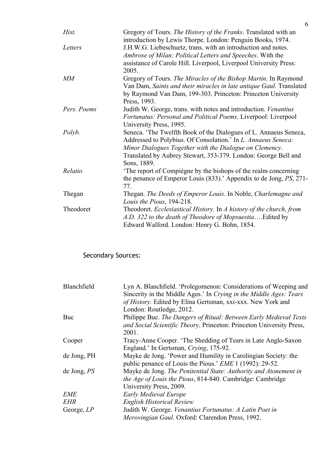| Hist.       | Gregory of Tours. The History of the Franks. Translated with an<br>introduction by Lewis Thorpe. London: Penguin Books, 1974. |
|-------------|-------------------------------------------------------------------------------------------------------------------------------|
| Letters     | J.H.W.G. Liebeschuetz, trans. with an introduction and notes.                                                                 |
|             | Ambrose of Milan: Political Letters and Speeches. With the                                                                    |
|             | assistance of Carole Hill. Liverpool, Liverpool University Press:                                                             |
|             | 2005.                                                                                                                         |
| MM          | Gregory of Tours. The Miracles of the Bishop Martin. In Raymond                                                               |
|             | Van Dam, Saints and their miracles in late antique Gaul. Translated                                                           |
|             | by Raymond Van Dam, 199-303. Princeton: Princeton University                                                                  |
|             | Press, 1993.                                                                                                                  |
| Pers. Poems | Judith W. George, trans. with notes and introduction. <i>Venantius</i>                                                        |
|             | Fortunatus: Personal and Political Poems. Liverpool: Liverpool                                                                |
|             | University Press, 1995.                                                                                                       |
| Polyb.      | Seneca. 'The Twelfth Book of the Dialogues of L. Annaeus Seneca,                                                              |
|             | Addressed to Polybius. Of Consolation.' In L. Annaeus Seneca:                                                                 |
|             | Minor Dialogues Together with the Dialogue on Clemency.                                                                       |
|             | Translated by Aubrey Stewart, 353-379. London: George Bell and                                                                |
|             | Sons, 1889.                                                                                                                   |
| Relatio     | The report of Compiègne by the bishops of the realm concerning                                                                |
|             | the penance of Emperor Louis (833).' Appendix to de Jong, PS, 271-                                                            |
|             | 77.                                                                                                                           |
| Thegan      | Thegan. The Deeds of Emperor Louis. In Noble, Charlemagne and                                                                 |
|             | Louis the Pious, 194-218.                                                                                                     |
| Theodoret   | Theodoret. Ecclesiastical History. In A history of the church, from                                                           |
|             | A.D. 322 to the death of Theodore of MopsuestiaEdited by                                                                      |
|             | Edward Walford. London: Henry G. Bohn, 1854.                                                                                  |

# Secondary Sources:

| Blanchfield  | Lyn A. Blanchfield. 'Prolegomenon: Considerations of Weeping and     |
|--------------|----------------------------------------------------------------------|
|              | Sincerity in the Middle Ages.' In Crying in the Middle Ages: Tears   |
|              | of History. Edited by Elina Gertsman, xxi-xxx. New York and          |
|              | London: Routledge, 2012.                                             |
| Buc          | Philippe Buc. The Dangers of Ritual: Between Early Medieval Texts    |
|              | and Social Scientific Theory. Princeton: Princeton University Press, |
|              | 2001.                                                                |
| Cooper       | Tracy-Anne Cooper. 'The Shedding of Tears in Late Anglo-Saxon        |
|              | England.' In Gertsman, Crying, 175-92.                               |
| de Jong, PH  | Mayke de Jong. 'Power and Humility in Carolingian Society: the       |
|              | public penance of Louis the Pious.' <i>EME</i> 1 (1992): 29-52.      |
| de Jong, PS  | Mayke de Jong. The Penitential State: Authority and Atonement in     |
|              | <i>the Age of Louis the Pious, 814-840. Cambridge: Cambridge</i>     |
|              | University Press, 2009.                                              |
| <b>EME</b>   | <b>Early Medieval Europe</b>                                         |
| <b>EHR</b>   | <b>English Historical Review</b>                                     |
| George, $LP$ | Judith W. George. Venantius Fortunatus: A Latin Poet in              |
|              | Merovingian Gaul. Oxford: Clarendon Press, 1992.                     |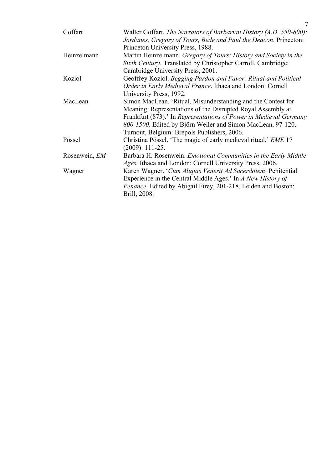| Goffart       | Walter Goffart. The Narrators of Barbarian History (A.D. 550-800):     |
|---------------|------------------------------------------------------------------------|
|               | Jordanes, Gregory of Tours, Bede and Paul the Deacon. Princeton:       |
|               | Princeton University Press, 1988.                                      |
| Heinzelmann   | Martin Heinzelmann. Gregory of Tours: History and Society in the       |
|               | Sixth Century. Translated by Christopher Carroll. Cambridge:           |
|               | Cambridge University Press, 2001.                                      |
| Koziol        | Geoffrey Koziol. Begging Pardon and Favor: Ritual and Political        |
|               | Order in Early Medieval France. Ithaca and London: Cornell             |
|               | University Press, 1992.                                                |
| MacLean       | Simon MacLean. 'Ritual, Misunderstanding and the Contest for           |
|               | Meaning: Representations of the Disrupted Royal Assembly at            |
|               | Frankfurt (873).' In Representations of Power in Medieval Germany      |
|               | 800-1500. Edited by Björn Weiler and Simon MacLean, 97-120.            |
|               | Turnout, Belgium: Brepols Publishers, 2006.                            |
| Pössel        | Christina Pössel. 'The magic of early medieval ritual.' EME 17         |
|               | $(2009): 111-25.$                                                      |
| Rosenwein, EM | Barbara H. Rosenwein. <i>Emotional Communities in the Early Middle</i> |
|               | <i>Ages.</i> Ithaca and London: Cornell University Press, 2006.        |
| Wagner        | Karen Wagner. 'Cum Aliquis Venerit Ad Sacerdotem: Penitential          |
|               | Experience in the Central Middle Ages.' In A New History of            |
|               | <i>Penance</i> . Edited by Abigail Firey, 201-218. Leiden and Boston:  |
|               | Brill, 2008.                                                           |
|               |                                                                        |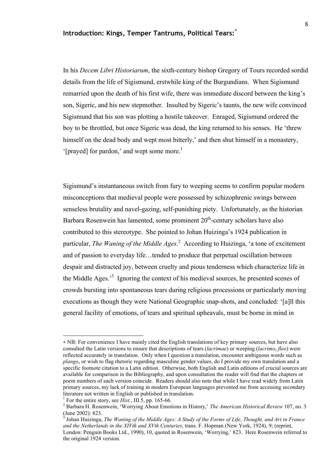## **Introduction: Kings, Temper Tantrums, Political Tears:** ∗

In his *Decem Libri Historiarum*, the sixth-century bishop Gregory of Tours recorded sordid details from the life of Sigismund, erstwhile king of the Burgundians. When Sigismund remarried upon the death of his first wife, there was immediate discord between the king's son, Sigeric, and his new stepmother. Insulted by Sigeric's taunts, the new wife convinced Sigismund that his son was plotting a hostile takeover. Enraged, Sigismund ordered the boy to be throttled, but once Sigeric was dead, the king returned to his senses. He 'threw himself on the dead body and wept most bitterly,' and then shut himself in a monastery, '[prayed] for pardon,' and wept some more.<sup>1</sup>

Sigismund's instantaneous switch from fury to weeping seems to confirm popular modern misconceptions that medieval people were possessed by schizophrenic swings between senseless brutality and navel-gazing, self-punishing piety. Unfortunately, as the historian Barbara Rosenwein has lamented, some prominent  $20<sup>th</sup>$ -century scholars have also contributed to this stereotype. She pointed to Johan Huizinga's 1924 publication in particular, *The Waning of the Middle Ages*. 2 According to Huizinga, 'a tone of excitement and of passion to everyday life…tended to produce that perpetual oscillation between despair and distracted joy, between cruelty and pious tenderness which characterize life in the Middle Ages.<sup>3</sup> Ignoring the context of his medieval sources, he presented scenes of crowds bursting into spontaneous tears during religious processions or particularly moving executions as though they were National Geographic snap-shots, and concluded: '[a]ll this general facility of emotions, of tears and spiritual upheavals, must be borne in mind in

 $\overline{a}$ 

<sup>∗</sup> NB: For convenience I have mainly cited the English translations of key primary sources, but have also consulted the Latin versions to ensure that descriptions of tears (*lacrimae*) or weeping (*lacrimo*, *fleo*) were reflected accurately in translation. Only when I question a translation, encounter ambiguous words such as *plango*, or wish to flag rhetoric regarding masculine gender values, do I provide my own translation and a specific footnote citation to a Latin edition. Otherwise, both English and Latin editions of crucial sources are available for comparison in the Bibliography, and upon consultation the reader will find that the chapters or poem numbers of each version coincide. Readers should also note that while I have read widely from Latin primary sources, my lack of training in modern European languages prevented me from accessing secondary literature not written in English or published in translation.

<sup>&</sup>lt;sup>1</sup> For the entire story, see  $\overline{Hist}$ , III.5, pp. 165-66.<br><sup>2</sup> Perhara H. Bosonygin, 'Worruing About Emeri

Barbara H. Rosenwein, 'Worrying About Emotions in History,' *The American Historical Review* 107, no. 3 (June 2002): 823.

<sup>3</sup> Johan Huizinga, *The Waning of the Middle Ages: A Study of the Forms of Life, Thought, and Art in France and the Netherlands in the XIVth and XVth Centuries*, trans. F. Hopman (New York, 1924), 9; (reprint, London: Penguin Books Ltd., 1990), 10, quoted in Rosenwein, 'Worrying,' 823. Here Rosenwein referred to the original 1924 version.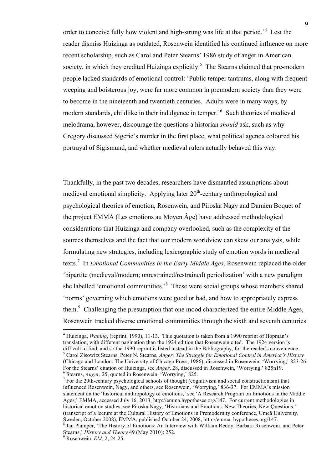order to conceive fully how violent and high-strung was life at that period.<sup>4</sup> Lest the reader dismiss Huizinga as outdated, Rosenwein identified his continued influence on more recent scholarship, such as Carol and Peter Stearns' 1986 study of anger in American society, in which they credited Huizinga explicitly.<sup>5</sup> The Stearns claimed that pre-modern people lacked standards of emotional control: 'Public temper tantrums, along with frequent weeping and boisterous joy, were far more common in premodern society than they were to become in the nineteenth and twentieth centuries. Adults were in many ways, by modern standards, childlike in their indulgence in temper.<sup>56</sup> Such theories of medieval melodrama, however, discourage the questions a historian *should* ask, such as why Gregory discussed Sigeric's murder in the first place, what political agenda coloured his portrayal of Sigismund, and whether medieval rulers actually behaved this way.

Thankfully, in the past two decades, researchers have dismantled assumptions about medieval emotional simplicity. Applying later  $20<sup>th</sup>$ -century anthropological and psychological theories of emotion, Rosenwein, and Piroska Nagy and Damien Boquet of the project EMMA (Les emotions au Moyen Âge) have addressed methodological considerations that Huizinga and company overlooked, such as the complexity of the sources themselves and the fact that our modern worldview can skew our analysis, while formulating new strategies, including lexicographic study of emotion words in medieval texts.<sup>7</sup> In *Emotional Communities in the Early Middle Ages*, Rosenwein replaced the older 'bipartite (medieval/modern; unrestrained/restrained) periodization' with a new paradigm she labelled 'emotional communities.<sup>8</sup> These were social groups whose members shared 'norms' governing which emotions were good or bad, and how to appropriately express them.<sup>9</sup> Challenging the presumption that one mood characterized the entire Middle Ages, Rosenwein tracked diverse emotional communities through the sixth and seventh centuries

<sup>&</sup>lt;sup>4</sup> Huizinga, *Waning*, (reprint, 1990), 11-13. This quotation is taken from a 1990 reprint of Hopman's translation, with different pagination than the 1924 edition that Rosenwein cited. The 1924 version is difficult to find, and so the 1990 reprint is listed instead in the Bibliography, for the reader's convenience. <sup>5</sup> Carol Zisowitz Stearns, Peter N. Stearns, *Anger: The Struggle for Emotional Control in America's History* (Chicago and London: The University of Chicago Press, 1986), discussed in Rosenwein, 'Worrying,' 823-26. For the Stearns' citation of Huizinga, see *Anger*, 28, discussed in Rosenwein, 'Worrying,' 825n19.<br><sup>6</sup> Stearns, *Anger*, 25, quoted in Rosenwein, 'Worrying,' 825.

<sup>&</sup>lt;sup>7</sup> For the 20th-century psychological schools of thought (cognitivism and social constructionism) that influenced Rosenwein, Nagy, and others, see Rosenwein, 'Worrying,' 836-37. For EMMA's mission statement on the 'historical anthropology of emotions,' see 'A Research Program on Emotions in the Middle Ages,' EMMA, accessed July 16, 2013, http://emma.hypotheses.org/147. For current methodologies in historical emotion studies, see Piroska Nagy, 'Historians and Emotions: New Theories, New Questions,' (transcript of a lecture at the Cultural History of Emotions in Premodernity conference, Umeå University, Sweden, October 2008), EMMA, published October 24, 2008, http://emma. hypotheses.org/147. <sup>8</sup> <sup>8</sup> Jan Plamper, 'The History of Emotions: An Interview with William Reddy, Barbara Rosenwein, and Peter

Stearns,' *History and Theory* 49 (May 2010): 252. <sup>9</sup>

Rosenwein, *EM*, 2, 24-25.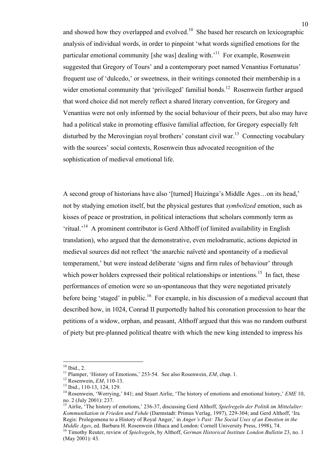and showed how they overlapped and evolved.<sup>10</sup> She based her research on lexicographic analysis of individual words, in order to pinpoint 'what words signified emotions for the particular emotional community [she was] dealing with.<sup>11</sup> For example, Rosenwein suggested that Gregory of Tours' and a contemporary poet named Venantius Fortunatus' frequent use of 'dulcedo,' or sweetness, in their writings connoted their membership in a wider emotional community that 'privileged' familial bonds.<sup>12</sup> Rosenwein further argued that word choice did not merely reflect a shared literary convention, for Gregory and Venantius were not only informed by the social behaviour of their peers, but also may have had a political stake in promoting effusive familial affection, for Gregory especially felt disturbed by the Merovingian royal brothers' constant civil war.<sup>13</sup> Connecting vocabulary with the sources' social contexts, Rosenwein thus advocated recognition of the sophistication of medieval emotional life.

A second group of historians have also '[turned] Huizinga's Middle Ages…on its head,' not by studying emotion itself, but the physical gestures that *symbolized* emotion, such as kisses of peace or prostration, in political interactions that scholars commonly term as 'ritual.<sup>'14</sup> A prominent contributor is Gerd Althoff (of limited availability in English translation), who argued that the demonstrative, even melodramatic, actions depicted in medieval sources did not reflect 'the anarchic naïveté and spontaneity of a medieval temperament,' but were instead deliberate 'signs and firm rules of behaviour' through which power holders expressed their political relationships or intentions.<sup>15</sup> In fact, these performances of emotion were so un-spontaneous that they were negotiated privately before being 'staged' in public.<sup>16</sup> For example, in his discussion of a medieval account that described how, in 1024, Conrad II purportedly halted his coronation procession to hear the petitions of a widow, orphan, and peasant, Althoff argued that this was no random outburst of piety but pre-planned political theatre with which the new king intended to impress his

<sup>15</sup> Airlie, 'The history of emotions,' 236-37, discussing Gerd Althoff, *Spielregeln der Politik im Mittelalter*: *Kommunikation in Frieden und Fehde* (Darmstadt: Primus Verlag, 1997), 229-304; and Gerd Althoff, 'Ira Regis: Prolegomena to a History of Royal Anger,' in *Anger's Past: The Social Uses of an Emotion in the Middle Ages*, ed. Barbara H. Rosenwein (Ithaca and London: Cornell University Press, 1998), 74. 16 Timothy Reuter, review of *Spielregeln*, by Althoff, *German Historical Institute London Bulletin* 23, no. 1

<sup>&</sup>lt;sup>10</sup> Ibid., 2.<br><sup>11</sup> Plamper, 'History of Emotions,' 253-54. See also Rosenwein, *EM*, chap. 1.

<sup>&</sup>lt;sup>12</sup> Rosenwein, *EM*, 110-13.<br><sup>13</sup> Ibid., 110-13, 124, 129.<br><sup>14</sup> Rosenwein, 'Worrying,' 841; and Stuart Airlie, 'The history of emotions and emotional history,' *EME* 10, no. 2 (July 2001): 237.

<sup>(</sup>May 2001): 43.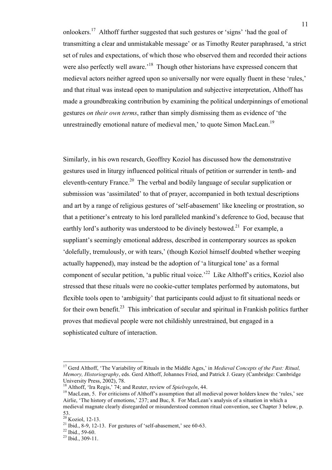onlookers.<sup>17</sup> Althoff further suggested that such gestures or 'signs' 'had the goal of transmitting a clear and unmistakable message' or as Timothy Reuter paraphrased, 'a strict set of rules and expectations, of which those who observed them and recorded their actions were also perfectly well aware.<sup>18</sup> Though other historians have expressed concern that medieval actors neither agreed upon so universally nor were equally fluent in these 'rules,' and that ritual was instead open to manipulation and subjective interpretation, Althoff has made a groundbreaking contribution by examining the political underpinnings of emotional gestures *on their own terms*, rather than simply dismissing them as evidence of 'the unrestrainedly emotional nature of medieval men,' to quote Simon MacLean.<sup>19</sup>

Similarly, in his own research, Geoffrey Koziol has discussed how the demonstrative gestures used in liturgy influenced political rituals of petition or surrender in tenth- and eleventh-century France.<sup>20</sup> The verbal and bodily language of secular supplication or submission was 'assimilated' to that of prayer, accompanied in both textual descriptions and art by a range of religious gestures of 'self-abasement' like kneeling or prostration, so that a petitioner's entreaty to his lord paralleled mankind's deference to God, because that earthly lord's authority was understood to be divinely bestowed.<sup>21</sup> For example, a suppliant's seemingly emotional address, described in contemporary sources as spoken 'dolefully, tremulously, or with tears,' (though Koziol himself doubted whether weeping actually happened), may instead be the adoption of 'a liturgical tone' as a formal component of secular petition, 'a public ritual voice.<sup>22</sup> Like Althoff's critics, Koziol also stressed that these rituals were no cookie-cutter templates performed by automatons, but flexible tools open to 'ambiguity' that participants could adjust to fit situational needs or for their own benefit.<sup>23</sup> This imbrication of secular and spiritual in Frankish politics further proves that medieval people were not childishly unrestrained, but engaged in a sophisticated culture of interaction.

 <sup>17</sup> Gerd Althoff, 'The Variability of Rituals in the Middle Ages,' in *Medieval Concepts of the Past: Ritual, Memory, Historiography*, eds. Gerd Althoff, Johannes Fried, and Patrick J. Geary (Cambridge: Cambridge University Press, 2002), 78.<br><sup>18</sup> Althoff, 'Ira Regis,' 74; and Reuter, review of *Spielregeln*, 44.

<sup>&</sup>lt;sup>19</sup> MacLean, 5. For criticisms of Althoff's assumption that all medieval power holders knew the 'rules,' see Airlie, 'The history of emotions,' 237; and Buc, 8. For MacLean's analysis of a situation in which a medieval magnate clearly disregarded or misunderstood common ritual convention, see Chapter 3 below, p.<br>53.<br><sup>20</sup> Koziol, 12-13.

<sup>&</sup>lt;sup>21</sup> Ibid., 8-9, 12-13. For gestures of 'self-abasement,' see 60-63.<br><sup>22</sup> Ibid., 59-60.<br><sup>23</sup> Ibid., 309-11.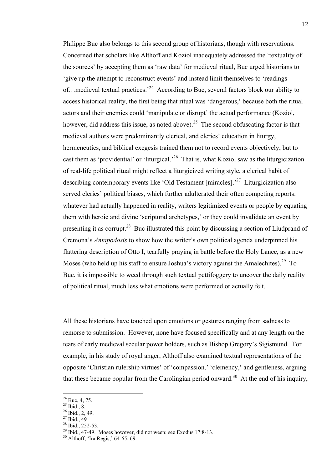Philippe Buc also belongs to this second group of historians, though with reservations. Concerned that scholars like Althoff and Koziol inadequately addressed the 'textuality of the sources' by accepting them as 'raw data' for medieval ritual, Buc urged historians to 'give up the attempt to reconstruct events' and instead limit themselves to 'readings of... medieval textual practices.<sup>24</sup> According to Buc, several factors block our ability to access historical reality, the first being that ritual was 'dangerous,' because both the ritual actors and their enemies could 'manipulate or disrupt' the actual performance (Koziol, however, did address this issue, as noted above).<sup>25</sup> The second obfuscating factor is that medieval authors were predominantly clerical, and clerics' education in liturgy, hermeneutics, and biblical exegesis trained them not to record events objectively, but to cast them as 'providential' or 'liturgical.<sup>26</sup> That is, what Koziol saw as the liturgicization of real-life political ritual might reflect a liturgicized writing style, a clerical habit of describing contemporary events like 'Old Testament [miracles].<sup>27</sup> Liturgicization also served clerics' political biases, which further adulterated their often competing reports: whatever had actually happened in reality, writers legitimized events or people by equating them with heroic and divine 'scriptural archetypes,' or they could invalidate an event by presenting it as corrupt.<sup>28</sup> Buc illustrated this point by discussing a section of Liudprand of Cremona's *Antapodosis* to show how the writer's own political agenda underpinned his flattering description of Otto I, tearfully praying in battle before the Holy Lance, as a new Moses (who held up his staff to ensure Joshua's victory against the Amalechites).<sup>29</sup> To Buc, it is impossible to weed through such textual pettifoggery to uncover the daily reality of political ritual, much less what emotions were performed or actually felt.

All these historians have touched upon emotions or gestures ranging from sadness to remorse to submission. However, none have focused specifically and at any length on the tears of early medieval secular power holders, such as Bishop Gregory's Sigismund. For example, in his study of royal anger, Althoff also examined textual representations of the opposite 'Christian rulership virtues' of 'compassion,' 'clemency,' and gentleness, arguing that these became popular from the Carolingian period onward.<sup>30</sup> At the end of his inquiry,

 $^{24}$  Buc, 4, 75.<br><sup>25</sup> Ibid., 8.

 $^{26}$  Ibid., 2, 49.

 $^{27}$  Ibid., 49<br> $^{28}$  Ibid., 252-53.

<sup>&</sup>lt;sup>29</sup> Ibid., 47-49. Moses however, did not weep; see Exodus 17:8-13.<br><sup>30</sup> Althoff, 'Ira Regis,' 64-65, 69.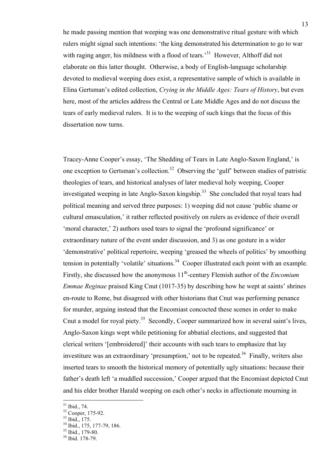he made passing mention that weeping was one demonstrative ritual gesture with which rulers might signal such intentions: 'the king demonstrated his determination to go to war with raging anger, his mildness with a flood of tears.<sup>31</sup> However, Althoff did not elaborate on this latter thought. Otherwise, a body of English-language scholarship devoted to medieval weeping does exist, a representative sample of which is available in Elina Gertsman's edited collection, *Crying in the Middle Ages: Tears of History*, but even here, most of the articles address the Central or Late Middle Ages and do not discuss the tears of early medieval rulers. It is to the weeping of such kings that the focus of this dissertation now turns.

Tracey-Anne Cooper's essay, 'The Shedding of Tears in Late Anglo-Saxon England,' is one exception to Gertsman's collection.<sup>32</sup> Observing the 'gulf' between studies of patristic theologies of tears, and historical analyses of later medieval holy weeping, Cooper investigated weeping in late Anglo-Saxon kingship. <sup>33</sup> She concluded that royal tears had political meaning and served three purposes: 1) weeping did not cause 'public shame or cultural emasculation,' it rather reflected positively on rulers as evidence of their overall 'moral character,' 2) authors used tears to signal the 'profound significance' or extraordinary nature of the event under discussion, and 3) as one gesture in a wider 'demonstrative' political repertoire, weeping 'greased the wheels of politics' by smoothing tension in potentially 'volatile' situations.<sup>34</sup> Cooper illustrated each point with an example. Firstly, she discussed how the anonymous 11<sup>th</sup>-century Flemish author of the *Encomium Emmae Reginae* praised King Cnut (1017-35) by describing how he wept at saints' shrines en-route to Rome, but disagreed with other historians that Cnut was performing penance for murder, arguing instead that the Encomiast concocted these scenes in order to make Cnut a model for royal piety.<sup>35</sup> Secondly, Cooper summarized how in several saint's lives, Anglo-Saxon kings wept while petitioning for abbatial elections, and suggested that clerical writers '[embroidered]' their accounts with such tears to emphasize that lay investiture was an extraordinary 'presumption,' not to be repeated.<sup>36</sup> Finally, writers also inserted tears to smooth the historical memory of potentially ugly situations: because their father's death left 'a muddled succession,' Cooper argued that the Encomiast depicted Cnut and his elder brother Harald weeping on each other's necks in affectionate mourning in

 $\frac{31}{32}$  Cooper, 175-92.<br> $\frac{32}{33}$  Ibid., 175.

<sup>&</sup>lt;sup>34</sup> Ibid., 175, 177-79, 186.<br><sup>35</sup> Ibid., 179-80.<br><sup>36</sup> Ibid. 178-79.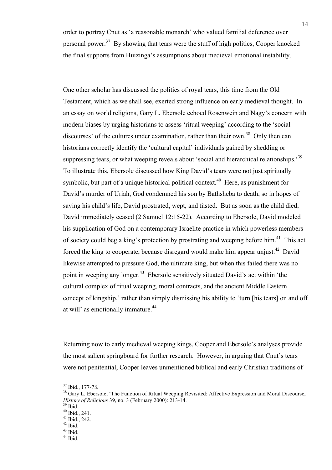order to portray Cnut as 'a reasonable monarch' who valued familial deference over personal power.<sup>37</sup> By showing that tears were the stuff of high politics, Cooper knocked the final supports from Huizinga's assumptions about medieval emotional instability.

One other scholar has discussed the politics of royal tears, this time from the Old Testament, which as we shall see, exerted strong influence on early medieval thought. In an essay on world religions, Gary L. Ebersole echoed Rosenwein and Nagy's concern with modern biases by urging historians to assess 'ritual weeping' according to the 'social discourses' of the cultures under examination, rather than their own.<sup>38</sup> Only then can historians correctly identify the 'cultural capital' individuals gained by shedding or suppressing tears, or what weeping reveals about 'social and hierarchical relationships.<sup>39</sup> To illustrate this, Ebersole discussed how King David's tears were not just spiritually symbolic, but part of a unique historical political context.<sup>40</sup> Here, as punishment for David's murder of Uriah, God condemned his son by Bathsheba to death, so in hopes of saving his child's life, David prostrated, wept, and fasted. But as soon as the child died, David immediately ceased (2 Samuel 12:15-22). According to Ebersole, David modeled his supplication of God on a contemporary Israelite practice in which powerless members of society could beg a king's protection by prostrating and weeping before him.<sup>41</sup> This act forced the king to cooperate, because disregard would make him appear unjust.<sup>42</sup> David likewise attempted to pressure God, the ultimate king, but when this failed there was no point in weeping any longer.<sup>43</sup> Ebersole sensitively situated David's act within 'the cultural complex of ritual weeping, moral contracts, and the ancient Middle Eastern concept of kingship,' rather than simply dismissing his ability to 'turn [his tears] on and off at will' as emotionally immature.<sup>44</sup>

Returning now to early medieval weeping kings, Cooper and Ebersole's analyses provide the most salient springboard for further research. However, in arguing that Cnut's tears were not penitential, Cooper leaves unmentioned biblical and early Christian traditions of

 $37$  Ibid., 177-78.<br> $38$  Gary L. Ebersole, 'The Function of Ritual Weeping Revisited: Affective Expression and Moral Discourse,' *History of Religions* 39, no. 3 (February 2000): 213-14. 39 Ibid.

<sup>40</sup> Ibid., 241.

<sup>41</sup> Ibid., 242.

 $42$  Ibid.

<sup>43</sup> Ibid.

<sup>44</sup> Ibid.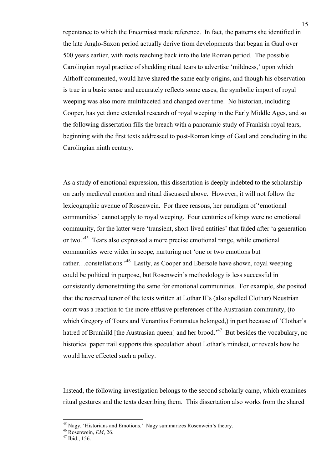repentance to which the Encomiast made reference. In fact, the patterns she identified in the late Anglo-Saxon period actually derive from developments that began in Gaul over 500 years earlier, with roots reaching back into the late Roman period. The possible Carolingian royal practice of shedding ritual tears to advertise 'mildness,' upon which Althoff commented, would have shared the same early origins, and though his observation is true in a basic sense and accurately reflects some cases, the symbolic import of royal weeping was also more multifaceted and changed over time. No historian, including Cooper, has yet done extended research of royal weeping in the Early Middle Ages, and so the following dissertation fills the breach with a panoramic study of Frankish royal tears, beginning with the first texts addressed to post-Roman kings of Gaul and concluding in the Carolingian ninth century.

As a study of emotional expression, this dissertation is deeply indebted to the scholarship on early medieval emotion and ritual discussed above. However, it will not follow the lexicographic avenue of Rosenwein. For three reasons, her paradigm of 'emotional communities' cannot apply to royal weeping. Four centuries of kings were no emotional community, for the latter were 'transient, short-lived entities' that faded after 'a generation or two.<sup>45</sup> Tears also expressed a more precise emotional range, while emotional communities were wider in scope, nurturing not 'one or two emotions but rather…constellations.<sup>46</sup> Lastly, as Cooper and Ebersole have shown, royal weeping could be political in purpose, but Rosenwein's methodology is less successful in consistently demonstrating the same for emotional communities. For example, she posited that the reserved tenor of the texts written at Lothar II's (also spelled Clothar) Neustrian court was a reaction to the more effusive preferences of the Austrasian community, (to which Gregory of Tours and Venantius Fortunatus belonged,) in part because of 'Clothar's hatred of Brunhild [the Austrasian queen] and her brood.<sup>47</sup> But besides the vocabulary, no historical paper trail supports this speculation about Lothar's mindset, or reveals how he would have effected such a policy.

Instead, the following investigation belongs to the second scholarly camp, which examines ritual gestures and the texts describing them. This dissertation also works from the shared

<sup>&</sup>lt;sup>45</sup> Nagy, 'Historians and Emotions.' Nagy summarizes Rosenwein's theory.<br><sup>46</sup> Rosenwein, *EM*, 26.<br><sup>47</sup> Ibid., 156.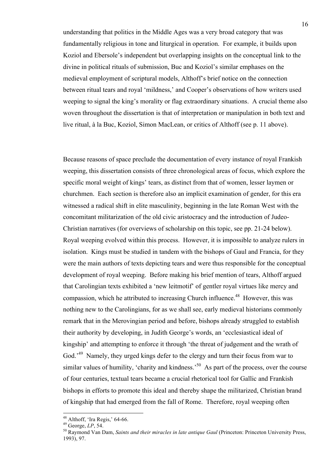understanding that politics in the Middle Ages was a very broad category that was fundamentally religious in tone and liturgical in operation. For example, it builds upon Koziol and Ebersole's independent but overlapping insights on the conceptual link to the divine in political rituals of submission, Buc and Koziol's similar emphases on the medieval employment of scriptural models, Althoff's brief notice on the connection between ritual tears and royal 'mildness,' and Cooper's observations of how writers used weeping to signal the king's morality or flag extraordinary situations. A crucial theme also woven throughout the dissertation is that of interpretation or manipulation in both text and live ritual, à la Buc, Koziol, Simon MacLean, or critics of Althoff (see p. 11 above).

Because reasons of space preclude the documentation of every instance of royal Frankish weeping, this dissertation consists of three chronological areas of focus, which explore the specific moral weight of kings' tears, as distinct from that of women, lesser laymen or churchmen. Each section is therefore also an implicit examination of gender, for this era witnessed a radical shift in elite masculinity, beginning in the late Roman West with the concomitant militarization of the old civic aristocracy and the introduction of Judeo-Christian narratives (for overviews of scholarship on this topic, see pp. 21-24 below). Royal weeping evolved within this process. However, it is impossible to analyze rulers in isolation. Kings must be studied in tandem with the bishops of Gaul and Francia, for they were the main authors of texts depicting tears and were thus responsible for the conceptual development of royal weeping. Before making his brief mention of tears, Althoff argued that Carolingian texts exhibited a 'new leitmotif' of gentler royal virtues like mercy and compassion, which he attributed to increasing Church influence. 48 However, this was nothing new to the Carolingians, for as we shall see, early medieval historians commonly remark that in the Merovingian period and before, bishops already struggled to establish their authority by developing, in Judith George's words, an 'ecclesiastical ideal of kingship' and attempting to enforce it through 'the threat of judgement and the wrath of God.<sup>49</sup> Namely, they urged kings defer to the clergy and turn their focus from war to similar values of humility, 'charity and kindness.'<sup>50</sup> As part of the process, over the course of four centuries, textual tears became a crucial rhetorical tool for Gallic and Frankish bishops in efforts to promote this ideal and thereby shape the militarized, Christian brand of kingship that had emerged from the fall of Rome. Therefore, royal weeping often

<sup>&</sup>lt;sup>48</sup> Althoff, 'Ira Regis,' 64-66.<br><sup>49</sup> George, *LP*, 54.<br><sup>50</sup> Raymond Van Dam, *Saints and their miracles in late antique Gaul* (Princeton: Princeton University Press, 1993), 97.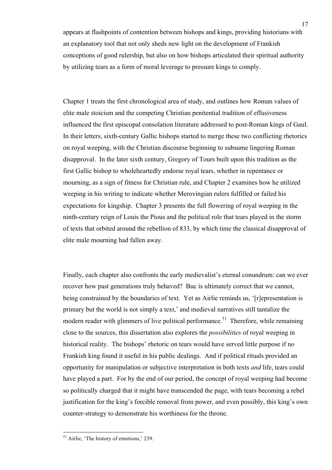appears at flashpoints of contention between bishops and kings, providing historians with an explanatory tool that not only sheds new light on the development of Frankish conceptions of good rulership, but also on how bishops articulated their spiritual authority by utilizing tears as a form of moral leverage to pressure kings to comply.

Chapter 1 treats the first chronological area of study, and outlines how Roman values of elite male stoicism and the competing Christian penitential tradition of effusiveness influenced the first episcopal consolation literature addressed to post-Roman kings of Gaul. In their letters, sixth-century Gallic bishops started to merge these two conflicting rhetorics on royal weeping, with the Christian discourse beginning to subsume lingering Roman disapproval. In the later sixth century, Gregory of Tours built upon this tradition as the first Gallic bishop to wholeheartedly endorse royal tears, whether in repentance or mourning, as a sign of fitness for Christian rule, and Chapter 2 examines how he utilized weeping in his writing to indicate whether Merovingian rulers fulfilled or failed his expectations for kingship. Chapter 3 presents the full flowering of royal weeping in the ninth-century reign of Louis the Pious and the political role that tears played in the storm of texts that orbited around the rebellion of 833, by which time the classical disapproval of elite male mourning had fallen away.

Finally, each chapter also confronts the early medievalist's eternal conundrum: can we ever recover how past generations truly behaved? Buc is ultimately correct that we cannot, being constrained by the boundaries of text. Yet as Airlie reminds us, '[r]epresentation is primary but the world is not simply a text,' and medieval narratives still tantalize the modern reader with glimmers of live political performance.<sup>51</sup> Therefore, while remaining close to the sources, this dissertation also explores the *possibilities* of royal weeping in historical reality. The bishops' rhetoric on tears would have served little purpose if no Frankish king found it useful in his public dealings. And if political rituals provided an opportunity for manipulation or subjective interpretation in both texts *and* life, tears could have played a part. For by the end of our period, the concept of royal weeping had become so politically charged that it might have transcended the page, with tears becoming a rebel justification for the king's forcible removal from power, and even possibly, this king's own counter-strategy to demonstrate his worthiness for the throne.

 $<sup>51</sup>$  Airlie, 'The history of emotions,' 239.</sup>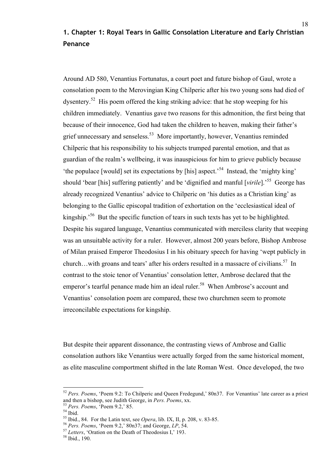## **1. Chapter 1: Royal Tears in Gallic Consolation Literature and Early Christian Penance**

Around AD 580, Venantius Fortunatus, a court poet and future bishop of Gaul, wrote a consolation poem to the Merovingian King Chilperic after his two young sons had died of dysentery.<sup>52</sup> His poem offered the king striking advice: that he stop weeping for his children immediately. Venantius gave two reasons for this admonition, the first being that because of their innocence, God had taken the children to heaven, making their father's grief unnecessary and senseless.53 More importantly, however, Venantius reminded Chilperic that his responsibility to his subjects trumped parental emotion, and that as guardian of the realm's wellbeing, it was inauspicious for him to grieve publicly because 'the populace [would] set its expectations by [his] aspect.'54 Instead, the 'mighty king' should 'bear [his] suffering patiently' and be 'dignified and manful [*virile*].' 55 George has already recognized Venantius' advice to Chilperic on 'his duties as a Christian king' as belonging to the Gallic episcopal tradition of exhortation on the 'ecclesiastical ideal of kingship.<sup>56</sup> But the specific function of tears in such texts has yet to be highlighted. Despite his sugared language, Venantius communicated with merciless clarity that weeping was an unsuitable activity for a ruler. However, almost 200 years before, Bishop Ambrose of Milan praised Emperor Theodosius I in his obituary speech for having 'wept publicly in church...with groans and tears' after his orders resulted in a massacre of civilians.<sup>57</sup> In contrast to the stoic tenor of Venantius' consolation letter, Ambrose declared that the emperor's tearful penance made him an ideal ruler.<sup>58</sup> When Ambrose's account and Venantius' consolation poem are compared, these two churchmen seem to promote irreconcilable expectations for kingship.

But despite their apparent dissonance, the contrasting views of Ambrose and Gallic consolation authors like Venantius were actually forged from the same historical moment, as elite masculine comportment shifted in the late Roman West. Once developed, the two

 <sup>52</sup> *Pers. Poems*, 'Poem 9.2: To Chilperic and Queen Fredegund,' 80n37. For Venantius' late career as a priest and then a bishop, see Judith George, in *Pers. Poems*, xx.<br><sup>53</sup> *Pers. Poems*, 'Poem 9.2,' 85.<br><sup>54</sup> Ibid. 84. For the Latin text. see *Opera*. lib. IX. II. p. 208. v. 83-85.

<sup>&</sup>lt;sup>56</sup> Pers. Poems, 'Poem 9.2,' 80n37; and George,  $LP$ , 54.<br><sup>57</sup> Letters, 'Oration on the Death of Theodosius I,' 193.<br><sup>58</sup> Ibid., 190.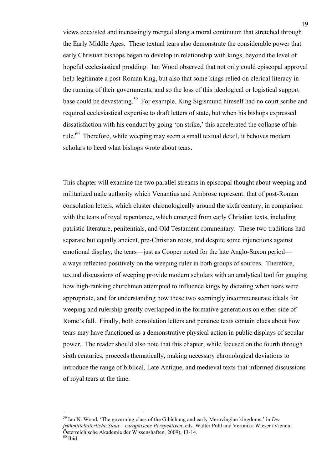views coexisted and increasingly merged along a moral continuum that stretched through the Early Middle Ages. These textual tears also demonstrate the considerable power that early Christian bishops began to develop in relationship with kings, beyond the level of hopeful ecclesiastical prodding. Ian Wood observed that not only could episcopal approval help legitimate a post-Roman king, but also that some kings relied on clerical literacy in the running of their governments, and so the loss of this ideological or logistical support base could be devastating.<sup>59</sup> For example, King Sigismund himself had no court scribe and required ecclesiastical expertise to draft letters of state, but when his bishops expressed dissatisfaction with his conduct by going 'on strike,' this accelerated the collapse of his rule.<sup>60</sup> Therefore, while weeping may seem a small textual detail, it behoves modern scholars to heed what bishops wrote about tears.

This chapter will examine the two parallel streams in episcopal thought about weeping and militarized male authority which Venantius and Ambrose represent: that of post-Roman consolation letters, which cluster chronologically around the sixth century, in comparison with the tears of royal repentance, which emerged from early Christian texts, including patristic literature, penitentials, and Old Testament commentary. These two traditions had separate but equally ancient, pre-Christian roots, and despite some injunctions against emotional display, the tears—just as Cooper noted for the late Anglo-Saxon period always reflected positively on the weeping ruler in both groups of sources. Therefore, textual discussions of weeping provide modern scholars with an analytical tool for gauging how high-ranking churchmen attempted to influence kings by dictating when tears were appropriate, and for understanding how these two seemingly incommensurate ideals for weeping and rulership greatly overlapped in the formative generations on either side of Rome's fall. Finally, both consolation letters and penance texts contain clues about how tears may have functioned as a demonstrative physical action in public displays of secular power. The reader should also note that this chapter, while focused on the fourth through sixth centuries, proceeds thematically, making necessary chronological deviations to introduce the range of biblical, Late Antique, and medieval texts that informed discussions of royal tears at the time.

 <sup>59</sup> Ian N. Wood, 'The governing class of the Gibichung and early Merovingian kingdoms,' in *Der frühmittelalterliche Staat – europäische Perspektiven*, eds. Walter Pohl and Veronika Wieser (Vienna: Österreichische Akademie der Wissenshaften, 2009), 13-14. 60 Ibid.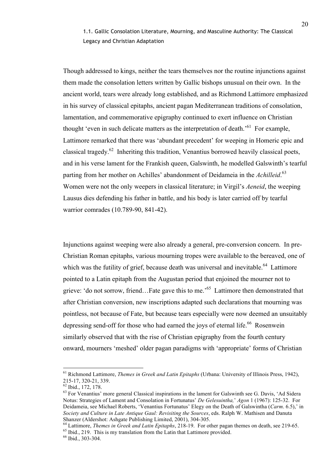1.1. Gallic Consolation Literature, Mourning, and Masculine Authority: The Classical Legacy and Christian Adaptation

Though addressed to kings, neither the tears themselves nor the routine injunctions against them made the consolation letters written by Gallic bishops unusual on their own. In the ancient world, tears were already long established, and as Richmond Lattimore emphasized in his survey of classical epitaphs, ancient pagan Mediterranean traditions of consolation, lamentation, and commemorative epigraphy continued to exert influence on Christian thought 'even in such delicate matters as the interpretation of death.<sup>'61</sup> For example, Lattimore remarked that there was 'abundant precedent' for weeping in Homeric epic and classical tragedy.<sup>62</sup> Inheriting this tradition, Venantius borrowed heavily classical poets, and in his verse lament for the Frankish queen, Galswinth, he modelled Galswinth's tearful parting from her mother on Achilles' abandonment of Deidameia in the *Achilleid*. 63 Women were not the only weepers in classical literature; in Virgil's *Aeneid*, the weeping Lausus dies defending his father in battle, and his body is later carried off by tearful warrior comrades (10.789-90, 841-42).

Injunctions against weeping were also already a general, pre-conversion concern. In pre-Christian Roman epitaphs, various mourning tropes were available to the bereaved, one of which was the futility of grief, because death was universal and inevitable.<sup>64</sup> Lattimore pointed to a Latin epitaph from the Augustan period that enjoined the mourner not to grieve: 'do not sorrow, friend…Fate gave this to me.' 65 Lattimore then demonstrated that after Christian conversion, new inscriptions adapted such declarations that mourning was pointless, not because of Fate, but because tears especially were now deemed an unsuitably depressing send-off for those who had earned the joys of eternal life.<sup>66</sup> Rosenwein similarly observed that with the rise of Christian epigraphy from the fourth century onward, mourners 'meshed' older pagan paradigms with 'appropriate' forms of Christian

 <sup>61</sup> Richmond Lattimore, *Themes in Greek and Latin Epitaphs* (Urbana: University of Illinois Press, 1942), 215-17, 320-21, 339.<br><sup>62</sup> Ibid., 172, 178.

<sup>&</sup>lt;sup>63</sup> For Venantius' more general Classical inspirations in the lament for Galswinth see G. Davis, 'Ad Sidera Notus: Strategies of Lament and Consolation in Fortunatus' *De Gelesuintha,*' *Agon* 1 (1967): 125-32. For Deidameia, see Michael Roberts, 'Venantius Fortunatus' Elegy on the Death of Galswintha (*Carm*. 6.5),' in *Society and Culture in Late Antique Gaul: Revisiting the Sources*, eds. Ralph W. Mathisen and Danuta

 $^{64}$  Lattimore, *Themes in Greek and Latin Epitaphs*, 218-19. For other pagan themes on death, see 219-65.<br><sup>65</sup> Ibid., 219. This is my translation from the Latin that Lattimore provided.

<sup>66</sup> Ibid., 303-304.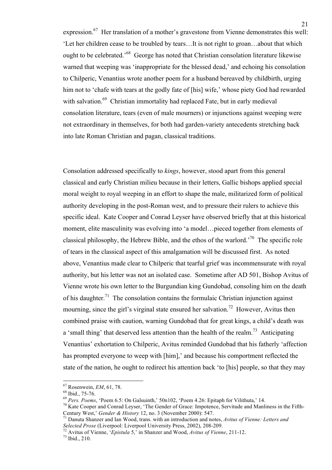expression.<sup>67</sup> Her translation of a mother's gravestone from Vienne demonstrates this well: 'Let her children cease to be troubled by tears…It is not right to groan…about that which ought to be celebrated.'68 George has noted that Christian consolation literature likewise warned that weeping was 'inappropriate for the blessed dead,' and echoing his consolation to Chilperic, Venantius wrote another poem for a husband bereaved by childbirth, urging him not to 'chafe with tears at the godly fate of [his] wife,' whose piety God had rewarded with salvation.<sup>69</sup> Christian immortality had replaced Fate, but in early medieval consolation literature, tears (even of male mourners) or injunctions against weeping were not extraordinary in themselves, for both had garden-variety antecedents stretching back into late Roman Christian and pagan, classical traditions.

Consolation addressed specifically to *kings*, however, stood apart from this general classical and early Christian milieu because in their letters, Gallic bishops applied special moral weight to royal weeping in an effort to shape the male, militarized form of political authority developing in the post-Roman west, and to pressure their rulers to achieve this specific ideal. Kate Cooper and Conrad Leyser have observed briefly that at this historical moment, elite masculinity was evolving into 'a model…pieced together from elements of classical philosophy, the Hebrew Bible, and the ethos of the warlord.<sup>70</sup> The specific role of tears in the classical aspect of this amalgamation will be discussed first. As noted above, Venantius made clear to Chilperic that tearful grief was incommensurate with royal authority, but his letter was not an isolated case. Sometime after AD 501, Bishop Avitus of Vienne wrote his own letter to the Burgundian king Gundobad, consoling him on the death of his daughter.<sup>71</sup> The consolation contains the formulaic Christian injunction against mourning, since the girl's virginal state ensured her salvation.<sup>72</sup> However, Avitus then combined praise with caution, warning Gundobad that for great kings, a child's death was a 'small thing' that deserved less attention than the health of the realm.<sup>73</sup> Anticipating Venantius' exhortation to Chilperic, Avitus reminded Gundobad that his fatherly 'affection has prompted everyone to weep with [him],' and because his comportment reflected the state of the nation, he ought to redirect his attention back 'to [his] people, so that they may

<sup>&</sup>lt;sup>67</sup> Rosenwein, *EM*, 61, 78.<br><sup>68</sup> Ibid., 75-76.<br><sup>69</sup> Pers. Poems, 'Poem 6.5: On Galsuinth,' 50n102, 'Poem 4.26: Epitaph for Vilithuta,' 14.<br><sup>70</sup> Kate Cooper and Conrad Leyser, 'The Gender of Grace: Impotence, Servitude a

<sup>&</sup>lt;sup>71</sup> Danuta Shanzer and Ian Wood, trans. with an introduction and notes, *Avitus of Vienne: Letters and Selected Prose* (Liverpool: Liverpool University Press, 2002), 208-209. 72 Avitus of Vienne, '*Epistula* 5,' in Shanzer and Wood, *Avitus of Vienne*, 211-12. 73 Ibid., 210.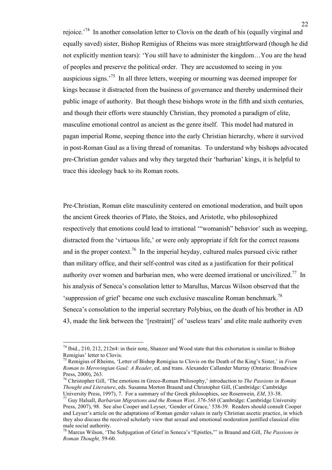rejoice.<sup>74</sup> In another consolation letter to Clovis on the death of his (equally virginal and equally saved) sister, Bishop Remigius of Rheims was more straightforward (though he did not explicitly mention tears): 'You still have to administer the kingdom…You are the head of peoples and preserve the political order. They are accustomed to seeing in you auspicious signs.<sup>75</sup> In all three letters, weeping or mourning was deemed improper for kings because it distracted from the business of governance and thereby undermined their public image of authority. But though these bishops wrote in the fifth and sixth centuries, and though their efforts were staunchly Christian, they promoted a paradigm of elite, masculine emotional control as ancient as the genre itself. This model had matured in pagan imperial Rome, seeping thence into the early Christian hierarchy, where it survived in post-Roman Gaul as a living thread of romanitas. To understand why bishops advocated pre-Christian gender values and why they targeted their 'barbarian' kings, it is helpful to trace this ideology back to its Roman roots.

Pre-Christian, Roman elite masculinity centered on emotional moderation, and built upon the ancient Greek theories of Plato, the Stoics, and Aristotle, who philosophized respectively that emotions could lead to irrational '"womanish" behavior' such as weeping, distracted from the 'virtuous life,' or were only appropriate if felt for the correct reasons and in the proper context.<sup>76</sup> In the imperial heyday, cultured males pursued civic rather than military office, and their self-control was cited as a justification for their political authority over women and barbarian men, who were deemed irrational or uncivilized.<sup>77</sup> In his analysis of Seneca's consolation letter to Marullus, Marcus Wilson observed that the 'suppression of grief' became one such exclusive masculine Roman benchmark. 78 Seneca's consolation to the imperial secretary Polybius, on the death of his brother in AD 43, made the link between the '[restraint]' of 'useless tears' and elite male authority even

 <sup>74</sup> Ibid., 210, 212, 212n4: in their note, Shanzer and Wood state that this exhortation is similar to Bishop Remigius' letter to Clovis.<br><sup>75</sup> Remigius of Rheims, 'Letter of Bishop Remigius to Clovis on the Death of the King's Sister,' in *From* 

*Roman to Merovingian Gaul: A Reader*, ed. and trans. Alexander Callander Murray (Ontario: Broadview Press, 2000), 263.

<sup>76</sup> Christopher Gill, 'The emotions in Greco-Roman Philosophy,' introduction to *The Passions in Roman Thought and Literature*, eds. Susanna Morton Braund and Christopher Gill, (Cambridge: Cambridge

Guy Halsall, *Barbarian Migrations and the Roman West, 376-568* (Cambridge: Cambridge University Press, 2007), 98. See also Cooper and Leyser, 'Gender of Grace,' 538-39. Readers should consult Cooper and Leyser's article on the adaptations of Roman gender values in early Christian ascetic practice, in which they also discuss the received scholarly view that sexual and emotional moderation justified classical elite male social authority.

<sup>78</sup> Marcus Wilson, 'The Subjugation of Grief in Seneca's "Epistles,"' in Braund and Gill, *The Passions in Roman Thought,* 59-60.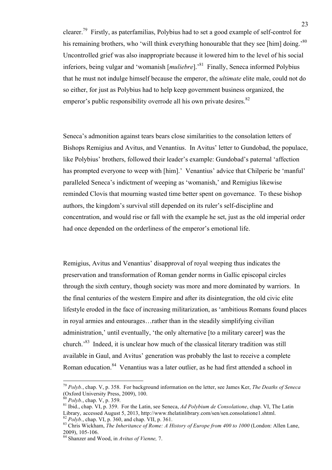clearer.<sup>79</sup> Firstly, as paterfamilias, Polybius had to set a good example of self-control for his remaining brothers, who 'will think everything honourable that they see [him] doing.'<sup>80</sup> Uncontrolled grief was also inappropriate because it lowered him to the level of his social inferiors, being vulgar and 'womanish [*muliebre*].' 81 Finally, Seneca informed Polybius that he must not indulge himself because the emperor, the *ultimate* elite male, could not do so either, for just as Polybius had to help keep government business organized, the emperor's public responsibility overrode all his own private desires.<sup>82</sup>

Seneca's admonition against tears bears close similarities to the consolation letters of Bishops Remigius and Avitus, and Venantius. In Avitus' letter to Gundobad, the populace, like Polybius' brothers, followed their leader's example: Gundobad's paternal 'affection has prompted everyone to weep with [him].' Venantius' advice that Chilperic be 'manful' paralleled Seneca's indictment of weeping as 'womanish,' and Remigius likewise reminded Clovis that mourning wasted time better spent on governance. To these bishop authors, the kingdom's survival still depended on its ruler's self-discipline and concentration, and would rise or fall with the example he set, just as the old imperial order had once depended on the orderliness of the emperor's emotional life.

Remigius, Avitus and Venantius' disapproval of royal weeping thus indicates the preservation and transformation of Roman gender norms in Gallic episcopal circles through the sixth century, though society was more and more dominated by warriors. In the final centuries of the western Empire and after its disintegration, the old civic elite lifestyle eroded in the face of increasing militarization, as 'ambitious Romans found places in royal armies and entourages…rather than in the steadily simplifying civilian administration,' until eventually, 'the only alternative [to a military career] was the church.'83 Indeed, it is unclear how much of the classical literary tradition was still available in Gaul, and Avitus' generation was probably the last to receive a complete Roman education.<sup>84</sup> Venantius was a later outlier, as he had first attended a school in

 <sup>79</sup> *Polyb.*, chap. V, p. 358. For background information on the letter, see James Ker, *The Deaths of Seneca* (Oxford University Press, 2009), 100.<br><sup>80</sup> Polyb., chap. V, p. 359.

<sup>&</sup>lt;sup>81</sup> Ibid., chap. VI, p. 359. For the Latin, see Seneca, *Ad Polybium de Consolatione*, chap. VI, The Latin Library, accessed August 5, 2013, http://www.thelatinlibrary.com/sen/sen.consolatione1.shtml.

<sup>&</sup>lt;sup>82</sup> Polyb., chap. VI, p. 360, and chap. VII, p. 361.<br><sup>83</sup> Chris Wickham, *The Inheritance of Rome: A History of Europe from 400 to 1000* (London: Allen Lane, 2009), 105-106.

<sup>&</sup>lt;sup>84</sup> Shanzer and Wood, in *Avitus of Vienne*, 7.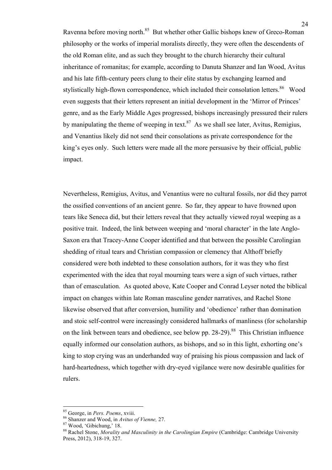Ravenna before moving north.<sup>85</sup> But whether other Gallic bishops knew of Greco-Roman philosophy or the works of imperial moralists directly, they were often the descendents of the old Roman elite, and as such they brought to the church hierarchy their cultural inheritance of romanitas; for example, according to Danuta Shanzer and Ian Wood, Avitus and his late fifth-century peers clung to their elite status by exchanging learned and stylistically high-flown correspondence, which included their consolation letters.<sup>86</sup> Wood even suggests that their letters represent an initial development in the 'Mirror of Princes' genre, and as the Early Middle Ages progressed, bishops increasingly pressured their rulers by manipulating the theme of weeping in text. $87$  As we shall see later, Avitus, Remigius, and Venantius likely did not send their consolations as private correspondence for the king's eyes only. Such letters were made all the more persuasive by their official, public impact.

Nevertheless, Remigius, Avitus, and Venantius were no cultural fossils, nor did they parrot the ossified conventions of an ancient genre. So far, they appear to have frowned upon tears like Seneca did, but their letters reveal that they actually viewed royal weeping as a positive trait. Indeed, the link between weeping and 'moral character' in the late Anglo-Saxon era that Tracey-Anne Cooper identified and that between the possible Carolingian shedding of ritual tears and Christian compassion or clemency that Althoff briefly considered were both indebted to these consolation authors, for it was they who first experimented with the idea that royal mourning tears were a sign of such virtues, rather than of emasculation. As quoted above, Kate Cooper and Conrad Leyser noted the biblical impact on changes within late Roman masculine gender narratives, and Rachel Stone likewise observed that after conversion, humility and 'obedience' rather than domination and stoic self-control were increasingly considered hallmarks of manliness (for scholarship on the link between tears and obedience, see below pp. 28-29).<sup>88</sup> This Christian influence equally informed our consolation authors, as bishops, and so in this light, exhorting one's king to stop crying was an underhanded way of praising his pious compassion and lack of hard-heartedness, which together with dry-eyed vigilance were now desirable qualities for rulers.

<sup>&</sup>lt;sup>85</sup> George, in *Pers. Poems*, xviii.<br><sup>86</sup> Shanzer and Wood, in *Avitus of Vienne*, 27.<br><sup>87</sup> Wood, 'Gibichung,' 18.

<sup>88</sup> Rachel Stone, *Morality and Masculinity in the Carolingian Empire* (Cambridge: Cambridge University Press, 2012), 318-19, 327.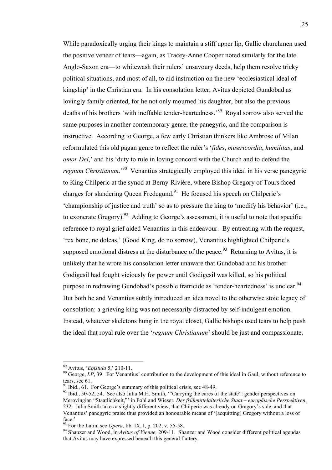While paradoxically urging their kings to maintain a stiff upper lip, Gallic churchmen used the positive veneer of tears—again, as Tracey-Anne Cooper noted similarly for the late Anglo-Saxon era—to whitewash their rulers' unsavoury deeds, help them resolve tricky political situations, and most of all, to aid instruction on the new 'ecclesiastical ideal of kingship' in the Christian era. In his consolation letter, Avitus depicted Gundobad as lovingly family oriented, for he not only mourned his daughter, but also the previous deaths of his brothers 'with ineffable tender-heartedness.<sup>89</sup> Royal sorrow also served the same purposes in another contemporary genre, the panegyric, and the comparison is instructive. According to George, a few early Christian thinkers like Ambrose of Milan reformulated this old pagan genre to reflect the ruler's '*fides*, *misericordia*, *humilitas*, and *amor Dei*,' and his 'duty to rule in loving concord with the Church and to defend the *regnum Christianum*.'90 Venantius strategically employed this ideal in his verse panegyric to King Chilperic at the synod at Berny-Rivière, where Bishop Gregory of Tours faced charges for slandering Queen Fredegund.<sup>91</sup> He focused his speech on Chilperic's 'championship of justice and truth' so as to pressure the king to 'modify his behavior' (i.e., to exonerate Gregory).<sup>92</sup> Adding to George's assessment, it is useful to note that specific reference to royal grief aided Venantius in this endeavour. By entreating with the request, 'rex bone, ne doleas,' (Good King, do no sorrow), Venantius highlighted Chilperic's supposed emotional distress at the disturbance of the peace.  $93$  Returning to Avitus, it is unlikely that he wrote his consolation letter unaware that Gundobad and his brother Godigesil had fought viciously for power until Godigesil was killed, so his political purpose in redrawing Gundobad's possible fratricide as 'tender-heartedness' is unclear.<sup>94</sup> But both he and Venantius subtly introduced an idea novel to the otherwise stoic legacy of consolation: a grieving king was not necessarily distracted by self-indulgent emotion. Instead, whatever skeletons hung in the royal closet, Gallic bishops used tears to help push the ideal that royal rule over the '*regnum Christianum*' should be just and compassionate.

<sup>&</sup>lt;sup>89</sup> Avitus, '*Epistula* 5,' 210-11.<br><sup>90</sup> George, *LP*, 39. For Venantius' contribution to the development of this ideal in Gaul, without reference to tears, see 61.<br><sup>91</sup> Ibid., 61. For George's summary of this political crisis, see 48-49.<br><sup>92</sup> Ibid., 50-52, 54. See also Julia M.H. Smith, "Carrying the cares of the state": gender perspectives on

Merovingian "Staatlichkeit,"' in Pohl and Wieser, *Der frühmittelalterliche Staat – europäische Perspektiven*, 232. Julia Smith takes a slightly different view, that Chilperic was already on Gregory's side, and that Venantius' panegyric praise thus provided an honourable means of '[acquitting] Gregory without a loss of face.'<br> $^{93}$  For the Latin, see *Opera*, lib. IX, I, p. 202, v. 55-58.

<sup>&</sup>lt;sup>94</sup> Shanzer and Wood, in *Avitus of Vienne*, 209-11. Shanzer and Wood consider different political agendas that Avitus may have expressed beneath this general flattery.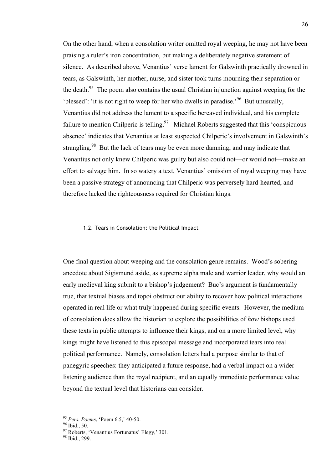On the other hand, when a consolation writer omitted royal weeping, he may not have been praising a ruler's iron concentration, but making a deliberately negative statement of silence. As described above, Venantius' verse lament for Galswinth practically drowned in tears, as Galswinth, her mother, nurse, and sister took turns mourning their separation or the death.<sup>95</sup> The poem also contains the usual Christian injunction against weeping for the 'blessed': 'it is not right to weep for her who dwells in paradise.'96 But unusually, Venantius did not address the lament to a specific bereaved individual, and his complete failure to mention Chilperic is telling.<sup>97</sup> Michael Roberts suggested that this 'conspicuous' absence' indicates that Venantius at least suspected Chilperic's involvement in Galswinth's strangling.<sup>98</sup> But the lack of tears may be even more damning, and may indicate that Venantius not only knew Chilperic was guilty but also could not—or would not—make an effort to salvage him. In so watery a text, Venantius' omission of royal weeping may have been a passive strategy of announcing that Chilperic was perversely hard-hearted, and therefore lacked the righteousness required for Christian kings.

#### 1.2. Tears in Consolation: the Political Impact

One final question about weeping and the consolation genre remains. Wood's sobering anecdote about Sigismund aside, as supreme alpha male and warrior leader, why would an early medieval king submit to a bishop's judgement? Buc's argument is fundamentally true, that textual biases and topoi obstruct our ability to recover how political interactions operated in real life or what truly happened during specific events. However, the medium of consolation does allow the historian to explore the possibilities of *how* bishops used these texts in public attempts to influence their kings, and on a more limited level, why kings might have listened to this episcopal message and incorporated tears into real political performance. Namely, consolation letters had a purpose similar to that of panegyric speeches: they anticipated a future response, had a verbal impact on a wider listening audience than the royal recipient, and an equally immediate performance value beyond the textual level that historians can consider.

<sup>&</sup>lt;sup>95</sup> *Pers. Poems*, 'Poem 6.5,' 40-50.<br><sup>96</sup> Ibid., 50.

 $\frac{97}{97}$  Roberts, 'Venantius Fortunatus' Elegy,' 301.<br><sup>98</sup> Ibid., 299.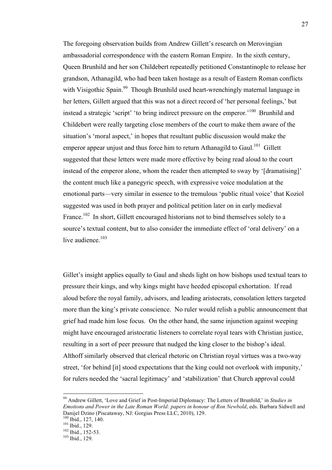The foregoing observation builds from Andrew Gillett's research on Merovingian ambassadorial correspondence with the eastern Roman Empire. In the sixth century, Queen Brunhild and her son Childebert repeatedly petitioned Constantinople to release her grandson, Athanagild, who had been taken hostage as a result of Eastern Roman conflicts with Visigothic Spain.<sup>99</sup> Though Brunhild used heart-wrenchingly maternal language in her letters, Gillett argued that this was not a direct record of 'her personal feelings,' but instead a strategic 'script' 'to bring indirect pressure on the emperor.'100 Brunhild and Childebert were really targeting close members of the court to make them aware of the situation's 'moral aspect,' in hopes that resultant public discussion would make the emperor appear unjust and thus force him to return Athanagild to Gaul.<sup>101</sup> Gillett suggested that these letters were made more effective by being read aloud to the court instead of the emperor alone, whom the reader then attempted to sway by '[dramatising]' the content much like a panegyric speech, with expressive voice modulation at the emotional parts—very similar in essence to the tremulous 'public ritual voice' that Koziol suggested was used in both prayer and political petition later on in early medieval France.<sup>102</sup> In short, Gillett encouraged historians not to bind themselves solely to a source's textual content, but to also consider the immediate effect of 'oral delivery' on a live audience.<sup>103</sup>

Gillet's insight applies equally to Gaul and sheds light on how bishops used textual tears to pressure their kings, and why kings might have heeded episcopal exhortation. If read aloud before the royal family, advisors, and leading aristocrats, consolation letters targeted more than the king's private conscience. No ruler would relish a public announcement that grief had made him lose focus. On the other hand, the same injunction against weeping might have encouraged aristocratic listeners to correlate royal tears with Christian justice, resulting in a sort of peer pressure that nudged the king closer to the bishop's ideal. Althoff similarly observed that clerical rhetoric on Christian royal virtues was a two-way street, 'for behind [it] stood expectations that the king could not overlook with impunity,' for rulers needed the 'sacral legitimacy' and 'stabilization' that Church approval could

 <sup>99</sup> Andrew Gillett, 'Love and Grief in Post-Imperial Diplomacy: The Letters of Brunhild,' in *Studies in Emotions and Power in the Late Roman World: papers in honour of Ron Newbold*, eds. Barbara Sidwell and Danijel Dzino (Piscataway, NJ: Gorgias Press LLC, 2010), 129.

<sup>&</sup>lt;sup>101</sup> Ibid., 129.<br><sup>102</sup> Ibid., 152-53.<br><sup>103</sup> Ibid., 129.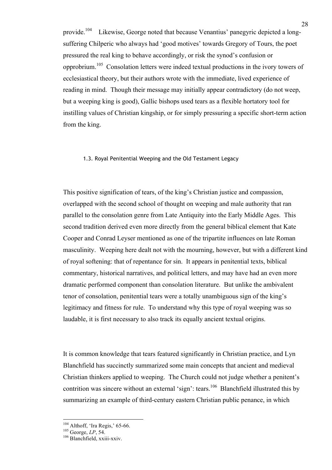provide.<sup>104</sup> Likewise, George noted that because Venantius' panegyric depicted a longsuffering Chilperic who always had 'good motives' towards Gregory of Tours, the poet pressured the real king to behave accordingly, or risk the synod's confusion or opprobrium.105 Consolation letters were indeed textual productions in the ivory towers of ecclesiastical theory, but their authors wrote with the immediate, lived experience of reading in mind. Though their message may initially appear contradictory (do not weep, but a weeping king is good), Gallic bishops used tears as a flexible hortatory tool for instilling values of Christian kingship, or for simply pressuring a specific short-term action from the king.

### 1.3. Royal Penitential Weeping and the Old Testament Legacy

This positive signification of tears, of the king's Christian justice and compassion, overlapped with the second school of thought on weeping and male authority that ran parallel to the consolation genre from Late Antiquity into the Early Middle Ages. This second tradition derived even more directly from the general biblical element that Kate Cooper and Conrad Leyser mentioned as one of the tripartite influences on late Roman masculinity. Weeping here dealt not with the mourning, however, but with a different kind of royal softening: that of repentance for sin. It appears in penitential texts, biblical commentary, historical narratives, and political letters, and may have had an even more dramatic performed component than consolation literature. But unlike the ambivalent tenor of consolation, penitential tears were a totally unambiguous sign of the king's legitimacy and fitness for rule. To understand why this type of royal weeping was so laudable, it is first necessary to also track its equally ancient textual origins.

It is common knowledge that tears featured significantly in Christian practice, and Lyn Blanchfield has succinctly summarized some main concepts that ancient and medieval Christian thinkers applied to weeping. The Church could not judge whether a penitent's contrition was sincere without an external 'sign': tears.<sup>106</sup> Blanchfield illustrated this by summarizing an example of third-century eastern Christian public penance, in which

<sup>&</sup>lt;sup>104</sup> Althoff, 'Ira Regis,' 65-66.<br><sup>105</sup> George, *LP*, 54.<br><sup>106</sup> Blanchfield, xxiii-xxiv.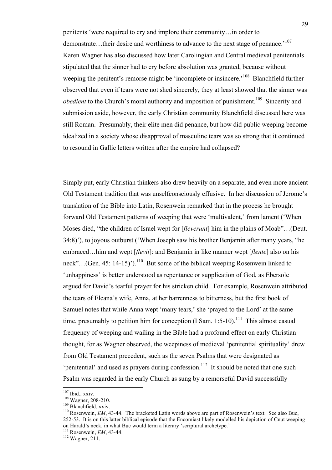penitents 'were required to cry and implore their community…in order to demonstrate...their desire and worthiness to advance to the next stage of penance.<sup>107</sup> Karen Wagner has also discussed how later Carolingian and Central medieval penitentials stipulated that the sinner had to cry before absolution was granted, because without weeping the penitent's remorse might be 'incomplete or insincere.'<sup>108</sup> Blanchfield further observed that even if tears were not shed sincerely, they at least showed that the sinner was *obedient* to the Church's moral authority and imposition of punishment.<sup>109</sup> Sincerity and submission aside, however, the early Christian community Blanchfield discussed here was still Roman. Presumably, their elite men did penance, but how did public weeping become idealized in a society whose disapproval of masculine tears was so strong that it continued to resound in Gallic letters written after the empire had collapsed?

Simply put, early Christian thinkers also drew heavily on a separate, and even more ancient Old Testament tradition that was unselfconsciously effusive. In her discussion of Jerome's translation of the Bible into Latin, Rosenwein remarked that in the process he brought forward Old Testament patterns of weeping that were 'multivalent,' from lament ('When Moses died, "the children of Israel wept for [*fleverunt*] him in the plains of Moab"…(Deut. 34:8)'), to joyous outburst ('When Joseph saw his brother Benjamin after many years, "he embraced…him and wept [*flevit*]: and Benjamin in like manner wept [*flente*] also on his neck"...(Gen. 45: 14-15)').<sup>110</sup> But some of the biblical weeping Rosenwein linked to 'unhappiness' is better understood as repentance or supplication of God, as Ebersole argued for David's tearful prayer for his stricken child. For example, Rosenwein attributed the tears of Elcana's wife, Anna, at her barrenness to bitterness, but the first book of Samuel notes that while Anna wept 'many tears,' she 'prayed to the Lord' at the same time, presumably to petition him for conception (I Sam. 1:5-10).<sup>111</sup> This almost casual frequency of weeping and wailing in the Bible had a profound effect on early Christian thought, for as Wagner observed, the weepiness of medieval 'penitential spirituality' drew from Old Testament precedent, such as the seven Psalms that were designated as 'penitential' and used as prayers during confession.<sup>112</sup> It should be noted that one such Psalm was regarded in the early Church as sung by a remorseful David successfully

<sup>107</sup> Ibid., xxiv.<br><sup>108</sup> Wagner, 208-210.<br><sup>109</sup> Blanchfield, xxiv.<br><sup>110</sup> Rosenwein, *EM*, 43-44. The bracketed Latin words above are part of Rosenwein's text. See also Buc, 252-53. It is on this latter biblical episode that the Encomiast likely modelled his depiction of Cnut weeping on Harald's neck, in what Buc would term a literary 'scriptural archetype.' 111 Rosenwein, *EM*, 43-44. 112 Wagner, 211.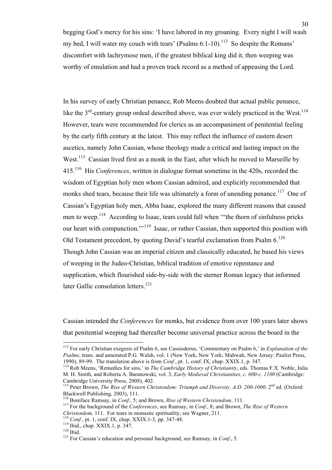begging God's mercy for his sins: 'I have labored in my groaning. Every night I will wash my bed, I will water my couch with tears' (Psalms  $6:1-10$ ).<sup>113</sup> So despite the Romans' discomfort with lachrymose men, if the greatest biblical king did it, then weeping was worthy of emulation and had a proven track record as a method of appeasing the Lord.

In his survey of early Christian penance, Rob Meens doubted that actual public penance, like the  $3<sup>rd</sup>$ -century group ordeal described above, was ever widely practiced in the West.<sup>114</sup> However, tears were recommended for clerics as an accompaniment of penitential feeling by the early fifth century at the latest. This may reflect the influence of eastern desert ascetics, namely John Cassian, whose theology made a critical and lasting impact on the West.<sup>115</sup> Cassian lived first as a monk in the East, after which he moved to Marseille by 415.116 His *Conferences*, written in dialogue format sometime in the 420s, recorded the wisdom of Egyptian holy men whom Cassian admired, and explicitly recommended that monks shed tears, because their life was ultimately a form of unending penance.<sup>117</sup> One of Cassian's Egyptian holy men, Abba Isaac, explored the many different reasons that caused men to weep.<sup>118</sup> According to Isaac, tears could fall when "the thorn of sinfulness pricks" our heart with compunction."<sup>119</sup> Isaac, or rather Cassian, then supported this position with Old Testament precedent, by quoting David's tearful exclamation from Psalm  $6^{120}$ Though John Cassian was an imperial citizen and classically educated, he based his views of weeping in the Judeo-Christian, biblical tradition of emotive repentance and supplication, which flourished side-by-side with the sterner Roman legacy that informed later Gallic consolation letters.<sup>121</sup>

Cassian intended the *Conferences* for monks, but evidence from over 100 years later shows that penitential weeping had thereafter become universal practice across the board in the

- 
- 
- 

 <sup>113</sup> For early Christian exegesis of Psalm 6, see Cassiodorus, 'Commentary on Psalm 6,' in *Explanation of the Psalms*, trans. and annotated P.G. Walsh, vol. 1 (New York, New York; Mahwah, New Jersey: Paulist Press, 1990), 89-99. The translation above is from *Conf.*, pt. 1, conf. IX, chap. XXIX.1, p. 347.<br><sup>114</sup> Rob Meens, 'Remedies for sins,' in *The Cambridge History of Christianity*, eds. Thomas F.X. Noble, Julia

M. H. Smith, and Roberta A. Baranowski, vol. 3, *Early Medieval Christianities, c. 600-c. 1100* (Cambridge: Cambridge University Press, 2008), 402.

<sup>&</sup>lt;sup>115</sup> Peter Brown, *The Rise of Western Christendom: Triumph and Diversity, A.D. 200-1000, 2<sup>nd</sup> ed. (Oxford:* 

Blackwell Publishing, 2003), 111.<br><sup>116</sup> Boniface Ramsay, in *Conf.*, 5; and Brown, *Rise of Western Christendom*, 111.<br><sup>117</sup> For the background of the *Conferences*, see Ramsay, in *Conf.*, 8; and Brown, *The Rise of Weste* 

<sup>&</sup>lt;sup>118</sup> Conf., pt. 1, conf. IX, chap. XXIX.1-3, pp. 347-48.<br><sup>119</sup> Ibid., chap. XXIX.1, p. 347.<br><sup>120</sup> Ibid.<br><sup>121</sup> For Cassian's education and personal background, see Ramsay, in *Conf.*, 5.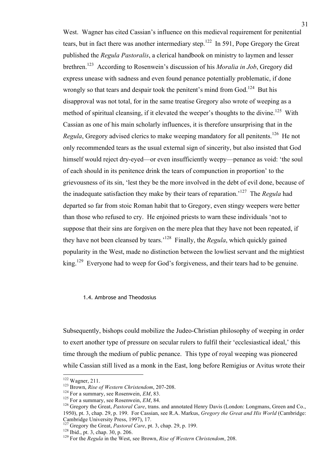West. Wagner has cited Cassian's influence on this medieval requirement for penitential tears, but in fact there was another intermediary step.<sup>122</sup> In 591, Pope Gregory the Great published the *Regula Pastoralis*, a clerical handbook on ministry to laymen and lesser brethren.123 According to Rosenwein's discussion of his *Moralia in Job*, Gregory did express unease with sadness and even found penance potentially problematic, if done wrongly so that tears and despair took the penitent's mind from  $God.<sup>124</sup>$  But his disapproval was not total, for in the same treatise Gregory also wrote of weeping as a method of spiritual cleansing, if it elevated the weeper's thoughts to the divine.<sup>125</sup> With Cassian as one of his main scholarly influences, it is therefore unsurprising that in the *Regula*, Gregory advised clerics to make weeping mandatory for all penitents.<sup>126</sup> He not only recommended tears as the usual external sign of sincerity, but also insisted that God himself would reject dry-eyed—or even insufficiently weepy—penance as void: 'the soul of each should in its penitence drink the tears of compunction in proportion' to the grievousness of its sin, 'lest they be the more involved in the debt of evil done, because of the inadequate satisfaction they make by their tears of reparation.'127 The *Regula* had departed so far from stoic Roman habit that to Gregory, even stingy weepers were better than those who refused to cry. He enjoined priests to warn these individuals 'not to suppose that their sins are forgiven on the mere plea that they have not been repeated, if they have not been cleansed by tears.'128 Finally, the *Regula*, which quickly gained popularity in the West, made no distinction between the lowliest servant and the mightiest king.<sup>129</sup> Everyone had to weep for God's forgiveness, and their tears had to be genuine.

### 1.4. Ambrose and Theodosius

Subsequently, bishops could mobilize the Judeo-Christian philosophy of weeping in order to exert another type of pressure on secular rulers to fulfil their 'ecclesiastical ideal,' this time through the medium of public penance. This type of royal weeping was pioneered while Cassian still lived as a monk in the East, long before Remigius or Avitus wrote their

<sup>&</sup>lt;sup>122</sup> Wagner, 211.<br><sup>123</sup> Brown, *Rise of Western Christendom*, 207-208.<br><sup>124</sup> For a summary, see Rosenwein, *EM*, 83.<br><sup>125</sup> For a summary, see Rosenwein, *EM*, 84.<br><sup>126</sup> Gregory the Great, *Pastoral Care*, trans. and anno 1950), pt. 3, chap. 29, p. 199. For Cassian, see R.A. Markus, *Gregory the Great and His World* (Cambridge: Cambridge University Press, 1997), 17.<br><sup>127</sup> Gregory the Great, *Pastoral Care*, pt. 3, chap. 29, p. 199.

<sup>&</sup>lt;sup>128</sup> Ibid., pt. 3, chap. 30, p. 206.<br><sup>129</sup> For the *Regula* in the West, see Brown, *Rise of Western Christendom*, 208.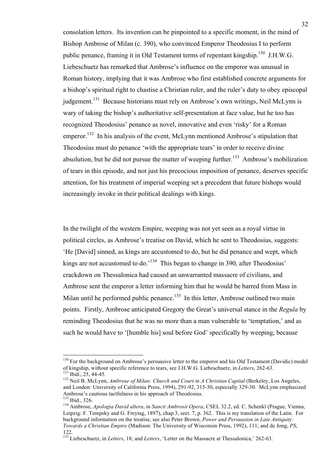consolation letters. Its invention can be pinpointed to a specific moment, in the mind of Bishop Ambrose of Milan (c. 390), who convinced Emperor Theodosius I to perform public penance, framing it in Old Testament terms of repentant kingship.<sup>130</sup> J.H.W.G. Liebeschuetz has remarked that Ambrose's influence on the emperor was unusual in Roman history, implying that it was Ambrose who first established concrete arguments for a bishop's spiritual right to chastise a Christian ruler, and the ruler's duty to obey episcopal judgement.<sup>131</sup> Because historians must rely on Ambrose's own writings, Neil McLynn is wary of taking the bishop's authoritative self-presentation at face value, but he too has recognized Theodosius' penance as novel, innovative and even 'risky' for a Roman emperor.<sup>132</sup> In his analysis of the event, McLynn mentioned Ambrose's stipulation that Theodosius must do penance 'with the appropriate tears' in order to receive divine absolution, but he did not pursue the matter of weeping further.<sup>133</sup> Ambrose's mobilization of tears in this episode, and not just his precocious imposition of penance, deserves specific attention, for his treatment of imperial weeping set a precedent that future bishops would increasingly invoke in their political dealings with kings.

In the twilight of the western Empire, weeping was not yet seen as a royal virtue in political circles, as Ambrose's treatise on David, which he sent to Theodosius, suggests: 'He [David] sinned, as kings are accustomed to do, but he did penance and wept, which kings are not accustomed to do.<sup>'134</sup> This began to change in 390, after Theodosius' crackdown on Thessalonica had caused an unwarranted massacre of civilians, and Ambrose sent the emperor a letter informing him that he would be barred from Mass in Milan until he performed public penance.<sup>135</sup> In this letter, Ambrose outlined two main points. Firstly, Ambrose anticipated Gregory the Great's universal stance in the *Regula* by reminding Theodosius that he was no more than a man vulnerable to 'temptation,' and as such he would have to '[humble his] soul before God' specifically by weeping, because

<sup>&</sup>lt;sup>130</sup> For the background on Ambrose's persuasive letter to the emperor and his Old Testament (Davidic) model of kingship, without specific reference to tears, see J.H.W.G. Liebeschuetz, in Letters, 262-63.<br><sup>131</sup> Ibid., 25, 44-45.<br><sup>132</sup> Neil B. McLynn, *Ambrose of Milan: Church and Court in A Christian Capital* (Berkeley, Los Ange

and London: University of California Press, 1994), 291-92, 315-30, especially 329-30. McLynn emphasized Ambrose's cautious tactfulness in his approach of Theodosius.<br><sup>133</sup> Ibid., 326.

<sup>134</sup> Ambrose, *Apologia David altera*, in *Sancti Ambrosii Opera*, CSEL 32.2, ed. C. Schenkl (Prague, Vienna, Leipzig: F. Tempsky and G. Freytag, 1897), chap.3, sect. 7, p. 362. This is my translation of the Latin. For background information on the treatise, see also Peter Brown, *Power and Persuasion in Late Antiquity: Towards a Christian Empire* (Madison: The University of Wisconsin Press, 1992), 111; and de Jong, *PS*, 122.

<sup>&</sup>lt;sup>135</sup> Liebeschuetz, in *Letters*, 18; and *Letters*, 'Letter on the Massacre at Thessalonica,' 262-63.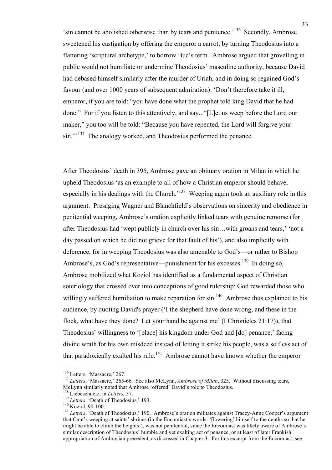'sin cannot be abolished otherwise than by tears and penitence.<sup>'136</sup> Secondly, Ambrose sweetened his castigation by offering the emperor a carrot, by turning Theodosius into a flattering 'scriptural archetype,' to borrow Buc's term. Ambrose argued that grovelling in public would not humiliate or undermine Theodosius' masculine authority, because David had debased himself similarly after the murder of Uriah, and in doing so regained God's favour (and over 1000 years of subsequent admiration): 'Don't therefore take it ill, emperor, if you are told: "you have done what the prophet told king David that he had done." For if you listen to this attentively, and say..."[L]et us weep before the Lord our maker," you too will be told: "Because you have repented, the Lord will forgive your sin."<sup>137</sup> The analogy worked, and Theodosius performed the penance.

After Theodosius' death in 395, Ambrose gave an obituary oration in Milan in which he upheld Theodosius 'as an example to all of how a Christian emperor should behave, especially in his dealings with the Church.<sup>138</sup> Weeping again took an auxiliary role in this argument. Presaging Wagner and Blanchfield's observations on sincerity and obedience in penitential weeping, Ambrose's oration explicitly linked tears with genuine remorse (for after Theodosius had 'wept publicly in church over his sin…with groans and tears,' 'not a day passed on which he did not grieve for that fault of his'), and also implicitly with deference, for in weeping Theodosius was also amenable to God's—or rather to Bishop Ambrose's, as God's representative—punishment for his excesses.<sup>139</sup> In doing so, Ambrose mobilized what Koziol has identified as a fundamental aspect of Christian soteriology that crossed over into conceptions of good rulership: God rewarded those who willingly suffered humiliation to make reparation for  $sin<sup>140</sup>$  Ambrose thus explained to his audience, by quoting David's prayer ('I the shepherd have done wrong, and these in the flock, what have they done? Let your hand be against me' (I Chronicles 21:17)), that Theodosius' willingness to '[place] his kingdom under God and [do] penance,' facing divine wrath for his own misdeed instead of letting it strike his people, was a selfless act of that paradoxically exalted his rule.<sup>141</sup> Ambrose cannot have known whether the emperor

<sup>&</sup>lt;sup>136</sup> Letters, 'Massacre,' 267.<br><sup>137</sup> *Letters*, 'Massacre,' 265-66. See also McLynn, *Ambrose of Milan*, 325. Without discussing tears, McLynn similarly noted that Ambrose 'offered' David's role to Theodosius.<br><sup>138</sup> Liebeschuetz, in *Letters*, 37.

<sup>&</sup>lt;sup>139</sup> *Letters*, 'Death of Theodosius,' 193.<br><sup>140</sup> Koziol, 90-100. 141 *Letters*, 'Death of Theodosius,' 190. Ambrose's oration militates against Tracey-Anne Cooper's argument that Cnut's weeping at saints' shrines (in the Encomiast's words: '[lowering] himself to the depths so that he might be able to climb the heights'), was not penitential, since the Encomiast was likely aware of Ambrose's similar description of Theodosius' humble and yet exalting act of penance, or at least of later Frankish appropriation of Ambrosian precedent, as discussed in Chapter 3. For this excerpt from the Encomiast, see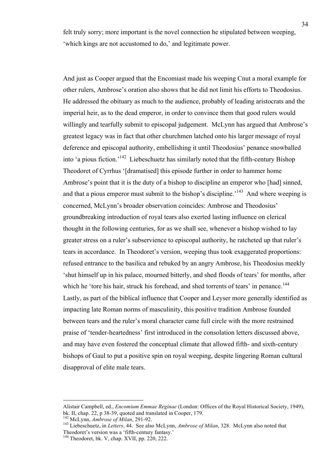felt truly sorry; more important is the novel connection he stipulated between weeping, 'which kings are not accustomed to do,' and legitimate power.

And just as Cooper argued that the Encomiast made his weeping Cnut a moral example for other rulers, Ambrose's oration also shows that he did not limit his efforts to Theodosius. He addressed the obituary as much to the audience, probably of leading aristocrats and the imperial heir, as to the dead emperor, in order to convince them that good rulers would willingly and tearfully submit to episcopal judgement. McLynn has argued that Ambrose's greatest legacy was in fact that other churchmen latched onto his larger message of royal deference and episcopal authority, embellishing it until Theodosius' penance snowballed into 'a pious fiction.<sup>142</sup> Liebeschuetz has similarly noted that the fifth-century Bishop Theodoret of Cyrrhus '[dramatised] this episode further in order to hammer home Ambrose's point that it is the duty of a bishop to discipline an emperor who [had] sinned, and that a pious emperor must submit to the bishop's discipline.<sup> $143$ </sup> And where weeping is concerned, McLynn's broader observation coincides: Ambrose and Theodosius' groundbreaking introduction of royal tears also exerted lasting influence on clerical thought in the following centuries, for as we shall see, whenever a bishop wished to lay greater stress on a ruler's subservience to episcopal authority, he ratcheted up that ruler's tears in accordance. In Theodoret's version, weeping thus took exaggerated proportions: refused entrance to the basilica and rebuked by an angry Ambrose, his Theodosius meekly 'shut himself up in his palace, mourned bitterly, and shed floods of tears' for months, after which he 'tore his hair, struck his forehead, and shed torrents of tears' in penance.<sup>144</sup> Lastly, as part of the biblical influence that Cooper and Leyser more generally identified as impacting late Roman norms of masculinity, this positive tradition Ambrose founded between tears and the ruler's moral character came full circle with the more restrained praise of 'tender-heartedness' first introduced in the consolation letters discussed above, and may have even fostered the conceptual climate that allowed fifth- and sixth-century bishops of Gaul to put a positive spin on royal weeping, despite lingering Roman cultural disapproval of elite male tears.

 $\overline{a}$ 

Alistair Campbell, ed., *Encomium Emmae Reginae* (London: Offices of the Royal Historical Society, 1949),

<sup>&</sup>lt;sup>142</sup> McLynn, *Ambrose of Milan*, 291-92.<br><sup>143</sup> Liebeschuetz, in *Letters*, 44. See also McLynn, *Ambrose of Milan*, 328. McLynn also noted that<br>Theodoret's version was a 'fifth-century fantasy.'

 $144$  Theodoret, bk. V, chap. XVII, pp. 220, 222.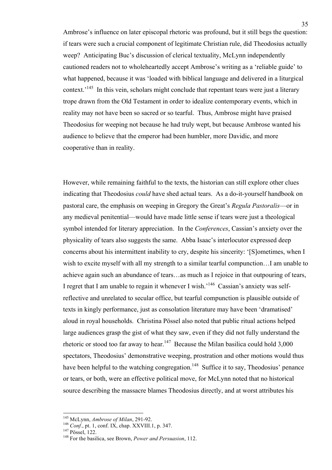Ambrose's influence on later episcopal rhetoric was profound, but it still begs the question: if tears were such a crucial component of legitimate Christian rule, did Theodosius actually weep? Anticipating Buc's discussion of clerical textuality, McLynn independently cautioned readers not to wholeheartedly accept Ambrose's writing as a 'reliable guide' to what happened, because it was 'loaded with biblical language and delivered in a liturgical context.<sup> $145$ </sup> In this vein, scholars might conclude that repentant tears were just a literary trope drawn from the Old Testament in order to idealize contemporary events, which in reality may not have been so sacred or so tearful. Thus, Ambrose might have praised Theodosius for weeping not because he had truly wept, but because Ambrose wanted his audience to believe that the emperor had been humbler, more Davidic, and more cooperative than in reality.

However, while remaining faithful to the texts, the historian can still explore other clues indicating that Theodosius *could* have shed actual tears. As a do-it-yourself handbook on pastoral care, the emphasis on weeping in Gregory the Great's *Regula Pastoralis*—or in any medieval penitential—would have made little sense if tears were just a theological symbol intended for literary appreciation. In the *Conferences*, Cassian's anxiety over the physicality of tears also suggests the same. Abba Isaac's interlocutor expressed deep concerns about his intermittent inability to cry, despite his sincerity: '[S]ometimes, when I wish to excite myself with all my strength to a similar tearful compunction...I am unable to achieve again such an abundance of tears…as much as I rejoice in that outpouring of tears, I regret that I am unable to regain it whenever I wish.'146 Cassian's anxiety was selfreflective and unrelated to secular office, but tearful compunction is plausible outside of texts in kingly performance, just as consolation literature may have been 'dramatised' aloud in royal households. Christina Pössel also noted that public ritual actions helped large audiences grasp the gist of what they saw, even if they did not fully understand the rhetoric or stood too far away to hear.<sup>147</sup> Because the Milan basilica could hold  $3,000$ spectators, Theodosius' demonstrative weeping, prostration and other motions would thus have been helpful to the watching congregation.<sup>148</sup> Suffice it to say, Theodosius' penance or tears, or both, were an effective political move, for McLynn noted that no historical source describing the massacre blames Theodosius directly, and at worst attributes his

<sup>&</sup>lt;sup>145</sup> McLynn, *Ambrose of Milan*, 291-92.<br><sup>146</sup> *Conf.*, pt. 1, conf. IX, chap. XXVIII.1, p. 347.<br><sup>147</sup> Pössel, 122.<br><sup>148</sup> For the basilica, see Brown, *Power and Persuasion*, 112.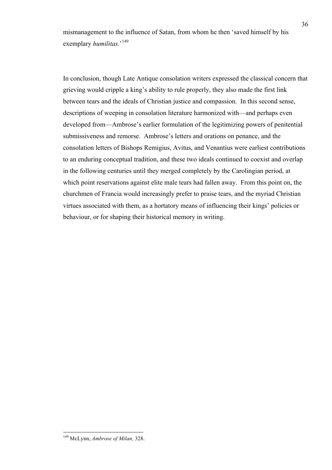mismanagement to the influence of Satan, from whom he then 'saved himself by his exemplary *humilitas.*' 149

In conclusion, though Late Antique consolation writers expressed the classical concern that grieving would cripple a king's ability to rule properly, they also made the first link between tears and the ideals of Christian justice and compassion. In this second sense, descriptions of weeping in consolation literature harmonized with—and perhaps even developed from—Ambrose's earlier formulation of the legitimizing powers of penitential submissiveness and remorse. Ambrose's letters and orations on penance, and the consolation letters of Bishops Remigius, Avitus, and Venantius were earliest contributions to an enduring conceptual tradition, and these two ideals continued to coexist and overlap in the following centuries until they merged completely by the Carolingian period, at which point reservations against elite male tears had fallen away. From this point on, the churchmen of Francia would increasingly prefer to praise tears, and the myriad Christian virtues associated with them, as a hortatory means of influencing their kings' policies or behaviour, or for shaping their historical memory in writing.

 <sup>149</sup> McLynn, *Ambrose of Milan,* 328.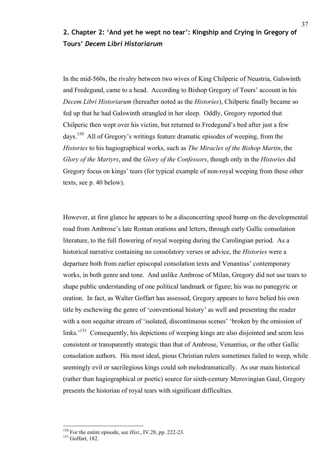# **2. Chapter 2: 'And yet he wept no tear': Kingship and Crying in Gregory of Tours'** *Decem Libri Historiarum*

In the mid-560s, the rivalry between two wives of King Chilperic of Neustria, Galswinth and Fredegund, came to a head. According to Bishop Gregory of Tours' account in his *Decem Libri Historiarum* (hereafter noted as the *Histories*), Chilperic finally became so fed up that he had Galswinth strangled in her sleep. Oddly, Gregory reported that Chilperic then wept over his victim, but returned to Fredegund's bed after just a few days.<sup>150</sup> All of Gregory's writings feature dramatic episodes of weeping, from the *Histories* to his hagiographical works, such as *The Miracles of the Bishop Martin*, the *Glory of the Martyrs*, and the *Glory of the Confessors*, though only in the *Histories* did Gregory focus on kings' tears (for typical example of non-royal weeping from these other texts, see p. 40 below).

However, at first glance he appears to be a disconcerting speed bump on the developmental road from Ambrose's late Roman orations and letters, through early Gallic consolation literature, to the full flowering of royal weeping during the Carolingian period. As a historical narrative containing no consolatory verses or advice, the *Histories* were a departure both from earlier episcopal consolation texts and Venantius' contemporary works, in both genre and tone. And unlike Ambrose of Milan, Gregory did not use tears to shape public understanding of one political landmark or figure; his was no panegyric or oration. In fact, as Walter Goffart has assessed, Gregory appears to have belied his own title by eschewing the genre of 'conventional history' as well and presenting the reader with a non sequitur stream of 'isolated, discontinuous scenes' 'broken by the omission of links.<sup>151</sup> Consequently, his depictions of weeping kings are also disjointed and seem less consistent or transparently strategic than that of Ambrose, Venantius, or the other Gallic consolation authors. His most ideal, pious Christian rulers sometimes failed to weep, while seemingly evil or sacrilegious kings could sob melodramatically. As our main historical (rather than hagiographical or poetic) source for sixth-century Merovingian Gaul, Gregory presents the historian of royal tears with significant difficulties.

<sup>&</sup>lt;sup>150</sup> For the entire episode, see *Hist.*, IV.28, pp. 222-23.<br><sup>151</sup> Goffart. 182.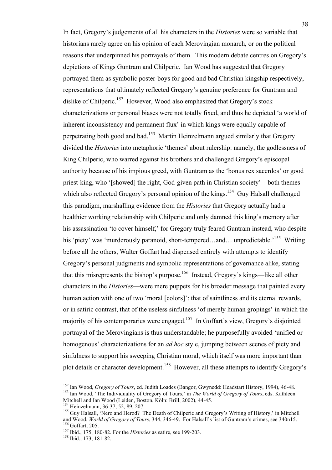In fact, Gregory's judgements of all his characters in the *Histories* were so variable that historians rarely agree on his opinion of each Merovingian monarch, or on the political reasons that underpinned his portrayals of them. This modern debate centres on Gregory's depictions of Kings Guntram and Chilperic. Ian Wood has suggested that Gregory portrayed them as symbolic poster-boys for good and bad Christian kingship respectively, representations that ultimately reflected Gregory's genuine preference for Guntram and dislike of Chilperic.<sup>152</sup> However, Wood also emphasized that Gregory's stock characterizations or personal biases were not totally fixed, and thus he depicted 'a world of inherent inconsistency and permanent flux' in which kings were equally capable of perpetrating both good and bad.153 Martin Heinzelmann argued similarly that Gregory divided the *Histories* into metaphoric 'themes' about rulership: namely, the godlessness of King Chilperic, who warred against his brothers and challenged Gregory's episcopal authority because of his impious greed, with Guntram as the 'bonus rex sacerdos' or good priest-king, who '[showed] the right, God-given path in Christian society'—both themes which also reflected Gregory's personal opinion of the kings.<sup>154</sup> Guy Halsall challenged this paradigm, marshalling evidence from the *Histories* that Gregory actually had a healthier working relationship with Chilperic and only damned this king's memory after his assassination 'to cover himself,' for Gregory truly feared Guntram instead, who despite his 'piety' was 'murderously paranoid, short-tempered...and... unpredictable.<sup>155</sup> Writing before all the others, Walter Goffart had dispensed entirely with attempts to identify Gregory's personal judgments and symbolic representations of governance alike, stating that this misrepresents the bishop's purpose.<sup>156</sup> Instead, Gregory's kings—like all other characters in the *Histories*—were mere puppets for his broader message that painted every human action with one of two 'moral [colors]': that of saintliness and its eternal rewards, or in satiric contrast, that of the useless sinfulness 'of merely human gropings' in which the majority of his contemporaries were engaged.<sup>157</sup> In Goffart's view, Gregory's disjointed portrayal of the Merovingians is thus understandable; he purposefully avoided 'unified or homogenous' characterizations for an *ad hoc* style, jumping between scenes of piety and sinfulness to support his sweeping Christian moral, which itself was more important than plot details or character development.<sup>158</sup> However, all these attempts to identify Gregory's

<sup>&</sup>lt;sup>152</sup> Ian Wood, *Gregory of Tours*, ed. Judith Loades (Bangor, Gwynedd: Headstart History, 1994), 46-48.<br><sup>153</sup> Ian Wood, 'The Individuality of Gregory of Tours,' in *The World of Gregory of Tours*, eds. Kathleen<br>Mitchell a

<sup>&</sup>lt;sup>154</sup> Heinzelmann, 36-37, 52, 89, 207.<br><sup>155</sup> Guy Halsall, 'Nero and Herod? The Death of Chilperic and Gregory's Writing of History,' in Mitchell<br>and Wood. *World of Gregory of Tours*. 344. 346-49. For Halsall's list of Gu <sup>156</sup> Goffart, 205.<br><sup>157</sup> Ibid., 175, 180-82. For the *Histories* as satire, see 199-203.<br><sup>158</sup> Ibid., 173, 181-82.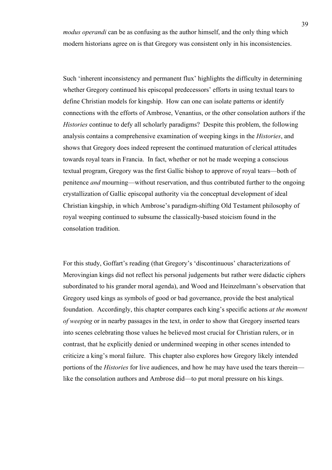*modus operandi* can be as confusing as the author himself, and the only thing which modern historians agree on is that Gregory was consistent only in his inconsistencies.

Such 'inherent inconsistency and permanent flux' highlights the difficulty in determining whether Gregory continued his episcopal predecessors' efforts in using textual tears to define Christian models for kingship. How can one can isolate patterns or identify connections with the efforts of Ambrose, Venantius, or the other consolation authors if the *Histories* continue to defy all scholarly paradigms? Despite this problem, the following analysis contains a comprehensive examination of weeping kings in the *Histories*, and shows that Gregory does indeed represent the continued maturation of clerical attitudes towards royal tears in Francia. In fact, whether or not he made weeping a conscious textual program, Gregory was the first Gallic bishop to approve of royal tears—both of penitence *and* mourning—without reservation, and thus contributed further to the ongoing crystallization of Gallic episcopal authority via the conceptual development of ideal Christian kingship, in which Ambrose's paradigm-shifting Old Testament philosophy of royal weeping continued to subsume the classically-based stoicism found in the consolation tradition.

For this study, Goffart's reading (that Gregory's 'discontinuous' characterizations of Merovingian kings did not reflect his personal judgements but rather were didactic ciphers subordinated to his grander moral agenda), and Wood and Heinzelmann's observation that Gregory used kings as symbols of good or bad governance, provide the best analytical foundation. Accordingly, this chapter compares each king's specific actions *at the moment of weeping* or in nearby passages in the text, in order to show that Gregory inserted tears into scenes celebrating those values he believed most crucial for Christian rulers, or in contrast, that he explicitly denied or undermined weeping in other scenes intended to criticize a king's moral failure. This chapter also explores how Gregory likely intended portions of the *Histories* for live audiences, and how he may have used the tears therein like the consolation authors and Ambrose did—to put moral pressure on his kings.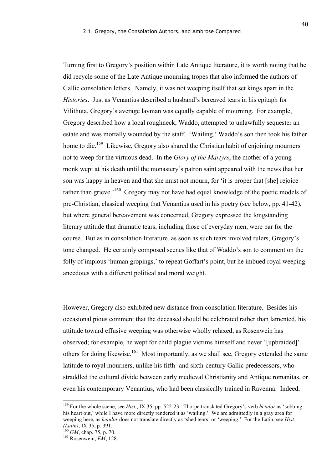Turning first to Gregory's position within Late Antique literature, it is worth noting that he did recycle some of the Late Antique mourning tropes that also informed the authors of Gallic consolation letters. Namely, it was not weeping itself that set kings apart in the *Histories*. Just as Venantius described a husband's bereaved tears in his epitaph for Vilithuta, Gregory's average layman was equally capable of mourning. For example, Gregory described how a local roughneck, Waddo, attempted to unlawfully sequester an estate and was mortally wounded by the staff. 'Wailing,' Waddo's son then took his father home to die.<sup>159</sup> Likewise, Gregory also shared the Christian habit of enjoining mourners not to weep for the virtuous dead. In the *Glory of the Martyrs*, the mother of a young monk wept at his death until the monastery's patron saint appeared with the news that her son was happy in heaven and that she must not mourn, for 'it is proper that [she] rejoice rather than grieve.<sup>'160</sup> Gregory may not have had equal knowledge of the poetic models of pre-Christian, classical weeping that Venantius used in his poetry (see below, pp. 41-42), but where general bereavement was concerned, Gregory expressed the longstanding literary attitude that dramatic tears, including those of everyday men, were par for the course. But as in consolation literature, as soon as such tears involved rulers, Gregory's tone changed. He certainly composed scenes like that of Waddo's son to comment on the folly of impious 'human gropings,' to repeat Goffart's point, but he imbued royal weeping anecdotes with a different political and moral weight.

However, Gregory also exhibited new distance from consolation literature. Besides his occasional pious comment that the deceased should be celebrated rather than lamented, his attitude toward effusive weeping was otherwise wholly relaxed, as Rosenwein has observed; for example, he wept for child plague victims himself and never '[upbraided]' others for doing likewise.161 Most importantly, as we shall see, Gregory extended the same latitude to royal mourners, unlike his fifth- and sixth-century Gallic predecessors, who straddled the cultural divide between early medieval Christianity and Antique romanitas, or even his contemporary Venantius, who had been classically trained in Ravenna. Indeed,

 <sup>159</sup> For the whole scene, see *Hist.*, IX.35, pp. 522-23. Thorpe translated Gregory's verb *heiulor* as 'sobbing his heart out,' while I have more directly rendered it as 'wailing.' We are admittedly in a gray area for weeping here, as *heiulor* does not translate directly as 'shed tears' or 'weeping.' For the Latin, see *Hist*. *(Latin)*, IX.35, p. 391. 160 *GM*, chap. 75, p. 70. 161 Rosenwein, *EM*, 128.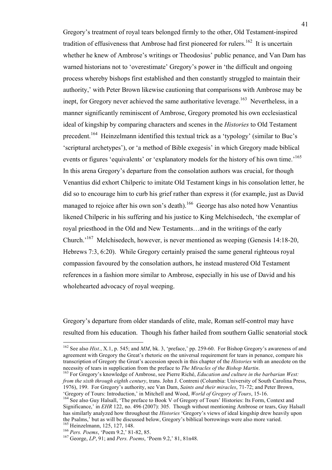Gregory's treatment of royal tears belonged firmly to the other, Old Testament-inspired tradition of effusiveness that Ambrose had first pioneered for rulers.<sup>162</sup> It is uncertain whether he knew of Ambrose's writings or Theodosius' public penance, and Van Dam has warned historians not to 'overestimate' Gregory's power in 'the difficult and ongoing process whereby bishops first established and then constantly struggled to maintain their authority,' with Peter Brown likewise cautioning that comparisons with Ambrose may be inept, for Gregory never achieved the same authoritative leverage.<sup>163</sup> Nevertheless, in a manner significantly reminiscent of Ambrose, Gregory promoted his own ecclesiastical ideal of kingship by comparing characters and scenes in the *Histories* to Old Testament precedent.<sup>164</sup> Heinzelmann identified this textual trick as a 'typology' (similar to Buc's 'scriptural archetypes'), or 'a method of Bible exegesis' in which Gregory made biblical events or figures 'equivalents' or 'explanatory models for the history of his own time.<sup>165</sup> In this arena Gregory's departure from the consolation authors was crucial, for though Venantius did exhort Chilperic to imitate Old Testament kings in his consolation letter, he did so to encourage him to curb his grief rather than express it (for example, just as David managed to rejoice after his own son's death).<sup>166</sup> George has also noted how Venantius likened Chilperic in his suffering and his justice to King Melchisedech, 'the exemplar of royal priesthood in the Old and New Testaments…and in the writings of the early Church.'167 Melchisedech, however, is never mentioned as weeping (Genesis 14:18-20, Hebrews 7:3, 6:20). While Gregory certainly praised the same general righteous royal compassion favoured by the consolation authors, he instead mustered Old Testament references in a fashion more similar to Ambrose, especially in his use of David and his wholehearted advocacy of royal weeping.

Gregory's departure from older standards of elite, male, Roman self-control may have resulted from his education. Though his father hailed from southern Gallic senatorial stock

<sup>&</sup>lt;sup>162</sup> See also *Hist.*, X.1, p. 545; and *MM*, bk. 3, 'preface,' pp. 259-60. For Bishop Gregory's awareness of and agreement with Gregory the Great's rhetoric on the universal requirement for tears in penance, compare his transcription of Gregory the Great's accession speech in this chapter of the *Histories* with an anecdote on the necessity of tears in supplication from the preface to *The Miracles of the Bishop Martin*. 163 For Gregory's knowledge of Ambrose, see Pierre Riché, *Education and culture in the barbarian West:* 

*from the sixth through eighth century*, trans. John J. Contreni (Columbia: University of South Carolina Press, 1976), 199. For Gregory's authority, see Van Dam, *Saints and their miracles*, 71-72; and Peter Brown,

<sup>&#</sup>x27;Gregory of Tours: Introduction,' in Mitchell and Wood, *World of Gregory of Tours*, 15-16. <sup>164</sup> See also Guy Halsall, 'The preface to Book V of Gregory of Tours' Histories: Its Form, Context and Significance,' in *EHR* 122, no. 496 (2007): 305. Though without mentioning Ambrose or tears, Guy Halsall has similarly analyzed how throughout the *Histories* 'Gregory's views of ideal kingship drew heavily upon the Psalms,' but as will be discussed below, Gregory's biblical borrowings were also more varied.<br><sup>165</sup> Heinzelmann, 125, 127, 148.

<sup>166</sup> *Pers. Poems*, 'Poem 9.2,' 81-82, 85.<br><sup>167</sup> George, *LP*, 91; and *Pers. Poems*, 'Poem 9.2,' 81, 81n48.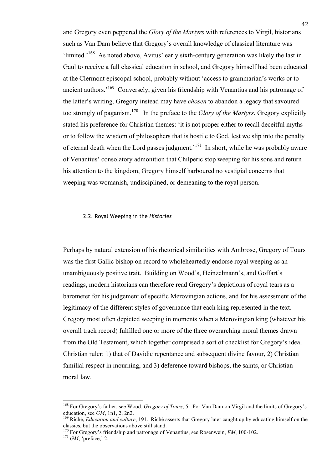and Gregory even peppered the *Glory of the Martyrs* with references to Virgil, historians such as Van Dam believe that Gregory's overall knowledge of classical literature was 'limited.'<sup>168</sup> As noted above, Avitus' early sixth-century generation was likely the last in Gaul to receive a full classical education in school, and Gregory himself had been educated at the Clermont episcopal school, probably without 'access to grammarian's works or to ancient authors.'169 Conversely, given his friendship with Venantius and his patronage of the latter's writing, Gregory instead may have *chosen* to abandon a legacy that savoured too strongly of paganism.170 In the preface to the *Glory of the Martyrs*, Gregory explicitly stated his preference for Christian themes: 'it is not proper either to recall deceitful myths or to follow the wisdom of philosophers that is hostile to God, lest we slip into the penalty of eternal death when the Lord passes judgment.<sup>171</sup> In short, while he was probably aware of Venantius' consolatory admonition that Chilperic stop weeping for his sons and return his attention to the kingdom, Gregory himself harboured no vestigial concerns that weeping was womanish, undisciplined, or demeaning to the royal person.

# 2.2. Royal Weeping in the *Histories*

Perhaps by natural extension of his rhetorical similarities with Ambrose, Gregory of Tours was the first Gallic bishop on record to wholeheartedly endorse royal weeping as an unambiguously positive trait. Building on Wood's, Heinzelmann's, and Goffart's readings, modern historians can therefore read Gregory's depictions of royal tears as a barometer for his judgement of specific Merovingian actions, and for his assessment of the legitimacy of the different styles of governance that each king represented in the text. Gregory most often depicted weeping in moments when a Merovingian king (whatever his overall track record) fulfilled one or more of the three overarching moral themes drawn from the Old Testament, which together comprised a sort of checklist for Gregory's ideal Christian ruler: 1) that of Davidic repentance and subsequent divine favour, 2) Christian familial respect in mourning, and 3) deference toward bishops, the saints, or Christian moral law.

<sup>&</sup>lt;sup>168</sup> For Gregory's father, see Wood, *Gregory of Tours*, 5. For Van Dam on Virgil and the limits of Gregory's education, see *GM*, 1n1, 2, 2n2.

<sup>&</sup>lt;sup>169</sup> Riché, *Education and culture*, 191. Riché asserts that Gregory later caught up by educating himself on the classics, but the observations above still stand.<br><sup>170</sup> For Gregory's friendship and patronage of Venantius, see Rosenwein, *EM*, 100-102.<br><sup>171</sup> *GM*. 'preface,' 2.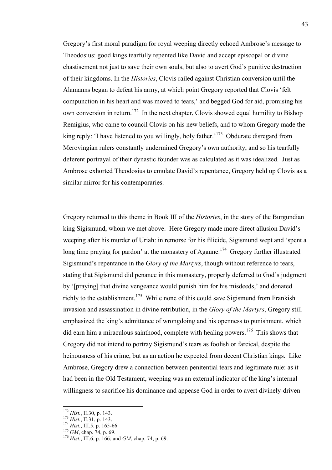Gregory's first moral paradigm for royal weeping directly echoed Ambrose's message to Theodosius: good kings tearfully repented like David and accept episcopal or divine chastisement not just to save their own souls, but also to avert God's punitive destruction of their kingdoms. In the *Histories*, Clovis railed against Christian conversion until the Alamanns began to defeat his army, at which point Gregory reported that Clovis 'felt compunction in his heart and was moved to tears,' and begged God for aid, promising his own conversion in return.<sup>172</sup> In the next chapter, Clovis showed equal humility to Bishop Remigius, who came to council Clovis on his new beliefs, and to whom Gregory made the king reply: 'I have listened to you willingly, holy father.<sup>173</sup> Obdurate disregard from Merovingian rulers constantly undermined Gregory's own authority, and so his tearfully deferent portrayal of their dynastic founder was as calculated as it was idealized. Just as Ambrose exhorted Theodosius to emulate David's repentance, Gregory held up Clovis as a similar mirror for his contemporaries.

Gregory returned to this theme in Book III of the *Histories*, in the story of the Burgundian king Sigismund, whom we met above. Here Gregory made more direct allusion David's weeping after his murder of Uriah: in remorse for his filicide, Sigismund wept and 'spent a long time praying for pardon' at the monastery of Agaune.<sup>174</sup> Gregory further illustrated Sigismund's repentance in the *Glory of the Martyrs*, though without reference to tears, stating that Sigismund did penance in this monastery, properly deferred to God's judgment by '[praying] that divine vengeance would punish him for his misdeeds,' and donated richly to the establishment.<sup>175</sup> While none of this could save Sigismund from Frankish invasion and assassination in divine retribution, in the *Glory of the Martyrs*, Gregory still emphasized the king's admittance of wrongdoing and his openness to punishment, which did earn him a miraculous sainthood, complete with healing powers.<sup>176</sup> This shows that Gregory did not intend to portray Sigismund's tears as foolish or farcical, despite the heinousness of his crime, but as an action he expected from decent Christian kings. Like Ambrose, Gregory drew a connection between penitential tears and legitimate rule: as it had been in the Old Testament, weeping was an external indicator of the king's internal willingness to sacrifice his dominance and appease God in order to avert divinely-driven

<sup>172</sup> *Hist.*, II.30, p. 143.<br>
<sup>173</sup> *Hist.*, II.31, p. 143.<br>
<sup>174</sup> *Hist.*, III.5, p. 165-66.<br>
<sup>176</sup> *GM*, chap. 74, p. 69.<br>
<sup>176</sup> *Hist.*, III.6, p. 166; and *GM*, chap. 74, p. 69.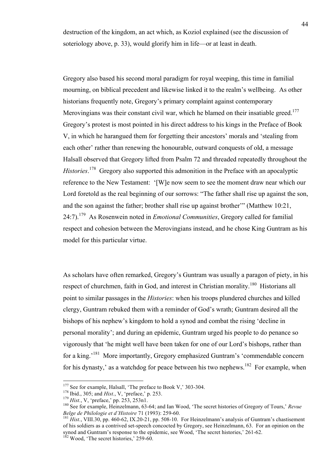destruction of the kingdom, an act which, as Koziol explained (see the discussion of soteriology above, p. 33), would glorify him in life—or at least in death.

Gregory also based his second moral paradigm for royal weeping, this time in familial mourning, on biblical precedent and likewise linked it to the realm's wellbeing. As other historians frequently note, Gregory's primary complaint against contemporary Merovingians was their constant civil war, which he blamed on their insatiable greed.<sup>177</sup> Gregory's protest is most pointed in his direct address to his kings in the Preface of Book V, in which he harangued them for forgetting their ancestors' morals and 'stealing from each other' rather than renewing the honourable, outward conquests of old, a message Halsall observed that Gregory lifted from Psalm 72 and threaded repeatedly throughout the *Histories*. 178 Gregory also supported this admonition in the Preface with an apocalyptic reference to the New Testament: '[W]e now seem to see the moment draw near which our Lord foretold as the real beginning of our sorrows: "The father shall rise up against the son, and the son against the father; brother shall rise up against brother'" (Matthew 10:21, 24:7).179 As Rosenwein noted in *Emotional Communities*, Gregory called for familial respect and cohesion between the Merovingians instead, and he chose King Guntram as his model for this particular virtue.

As scholars have often remarked, Gregory's Guntram was usually a paragon of piety, in his respect of churchmen, faith in God, and interest in Christian morality.<sup>180</sup> Historians all point to similar passages in the *Histories*: when his troops plundered churches and killed clergy, Guntram rebuked them with a reminder of God's wrath; Guntram desired all the bishops of his nephew's kingdom to hold a synod and combat the rising 'decline in personal morality'; and during an epidemic, Guntram urged his people to do penance so vigorously that 'he might well have been taken for one of our Lord's bishops, rather than for a king.<sup>'181</sup> More importantly, Gregory emphasized Guntram's 'commendable concern for his dynasty,' as a watchdog for peace between his two nephews.<sup>182</sup> For example, when

<sup>&</sup>lt;sup>177</sup> See for example, Halsall, 'The preface to Book V,' 303-304.<br><sup>178</sup> Ibid., 305; and *Hist.*, V, 'preface,' p. 253.<br><sup>179</sup> *Hist.*, V, 'preface,' pp. 253, 253n1.<br><sup>180</sup> See for example, Heinzelmann, 63-64; and Ian Wood,

<sup>&</sup>lt;sup>181</sup> Hist., VIII.30, pp. 460-62, IX.20-21, pp. 508-10. For Heinzelmann's analysis of Guntram's chastisement of his soldiers as a contrived set-speech concocted by Gregory, see Heinzelmann, 63. For an opinion on the synod and Guntram's response to the epidemic, see Wood, 'The secret histories,' 261-62.<br><sup>182</sup> Wood, 'The secret histories,' 259-60.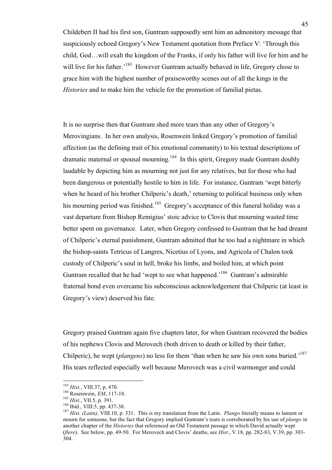Childebert II had his first son, Guntram supposedly sent him an admonitory message that suspiciously echoed Gregory's New Testament quotation from Preface V: 'Through this child, God…will exalt the kingdom of the Franks, if only his father will live for him and he will live for his father.<sup>183</sup> However Guntram actually behaved in life, Gregory chose to grace him with the highest number of praiseworthy scenes out of all the kings in the *Histories* and to make him the vehicle for the promotion of familial pietas.

It is no surprise then that Guntram shed more tears than any other of Gregory's Merovingians. In her own analysis, Rosenwein linked Gregory's promotion of familial affection (as the defining trait of his emotional community) to his textual descriptions of dramatic maternal or spousal mourning.<sup>184</sup> In this spirit, Gregory made Guntram doubly laudable by depicting him as mourning not just for any relatives, but for those who had been dangerous or potentially hostile to him in life. For instance, Guntram 'wept bitterly when he heard of his brother Chilperic's death,' returning to political business only when his mourning period was finished.<sup>185</sup> Gregory's acceptance of this funeral holiday was a vast departure from Bishop Remigius' stoic advice to Clovis that mourning wasted time better spent on governance. Later, when Gregory confessed to Guntram that he had dreamt of Chilperic's eternal punishment, Guntram admitted that he too had a nightmare in which the bishop-saints Tetricus of Langres, Nicetius of Lyons, and Agricola of Chalon took custody of Chilperic's soul in hell, broke his limbs, and boiled him, at which point Guntram recalled that he had 'wept to see what happened.<sup>186</sup> Guntram's admirable fraternal bond even overcame his subconscious acknowledgement that Chilperic (at least in Gregory's view) deserved his fate.

Gregory praised Guntram again five chapters later, for when Guntram recovered the bodies of his nephews Clovis and Merovech (both driven to death or killed by their father, Chilperic), he wept (*plangens*) no less for them 'than when he saw his own sons buried.'187 His tears reflected especially well because Merovech was a civil warmonger and could

<sup>&</sup>lt;sup>183</sup> Hist., VIII.37, p. 470.<br><sup>184</sup> Rosenwein, *EM*, 117-18.<br><sup>185</sup> Hist., VII.5, p. 391.<br><sup>186</sup> Ibid., VIII.5, pp. 437-38.<br><sup>186</sup> Ibid., VIII.5, pp. 437-38.<br><sup>187</sup> Hist. (*Latin*), VIII.10, p. 331. This is my translation fro mourn for someone, but the fact that Gregory implied Guntram's tears is corroborated by his use of *plango* in another chapter of the *Histories* that referenced an Old Testament passage in which David actually wept (*flere*). See below, pp. 49-50. For Merovech and Clovis' deaths, see *Hist.*, V.18, pp. 282-83, V.39, pp. 303- 304.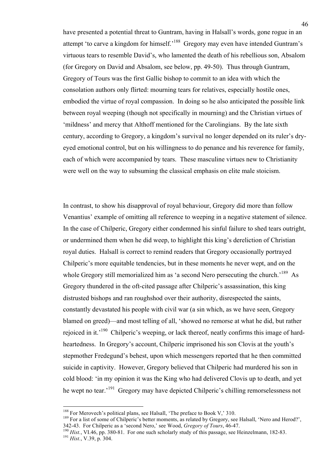have presented a potential threat to Guntram, having in Halsall's words, gone rogue in an attempt 'to carve a kingdom for himself.'<sup>188</sup> Gregory may even have intended Guntram's virtuous tears to resemble David's, who lamented the death of his rebellious son, Absalom (for Gregory on David and Absalom, see below, pp. 49-50). Thus through Guntram, Gregory of Tours was the first Gallic bishop to commit to an idea with which the consolation authors only flirted: mourning tears for relatives, especially hostile ones, embodied the virtue of royal compassion. In doing so he also anticipated the possible link between royal weeping (though not specifically in mourning) and the Christian virtues of 'mildness' and mercy that Althoff mentioned for the Carolingians. By the late sixth century, according to Gregory, a kingdom's survival no longer depended on its ruler's dryeyed emotional control, but on his willingness to do penance and his reverence for family, each of which were accompanied by tears. These masculine virtues new to Christianity were well on the way to subsuming the classical emphasis on elite male stoicism.

In contrast, to show his disapproval of royal behaviour, Gregory did more than follow Venantius' example of omitting all reference to weeping in a negative statement of silence. In the case of Chilperic, Gregory either condemned his sinful failure to shed tears outright, or undermined them when he did weep, to highlight this king's dereliction of Christian royal duties. Halsall is correct to remind readers that Gregory occasionally portrayed Chilperic's more equitable tendencies, but in these moments he never wept, and on the whole Gregory still memorialized him as 'a second Nero persecuting the church.<sup>189</sup> As Gregory thundered in the oft-cited passage after Chilperic's assassination, this king distrusted bishops and ran roughshod over their authority, disrespected the saints, constantly devastated his people with civil war (a sin which, as we have seen, Gregory blamed on greed)—and most telling of all, 'showed no remorse at what he did, but rather rejoiced in it.<sup>190</sup> Chilperic's weeping, or lack thereof, neatly confirms this image of hardheartedness. In Gregory's account, Chilperic imprisoned his son Clovis at the youth's stepmother Fredegund's behest, upon which messengers reported that he then committed suicide in captivity. However, Gregory believed that Chilperic had murdered his son in cold blood: 'in my opinion it was the King who had delivered Clovis up to death, and yet he wept no tear.<sup>191</sup> Gregory may have depicted Chilperic's chilling remorselessness not

<sup>&</sup>lt;sup>188</sup> For Merovech's political plans, see Halsall, 'The preface to Book V,' 310.<br><sup>189</sup> For a list of some of Chilperic's better moments, as related by Gregory, see Halsall, 'Nero and Herod?',<br>342-43. For Chilperic as a 's

<sup>&</sup>lt;sup>190</sup> Hist., VI.46, pp. 380-81. For one such scholarly study of this passage, see Heinzelmann, 182-83. <sup>191</sup> Hist., V.39, p. 304.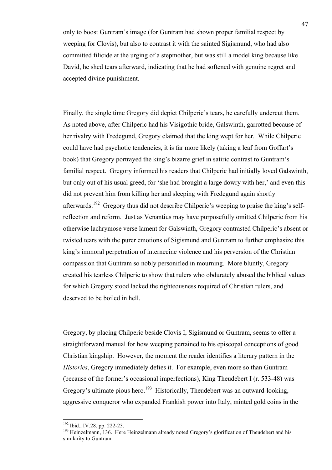only to boost Guntram's image (for Guntram had shown proper familial respect by weeping for Clovis), but also to contrast it with the sainted Sigismund, who had also committed filicide at the urging of a stepmother, but was still a model king because like David, he shed tears afterward, indicating that he had softened with genuine regret and accepted divine punishment.

Finally, the single time Gregory did depict Chilperic's tears, he carefully undercut them. As noted above, after Chilperic had his Visigothic bride, Galswinth, garrotted because of her rivalry with Fredegund, Gregory claimed that the king wept for her. While Chilperic could have had psychotic tendencies, it is far more likely (taking a leaf from Goffart's book) that Gregory portrayed the king's bizarre grief in satiric contrast to Guntram's familial respect. Gregory informed his readers that Chilperic had initially loved Galswinth, but only out of his usual greed, for 'she had brought a large dowry with her,' and even this did not prevent him from killing her and sleeping with Fredegund again shortly afterwards.<sup>192</sup> Gregory thus did not describe Chilperic's weeping to praise the king's selfreflection and reform. Just as Venantius may have purposefully omitted Chilperic from his otherwise lachrymose verse lament for Galswinth, Gregory contrasted Chilperic's absent or twisted tears with the purer emotions of Sigismund and Guntram to further emphasize this king's immoral perpetration of internecine violence and his perversion of the Christian compassion that Guntram so nobly personified in mourning. More bluntly, Gregory created his tearless Chilperic to show that rulers who obdurately abused the biblical values for which Gregory stood lacked the righteousness required of Christian rulers, and deserved to be boiled in hell.

Gregory, by placing Chilperic beside Clovis I, Sigismund or Guntram, seems to offer a straightforward manual for how weeping pertained to his episcopal conceptions of good Christian kingship. However, the moment the reader identifies a literary pattern in the *Histories*, Gregory immediately defies it. For example, even more so than Guntram (because of the former's occasional imperfections), King Theudebert I (r. 533-48) was Gregory's ultimate pious hero.<sup>193</sup> Historically, Theudebert was an outward-looking, aggressive conqueror who expanded Frankish power into Italy, minted gold coins in the

<sup>&</sup>lt;sup>192</sup> Ibid., IV.28, pp. 222-23.<br><sup>193</sup> Heinzelmann, 136. Here Heinzelmann already noted Gregory's glorification of Theudebert and his similarity to Guntram.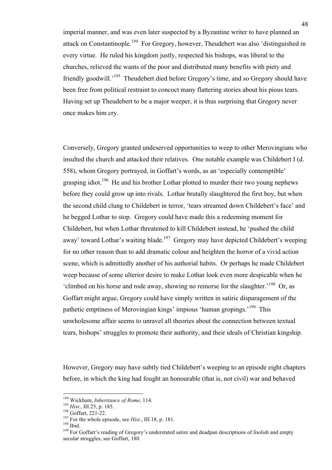imperial manner, and was even later suspected by a Byzantine writer to have planned an attack on Constantinople.<sup>194</sup> For Gregory, however, Theudebert was also 'distinguished in every virtue. He ruled his kingdom justly, respected his bishops, was liberal to the churches, relieved the wants of the poor and distributed many benefits with piety and friendly goodwill.'195 Theudebert died before Gregory's time, and so Gregory should have been free from political restraint to concoct many flattering stories about his pious tears. Having set up Theudebert to be a major weeper, it is thus surprising that Gregory never once makes him cry.

Conversely, Gregory granted undeserved opportunities to weep to other Merovingians who insulted the church and attacked their relatives. One notable example was Childebert I (d. 558), whom Gregory portrayed, in Goffart's words, as an 'especially contemptible' grasping idiot.<sup>196</sup> He and his brother Lothar plotted to murder their two young nephews before they could grow up into rivals. Lothar brutally slaughtered the first boy, but when the second child clung to Childebert in terror, 'tears streamed down Childebert's face' and he begged Lothar to stop. Gregory could have made this a redeeming moment for Childebert, but when Lothar threatened to kill Childebert instead, he 'pushed the child away' toward Lothar's waiting blade.<sup>197</sup> Gregory may have depicted Childebert's weeping for no other reason than to add dramatic colour and heighten the horror of a vivid action scene, which is admittedly another of his authorial habits. Or perhaps he made Childebert weep because of some ulterior desire to make Lothar look even more despicable when he 'climbed on his horse and rode away, showing no remorse for the slaughter.'<sup>198</sup> Or, as Goffart might argue, Gregory could have simply written in satiric disparagement of the pathetic emptiness of Merovingian kings' impious 'human gropings.<sup>'199</sup> This unwholesome affair seems to unravel all theories about the connection between textual tears, bishops' struggles to promote their authority, and their ideals of Christian kingship.

However, Gregory may have subtly tied Childebert's weeping to an episode eight chapters before, in which the king had fought an honourable (that is, not civil) war and behaved

<sup>&</sup>lt;sup>194</sup> Wickham, *Inheritance of Rome*, 114.<br><sup>195</sup> *Hist.*, III.25, p. 185.<br><sup>196</sup> Goffart, 221-22.<br><sup>197</sup> For the whole episode, see *Hist.*, III.18, p. 181.<br><sup>198</sup> Ibid.<br><sup>198</sup> For Goffart's reading of Gregory's understated s secular struggles, see Goffart, 180.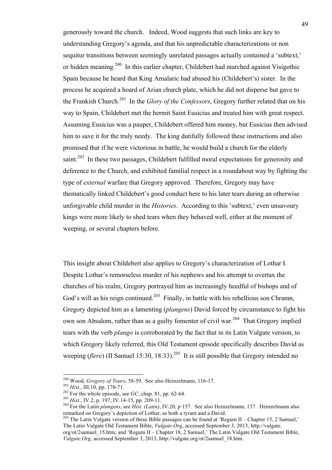generously toward the church. Indeed, Wood suggests that such links are key to understanding Gregory's agenda, and that his unpredictable characterizations or non sequitur transitions between seemingly unrelated passages actually contained a 'subtext,' or hidden meaning.<sup>200</sup> In this earlier chapter, Childebert had marched against Visigothic Spain because he heard that King Amalaric had abused his (Childebert's) sister. In the process he acquired a hoard of Arian church plate, which he did not disperse but gave to the Frankish Church.201 In the *Glory of the Confessors*, Gregory further related that on his way to Spain, Childebert met the hermit Saint Eusicius and treated him with great respect. Assuming Eusicius was a pauper, Childebert offered him money, but Eusicius then advised him to save it for the truly needy. The king dutifully followed these instructions and also promised that if he were victorious in battle, he would build a church for the elderly saint.<sup>202</sup> In these two passages, Childebert fulfilled moral expectations for generosity and deference to the Church, and exhibited familial respect in a roundabout way by fighting the type of *external* warfare that Gregory approved. Therefore, Gregory may have thematically linked Childebert's good conduct here to his later tears during an otherwise unforgivable child murder in the *Histories*. According to this 'subtext,' even unsavoury kings were more likely to shed tears when they behaved well, either at the moment of weeping, or several chapters before.

This insight about Childebert also applies to Gregory's characterization of Lothar I. Despite Lothar's remorseless murder of his nephews and his attempt to overtax the churches of his realm, Gregory portrayed him as increasingly heedful of bishops and of God's will as his reign continued.<sup>203</sup> Finally, in battle with his rebellious son Chramn, Gregory depicted him as a lamenting (*plangens*) David forced by circumstance to fight his own son Absalom, rather than as a guilty fomenter of civil war.<sup>204</sup> That Gregory implied tears with the verb *plango* is corroborated by the fact that in its Latin Vulgate version, to which Gregory likely referred, this Old Testament episode specifically describes David as weeping (*flere*) (II Samuel 15:30, 18:33).<sup>205</sup> It is still possible that Gregory intended no

<sup>&</sup>lt;sup>200</sup> Wood, *Gregory of Tours*, 58-59. See also Heinzelmann, 116-17.<br><sup>201</sup> *Hist*., III.10, pp. 170-71.<br><sup>202</sup> For the whole episode, see *GC*, chap. 81, pp. 62-64.<br><sup>203</sup> *Hist*., IV.2, p. 197, IV.14-15, pp. 209-11.<br><sup>204</sup>

<sup>&</sup>lt;sup>205</sup> The Latin Vulgate version of these Bible passages can be found at 'Regum II – Chapter 15, 2 Samuel,' The Latin Vulgate Old Testament Bible, *Vulgate.Org*, accessed September 3, 2013, http://vulgate.

org/ot/2samuel\_15.htm; and 'Regum II – Chapter 18, 2 Samuel,' The Latin Vulgate Old Testament Bible, *Vulgate.Org*, accessed September 3, 2013, http://vulgate.org/ot/2samuel\_18.htm.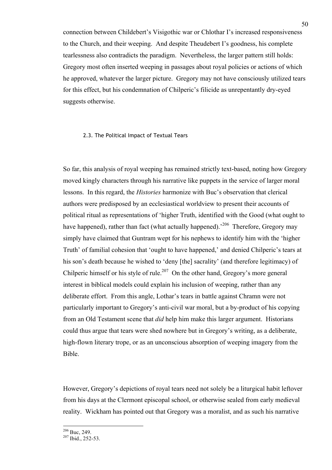connection between Childebert's Visigothic war or Chlothar I's increased responsiveness to the Church, and their weeping. And despite Theudebert I's goodness, his complete tearlessness also contradicts the paradigm. Nevertheless, the larger pattern still holds: Gregory most often inserted weeping in passages about royal policies or actions of which he approved, whatever the larger picture. Gregory may not have consciously utilized tears for this effect, but his condemnation of Chilperic's filicide as unrepentantly dry-eyed suggests otherwise.

# 2.3. The Political Impact of Textual Tears

So far, this analysis of royal weeping has remained strictly text-based, noting how Gregory moved kingly characters through his narrative like puppets in the service of larger moral lessons. In this regard, the *Histories* harmonize with Buc's observation that clerical authors were predisposed by an ecclesiastical worldview to present their accounts of political ritual as representations of 'higher Truth, identified with the Good (what ought to have happened), rather than fact (what actually happened).<sup>206</sup> Therefore, Gregory may simply have claimed that Guntram wept for his nephews to identify him with the 'higher Truth' of familial cohesion that 'ought to have happened,' and denied Chilperic's tears at his son's death because he wished to 'deny [the] sacrality' (and therefore legitimacy) of Chilperic himself or his style of rule.<sup>207</sup> On the other hand, Gregory's more general interest in biblical models could explain his inclusion of weeping, rather than any deliberate effort. From this angle, Lothar's tears in battle against Chramn were not particularly important to Gregory's anti-civil war moral, but a by-product of his copying from an Old Testament scene that *did* help him make this larger argument. Historians could thus argue that tears were shed nowhere but in Gregory's writing, as a deliberate, high-flown literary trope, or as an unconscious absorption of weeping imagery from the Bible.

However, Gregory's depictions of royal tears need not solely be a liturgical habit leftover from his days at the Clermont episcopal school, or otherwise sealed from early medieval reality. Wickham has pointed out that Gregory was a moralist, and as such his narrative

 $^{206}$  Buc, 249.<br> $^{207}$  Ibid., 252-53.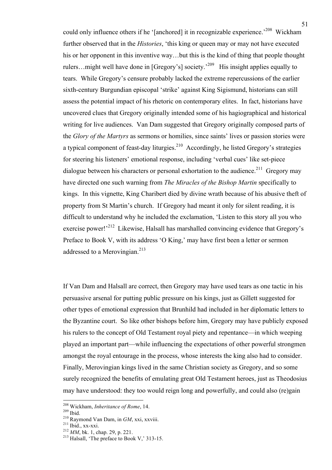could only influence others if he '[anchored] it in recognizable experience.<sup>208</sup> Wickham further observed that in the *Histories*, 'this king or queen may or may not have executed his or her opponent in this inventive way...but this is the kind of thing that people thought rulers…might well have done in [Gregory's] society.'209 His insight applies equally to tears. While Gregory's censure probably lacked the extreme repercussions of the earlier sixth-century Burgundian episcopal 'strike' against King Sigismund, historians can still assess the potential impact of his rhetoric on contemporary elites. In fact, historians have uncovered clues that Gregory originally intended some of his hagiographical and historical writing for live audiences. Van Dam suggested that Gregory originally composed parts of the *Glory of the Martyrs* as sermons or homilies, since saints' lives or passion stories were a typical component of feast-day liturgies.<sup>210</sup> Accordingly, he listed Gregory's strategies for steering his listeners' emotional response, including 'verbal cues' like set-piece dialogue between his characters or personal exhortation to the audience.<sup>211</sup> Gregory may have directed one such warning from *The Miracles of the Bishop Martin* specifically to kings. In this vignette, King Charibert died by divine wrath because of his abusive theft of property from St Martin's church. If Gregory had meant it only for silent reading, it is difficult to understand why he included the exclamation, 'Listen to this story all you who exercise power!<sup>212</sup> Likewise, Halsall has marshalled convincing evidence that Gregory's Preface to Book V, with its address 'O King,' may have first been a letter or sermon addressed to a Merovingian.<sup>213</sup>

If Van Dam and Halsall are correct, then Gregory may have used tears as one tactic in his persuasive arsenal for putting public pressure on his kings, just as Gillett suggested for other types of emotional expression that Brunhild had included in her diplomatic letters to the Byzantine court. So like other bishops before him, Gregory may have publicly exposed his rulers to the concept of Old Testament royal piety and repentance—in which weeping played an important part—while influencing the expectations of other powerful strongmen amongst the royal entourage in the process, whose interests the king also had to consider. Finally, Merovingian kings lived in the same Christian society as Gregory, and so some surely recognized the benefits of emulating great Old Testament heroes, just as Theodosius may have understood: they too would reign long and powerfully, and could also (re)gain

<sup>&</sup>lt;sup>208</sup> Wickham, *Inheritance of Rome*, 14.<br><sup>210</sup> Raymond Van Dam, in *GM*, xxi, xxviii.<br><sup>211</sup> Ibid., xx-xxi.<br><sup>212</sup> *MM*, bk. 1, chap. 29, p. 221.<br><sup>213</sup> Halsall. 'The preface to Book V.' 313-15.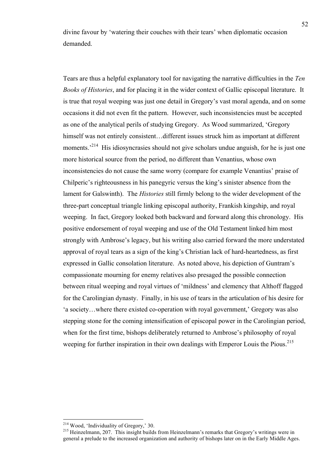divine favour by 'watering their couches with their tears' when diplomatic occasion demanded.

Tears are thus a helpful explanatory tool for navigating the narrative difficulties in the *Ten Books of Histories*, and for placing it in the wider context of Gallic episcopal literature. It is true that royal weeping was just one detail in Gregory's vast moral agenda, and on some occasions it did not even fit the pattern. However, such inconsistencies must be accepted as one of the analytical perils of studying Gregory. As Wood summarized, 'Gregory himself was not entirely consistent...different issues struck him as important at different moments.<sup>214</sup> His idiosyncrasies should not give scholars undue anguish, for he is just one more historical source from the period, no different than Venantius, whose own inconsistencies do not cause the same worry (compare for example Venantius' praise of Chilperic's righteousness in his panegyric versus the king's sinister absence from the lament for Galswinth). The *Histories* still firmly belong to the wider development of the three-part conceptual triangle linking episcopal authority, Frankish kingship, and royal weeping. In fact, Gregory looked both backward and forward along this chronology. His positive endorsement of royal weeping and use of the Old Testament linked him most strongly with Ambrose's legacy, but his writing also carried forward the more understated approval of royal tears as a sign of the king's Christian lack of hard-heartedness, as first expressed in Gallic consolation literature. As noted above, his depiction of Guntram's compassionate mourning for enemy relatives also presaged the possible connection between ritual weeping and royal virtues of 'mildness' and clemency that Althoff flagged for the Carolingian dynasty. Finally, in his use of tears in the articulation of his desire for 'a society…where there existed co-operation with royal government,' Gregory was also stepping stone for the coming intensification of episcopal power in the Carolingian period, when for the first time, bishops deliberately returned to Ambrose's philosophy of royal weeping for further inspiration in their own dealings with Emperor Louis the Pious.<sup>215</sup>

<sup>&</sup>lt;sup>214</sup> Wood, 'Individuality of Gregory,' 30.<br><sup>215</sup> Heinzelmann, 207. This insight builds from Heinzelmann's remarks that Gregory's writings were in general a prelude to the increased organization and authority of bishops later on in the Early Middle Ages.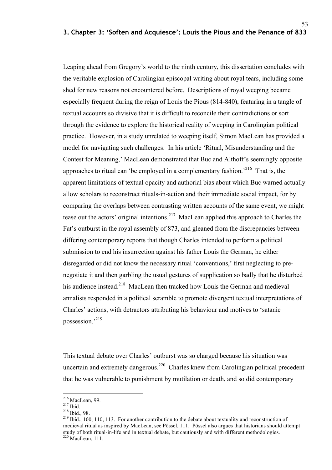53

Leaping ahead from Gregory's world to the ninth century, this dissertation concludes with the veritable explosion of Carolingian episcopal writing about royal tears, including some shed for new reasons not encountered before. Descriptions of royal weeping became especially frequent during the reign of Louis the Pious (814-840), featuring in a tangle of textual accounts so divisive that it is difficult to reconcile their contradictions or sort through the evidence to explore the historical reality of weeping in Carolingian political practice. However, in a study unrelated to weeping itself, Simon MacLean has provided a model for navigating such challenges. In his article 'Ritual, Misunderstanding and the Contest for Meaning,' MacLean demonstrated that Buc and Althoff's seemingly opposite approaches to ritual can 'be employed in a complementary fashion.<sup>216</sup> That is, the apparent limitations of textual opacity and authorial bias about which Buc warned actually allow scholars to reconstruct rituals-in-action and their immediate social impact, for by comparing the overlaps between contrasting written accounts of the same event, we might tease out the actors' original intentions.<sup>217</sup> MacLean applied this approach to Charles the Fat's outburst in the royal assembly of 873, and gleaned from the discrepancies between differing contemporary reports that though Charles intended to perform a political submission to end his insurrection against his father Louis the German, he either disregarded or did not know the necessary ritual 'conventions,' first neglecting to prenegotiate it and then garbling the usual gestures of supplication so badly that he disturbed his audience instead.<sup>218</sup> MacLean then tracked how Louis the German and medieval annalists responded in a political scramble to promote divergent textual interpretations of Charles' actions, with detractors attributing his behaviour and motives to 'satanic possession.'219

This textual debate over Charles' outburst was so charged because his situation was uncertain and extremely dangerous.<sup>220</sup> Charles knew from Carolingian political precedent that he was vulnerable to punishment by mutilation or death, and so did contemporary

<sup>&</sup>lt;sup>216</sup> MacLean, 99.<br><sup>217</sup> Ibid. <sup>218</sup> Ibid., 98.<br><sup>219</sup> Ibid., 100, 110, 113. For another contribution to the debate about textuality and reconstruction of medieval ritual as inspired by MacLean, see Pössel, 111. Pössel also argues that historians should attempt study of both ritual-in-life and in textual debate, but cautiously and with different methodologies.<br><sup>220</sup> MacLean, 111.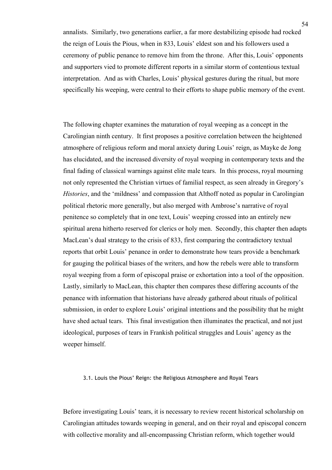annalists. Similarly, two generations earlier, a far more destabilizing episode had rocked the reign of Louis the Pious, when in 833, Louis' eldest son and his followers used a ceremony of public penance to remove him from the throne. After this, Louis' opponents and supporters vied to promote different reports in a similar storm of contentious textual interpretation. And as with Charles, Louis' physical gestures during the ritual, but more specifically his weeping, were central to their efforts to shape public memory of the event.

The following chapter examines the maturation of royal weeping as a concept in the Carolingian ninth century. It first proposes a positive correlation between the heightened atmosphere of religious reform and moral anxiety during Louis' reign, as Mayke de Jong has elucidated, and the increased diversity of royal weeping in contemporary texts and the final fading of classical warnings against elite male tears. In this process, royal mourning not only represented the Christian virtues of familial respect, as seen already in Gregory's *Histories*, and the 'mildness' and compassion that Althoff noted as popular in Carolingian political rhetoric more generally, but also merged with Ambrose's narrative of royal penitence so completely that in one text, Louis' weeping crossed into an entirely new spiritual arena hitherto reserved for clerics or holy men. Secondly, this chapter then adapts MacLean's dual strategy to the crisis of 833, first comparing the contradictory textual reports that orbit Louis' penance in order to demonstrate how tears provide a benchmark for gauging the political biases of the writers, and how the rebels were able to transform royal weeping from a form of episcopal praise or exhortation into a tool of the opposition. Lastly, similarly to MacLean, this chapter then compares these differing accounts of the penance with information that historians have already gathered about rituals of political submission, in order to explore Louis' original intentions and the possibility that he might have shed actual tears. This final investigation then illuminates the practical, and not just ideological, purposes of tears in Frankish political struggles and Louis' agency as the weeper himself.

# 3.1. Louis the Pious' Reign: the Religious Atmosphere and Royal Tears

Before investigating Louis' tears, it is necessary to review recent historical scholarship on Carolingian attitudes towards weeping in general, and on their royal and episcopal concern with collective morality and all-encompassing Christian reform, which together would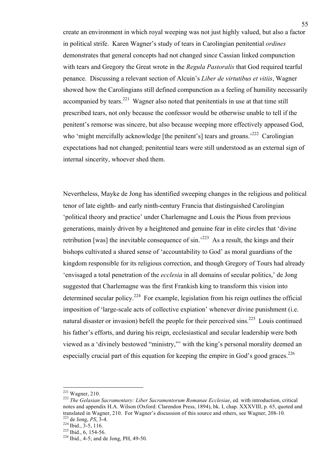create an environment in which royal weeping was not just highly valued, but also a factor in political strife. Karen Wagner's study of tears in Carolingian penitential *ordines* demonstrates that general concepts had not changed since Cassian linked compunction with tears and Gregory the Great wrote in the *Regula Pastoralis* that God required tearful penance. Discussing a relevant section of Alcuin's *Liber de virtutibus et vitiis*, Wagner showed how the Carolingians still defined compunction as a feeling of humility necessarily accompanied by tears.<sup>221</sup> Wagner also noted that penitentials in use at that time still prescribed tears, not only because the confessor would be otherwise unable to tell if the penitent's remorse was sincere, but also because weeping more effectively appeased God, who 'might mercifully acknowledge [the penitent's] tears and groans.<sup>222</sup> Carolingian expectations had not changed; penitential tears were still understood as an external sign of internal sincerity, whoever shed them.

Nevertheless, Mayke de Jong has identified sweeping changes in the religious and political tenor of late eighth- and early ninth-century Francia that distinguished Carolingian 'political theory and practice' under Charlemagne and Louis the Pious from previous generations, mainly driven by a heightened and genuine fear in elite circles that 'divine retribution [was] the inevitable consequence of  $\sin^{223}$  As a result, the kings and their bishops cultivated a shared sense of 'accountability to God' as moral guardians of the kingdom responsible for its religious correction, and though Gregory of Tours had already 'envisaged a total penetration of the *ecclesia* in all domains of secular politics,' de Jong suggested that Charlemagne was the first Frankish king to transform this vision into determined secular policy.<sup>224</sup> For example, legislation from his reign outlines the official imposition of 'large-scale acts of collective expiation' whenever divine punishment (i.e. natural disaster or invasion) befell the people for their perceived sins.<sup>225</sup> Louis continued his father's efforts, and during his reign, ecclesiastical and secular leadership were both viewed as a 'divinely bestowed "ministry,"' with the king's personal morality deemed an especially crucial part of this equation for keeping the empire in God's good graces. $^{226}$ 

<sup>&</sup>lt;sup>221</sup> Wagner, 210.<br><sup>222</sup> *The Gelasian Sacramentary: Liber Sacramentorum Romanae Ecclesiae*, ed. with introduction, critical notes and appendix H.A. Wilson (Oxford: Clarendon Press, 1894), bk. I, chap. XXXVIII, p. 65, quoted and translated in Wagner, 210. For Wagner's discussion of this source and others, see Wagner, 208-10.<br><sup>223</sup> de Jong, *PS*, 3-4.<br><sup>224</sup> Ibid., 3-5, 116.<br><sup>225</sup> Ibid., 6, 154-56.<br><sup>226</sup> Ibid., 4-5; and de Jong, PH, 49-50.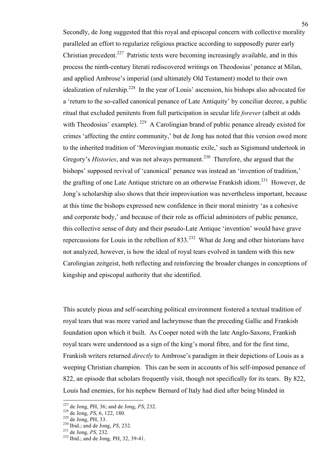Secondly, de Jong suggested that this royal and episcopal concern with collective morality paralleled an effort to regularize religious practice according to supposedly purer early Christian precedent.<sup>227</sup> Patristic texts were becoming increasingly available, and in this process the ninth-century literati rediscovered writings on Theodosius' penance at Milan, and applied Ambrose's imperial (and ultimately Old Testament) model to their own idealization of rulership.<sup>228</sup> In the year of Louis' ascension, his bishops also advocated for a 'return to the so-called canonical penance of Late Antiquity' by conciliar decree, a public ritual that excluded penitents from full participation in secular life *forever* (albeit at odds with Theodosius' example). <sup>229</sup> A Carolingian brand of public penance already existed for crimes 'affecting the entire community,' but de Jong has noted that this version owed more to the inherited tradition of 'Merovingian monastic exile,' such as Sigismund undertook in Gregory's *Histories*, and was not always permanent.<sup>230</sup> Therefore, she argued that the bishops' supposed revival of 'canonical' penance was instead an 'invention of tradition,' the grafting of one Late Antique stricture on an otherwise Frankish idiom.<sup>231</sup> However, de Jong's scholarship also shows that their improvisation was nevertheless important, because at this time the bishops expressed new confidence in their moral ministry 'as a cohesive and corporate body,' and because of their role as official administers of public penance, this collective sense of duty and their pseudo-Late Antique 'invention' would have grave repercussions for Louis in the rebellion of  $833.^{232}$  What de Jong and other historians have not analyzed, however, is how the ideal of royal tears evolved in tandem with this new Carolingian zeitgeist, both reflecting and reinforcing the broader changes in conceptions of kingship and episcopal authority that she identified.

This acutely pious and self-searching political environment fostered a textual tradition of royal tears that was more varied and lachrymose than the preceding Gallic and Frankish foundation upon which it built. As Cooper noted with the late Anglo-Saxons, Frankish royal tears were understood as a sign of the king's moral fibre, and for the first time, Frankish writers returned *directly* to Ambrose's paradigm in their depictions of Louis as a weeping Christian champion. This can be seen in accounts of his self-imposed penance of 822, an episode that scholars frequently visit, though not specifically for its tears. By 822, Louis had enemies, for his nephew Bernard of Italy had died after being blinded in

<sup>&</sup>lt;sup>227</sup> de Jong, PH, 36; and de Jong, *PS*, 232.<br><sup>228</sup> de Jong, *PS*, 6, 122, 180.<br><sup>229</sup> de Jong, PH, 33.<br><sup>230</sup> Ibid.; and de Jong, *PS*, 232.<br><sup>231</sup> de Jong, *PS*, 232.<br><sup>232</sup> Ibid.; and de Jong, PH, 32, 39-41.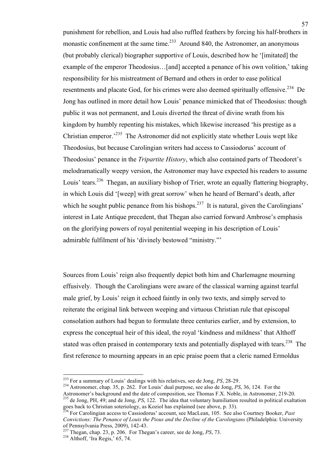punishment for rebellion, and Louis had also ruffled feathers by forcing his half-brothers in monastic confinement at the same time.<sup>233</sup> Around 840, the Astronomer, an anonymous (but probably clerical) biographer supportive of Louis, described how he '[imitated] the example of the emperor Theodosius...[and] accepted a penance of his own volition,' taking responsibility for his mistreatment of Bernard and others in order to ease political resentments and placate God, for his crimes were also deemed spiritually offensive.<sup>234</sup> De Jong has outlined in more detail how Louis' penance mimicked that of Theodosius: though public it was not permanent, and Louis diverted the threat of divine wrath from his kingdom by humbly repenting his mistakes, which likewise increased 'his prestige as a Christian emperor.<sup>235</sup> The Astronomer did not explicitly state whether Louis wept like Theodosius, but because Carolingian writers had access to Cassiodorus' account of Theodosius' penance in the *Tripartite History*, which also contained parts of Theodoret's melodramatically weepy version, the Astronomer may have expected his readers to assume Louis' tears.<sup>236</sup> Thegan, an auxiliary bishop of Trier, wrote an equally flattering biography, in which Louis did '[weep] with great sorrow' when he heard of Bernard's death, after which he sought public penance from his bishops.<sup>237</sup> It is natural, given the Carolingians' interest in Late Antique precedent, that Thegan also carried forward Ambrose's emphasis on the glorifying powers of royal penitential weeping in his description of Louis' admirable fulfilment of his 'divinely bestowed "ministry."'

Sources from Louis' reign also frequently depict both him and Charlemagne mourning effusively. Though the Carolingians were aware of the classical warning against tearful male grief, by Louis' reign it echoed faintly in only two texts, and simply served to reiterate the original link between weeping and virtuous Christian rule that episcopal consolation authors had begun to formulate three centuries earlier, and by extension, to express the conceptual heir of this ideal, the royal 'kindness and mildness' that Althoff stated was often praised in contemporary texts and potentially displayed with tears.<sup>238</sup> The first reference to mourning appears in an epic praise poem that a cleric named Ermoldus

<sup>&</sup>lt;sup>233</sup> For a summary of Louis' dealings with his relatives, see de Jong, *PS*, 28-29.<br><sup>234</sup> Astronomer, chap. 35, p. 262. For Louis' dual purpose, see also de Jong, *PS*, 36, 124. For the Astronomer's background and the date of composition, see Thomas F.X. Noble, in Astronomer, 219-20.<br><sup>235</sup> de Jong, PH, 49; and de Jong, *PS*, 122. The idea that voluntary humiliation resulted in political exaltation

goes back to Christian soteriology, as Koziol has explained (see above, p. 33).<br><sup>236</sup> For Carolingian access to Cassiodorus' account, see MacLean, 105. See also Courtney Booker, *Past* 

*Convictions: The Penance of Louis the Pious and the Decline of the Carolingians* (Philadelphia: University

<sup>&</sup>lt;sup>237</sup> Thegan, chap. 23, p. 206. For Thegan's career, see de Jong, *PS*, 73. <sup>238</sup> Althoff, 'Ira Regis,' 65, 74.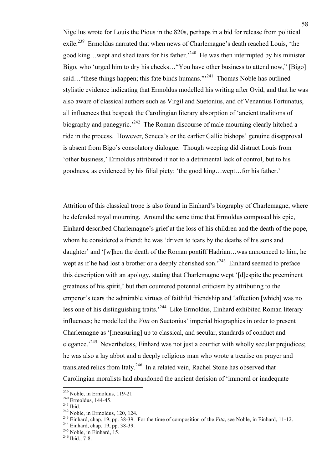Nigellus wrote for Louis the Pious in the 820s, perhaps in a bid for release from political exile.<sup>239</sup> Ermoldus narrated that when news of Charlemagne's death reached Louis, 'the good king…wept and shed tears for his father.<sup>240</sup> He was then interrupted by his minister Bigo, who 'urged him to dry his cheeks…"You have other business to attend now," [Bigo] said... "these things happen; this fate binds humans."<sup>241</sup> Thomas Noble has outlined stylistic evidence indicating that Ermoldus modelled his writing after Ovid, and that he was also aware of classical authors such as Virgil and Suetonius, and of Venantius Fortunatus, all influences that bespeak the Carolingian literary absorption of 'ancient traditions of biography and panegyric.<sup> $242$ </sup> The Roman discourse of male mourning clearly hitched a ride in the process. However, Seneca's or the earlier Gallic bishops' genuine disapproval is absent from Bigo's consolatory dialogue. Though weeping did distract Louis from 'other business,' Ermoldus attributed it not to a detrimental lack of control, but to his goodness, as evidenced by his filial piety: 'the good king…wept…for his father.'

Attrition of this classical trope is also found in Einhard's biography of Charlemagne, where he defended royal mourning. Around the same time that Ermoldus composed his epic, Einhard described Charlemagne's grief at the loss of his children and the death of the pope, whom he considered a friend: he was 'driven to tears by the deaths of his sons and daughter' and '[w]hen the death of the Roman pontiff Hadrian…was announced to him, he wept as if he had lost a brother or a deeply cherished son.<sup>243</sup> Einhard seemed to preface this description with an apology, stating that Charlemagne wept '[d]espite the preeminent greatness of his spirit,' but then countered potential criticism by attributing to the emperor's tears the admirable virtues of faithful friendship and 'affection [which] was no less one of his distinguishing traits.<sup>244</sup> Like Ermoldus, Einhard exhibited Roman literary influences; he modelled the *Vita* on Suetonius' imperial biographies in order to present Charlemagne as '[measuring] up to classical, and secular, standards of conduct and elegance.<sup>245</sup> Nevertheless, Einhard was not just a courtier with wholly secular prejudices; he was also a lay abbot and a deeply religious man who wrote a treatise on prayer and translated relics from Italy.<sup>246</sup> In a related vein, Rachel Stone has observed that Carolingian moralists had abandoned the ancient derision of 'immoral or inadequate

<sup>&</sup>lt;sup>239</sup> Noble, in Ermoldus, 119-21.<br>
<sup>240</sup> Ermoldus, 144-45.<br>
<sup>241</sup> Ibid.<br>
<sup>242</sup> Noble, in Ermoldus, 120, 124.<br>
<sup>243</sup> Einhard, chap. 19, pp. 38-39. For the time of composition of the *Vita*, see Noble, in Einhard, 11-12.<br>
<sup></sup>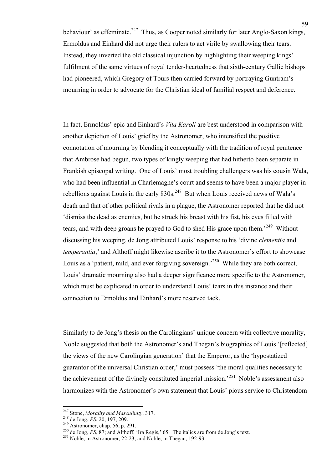behaviour' as effeminate.<sup>247</sup> Thus, as Cooper noted similarly for later Anglo-Saxon kings, Ermoldus and Einhard did not urge their rulers to act virile by swallowing their tears. Instead, they inverted the old classical injunction by highlighting their weeping kings' fulfilment of the same virtues of royal tender-heartedness that sixth-century Gallic bishops had pioneered, which Gregory of Tours then carried forward by portraying Guntram's mourning in order to advocate for the Christian ideal of familial respect and deference.

In fact, Ermoldus' epic and Einhard's *Vita Karoli* are best understood in comparison with another depiction of Louis' grief by the Astronomer, who intensified the positive connotation of mourning by blending it conceptually with the tradition of royal penitence that Ambrose had begun, two types of kingly weeping that had hitherto been separate in Frankish episcopal writing. One of Louis' most troubling challengers was his cousin Wala, who had been influential in Charlemagne's court and seems to have been a major player in rebellions against Louis in the early  $830s^{248}$  But when Louis received news of Wala's death and that of other political rivals in a plague, the Astronomer reported that he did not 'dismiss the dead as enemies, but he struck his breast with his fist, his eyes filled with tears, and with deep groans he prayed to God to shed His grace upon them.<sup>249</sup> Without discussing his weeping, de Jong attributed Louis' response to his 'divine *clementia* and *temperantia*,' and Althoff might likewise ascribe it to the Astronomer's effort to showcase Louis as a 'patient, mild, and ever forgiving sovereign.<sup>250</sup> While they are both correct, Louis' dramatic mourning also had a deeper significance more specific to the Astronomer, which must be explicated in order to understand Louis' tears in this instance and their connection to Ermoldus and Einhard's more reserved tack.

Similarly to de Jong's thesis on the Carolingians' unique concern with collective morality, Noble suggested that both the Astronomer's and Thegan's biographies of Louis '[reflected] the views of the new Carolingian generation' that the Emperor, as the 'hypostatized guarantor of the universal Christian order,' must possess 'the moral qualities necessary to the achievement of the divinely constituted imperial mission.<sup>251</sup> Noble's assessment also harmonizes with the Astronomer's own statement that Louis' pious service to Christendom

<sup>&</sup>lt;sup>247</sup> Stone, *Morality and Masculinity*, 317.<br><sup>248</sup> de Jong, *PS*, 20, 197, 209.<br><sup>249</sup> Astronomer, chap. 56, p. 291.<br><sup>250</sup> de Jong, *PS*, 87; and Althoff, 'Ira Regis,' 65. The italics are from de Jong's text.<br><sup>251</sup> Noble,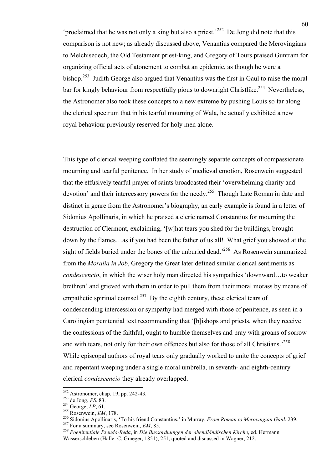'proclaimed that he was not only a king but also a priest.'<sup>252</sup> De Jong did note that this comparison is not new; as already discussed above, Venantius compared the Merovingians to Melchisedech, the Old Testament priest-king, and Gregory of Tours praised Guntram for organizing official acts of atonement to combat an epidemic, as though he were a bishop.<sup>253</sup> Judith George also argued that Venantius was the first in Gaul to raise the moral bar for kingly behaviour from respectfully pious to downright Christlike.<sup>254</sup> Nevertheless, the Astronomer also took these concepts to a new extreme by pushing Louis so far along the clerical spectrum that in his tearful mourning of Wala, he actually exhibited a new royal behaviour previously reserved for holy men alone.

This type of clerical weeping conflated the seemingly separate concepts of compassionate mourning and tearful penitence. In her study of medieval emotion, Rosenwein suggested that the effusively tearful prayer of saints broadcasted their 'overwhelming charity and devotion' and their intercessory powers for the needy.<sup>255</sup> Though Late Roman in date and distinct in genre from the Astronomer's biography, an early example is found in a letter of Sidonius Apollinaris, in which he praised a cleric named Constantius for mourning the destruction of Clermont, exclaiming, '[w]hat tears you shed for the buildings, brought down by the flames…as if you had been the father of us all! What grief you showed at the sight of fields buried under the bones of the unburied dead.<sup>256</sup> As Rosenwein summarized from the *Moralia in Job*, Gregory the Great later defined similar clerical sentiments as *condescencio*, in which the wiser holy man directed his sympathies 'downward…to weaker brethren' and grieved with them in order to pull them from their moral morass by means of empathetic spiritual counsel.<sup>257</sup> By the eighth century, these clerical tears of condescending intercession or sympathy had merged with those of penitence, as seen in a Carolingian penitential text recommending that '[b]ishops and priests, when they receive the confessions of the faithful, ought to humble themselves and pray with groans of sorrow and with tears, not only for their own offences but also for those of all Christians.<sup>258</sup> While episcopal authors of royal tears only gradually worked to unite the concepts of grief and repentant weeping under a single moral umbrella, in seventh- and eighth-century clerical *condescencio* they already overlapped.

<sup>&</sup>lt;sup>252</sup> Astronomer, chap. 19, pp. 242-43.<br>
<sup>253</sup> de Jong, *PS*, 83.<br>
<sup>254</sup> George, *LP*, 61.<br>
<sup>255</sup> Rosenwein, *EM*, 178.<br>
<sup>256</sup> Sidonius Apollinaris, 'To his friend Constantius,' in Murray, *From Roman to Merovingian Gaul* 

Wasserschleben (Halle: C. Graeger, 1851), 251, quoted and discussed in Wagner, 212.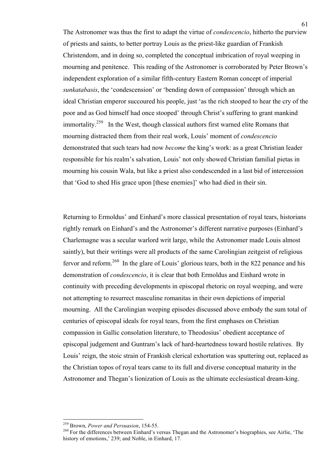The Astronomer was thus the first to adapt the virtue of *condescencio*, hitherto the purview of priests and saints, to better portray Louis as the priest-like guardian of Frankish Christendom, and in doing so, completed the conceptual imbrication of royal weeping in mourning and penitence. This reading of the Astronomer is corroborated by Peter Brown's independent exploration of a similar fifth-century Eastern Roman concept of imperial *sunkatabasis*, the 'condescension' or 'bending down of compassion' through which an ideal Christian emperor succoured his people, just 'as the rich stooped to hear the cry of the poor and as God himself had once stooped' through Christ's suffering to grant mankind immortality.<sup>259</sup> In the West, though classical authors first warned elite Romans that mourning distracted them from their real work, Louis' moment of *condescencio* demonstrated that such tears had now *become* the king's work: as a great Christian leader responsible for his realm's salvation, Louis' not only showed Christian familial pietas in mourning his cousin Wala, but like a priest also condescended in a last bid of intercession that 'God to shed His grace upon [these enemies]' who had died in their sin.

Returning to Ermoldus' and Einhard's more classical presentation of royal tears, historians rightly remark on Einhard's and the Astronomer's different narrative purposes (Einhard's Charlemagne was a secular warlord writ large, while the Astronomer made Louis almost saintly), but their writings were all products of the same Carolingian zeitgeist of religious fervor and reform.<sup>260</sup> In the glare of Louis' glorious tears, both in the 822 penance and his demonstration of *condescencio*, it is clear that both Ermoldus and Einhard wrote in continuity with preceding developments in episcopal rhetoric on royal weeping, and were not attempting to resurrect masculine romanitas in their own depictions of imperial mourning. All the Carolingian weeping episodes discussed above embody the sum total of centuries of episcopal ideals for royal tears, from the first emphases on Christian compassion in Gallic consolation literature, to Theodosius' obedient acceptance of episcopal judgement and Guntram's lack of hard-heartedness toward hostile relatives. By Louis' reign, the stoic strain of Frankish clerical exhortation was sputtering out, replaced as the Christian topos of royal tears came to its full and diverse conceptual maturity in the Astronomer and Thegan's lionization of Louis as the ultimate ecclesiastical dream-king.

<sup>&</sup>lt;sup>259</sup> Brown, *Power and Persuasion*, 154-55.<br><sup>260</sup> For the differences between Einhard's versus Thegan and the Astronomer's biographies, see Airlie, 'The history of emotions,' 239; and Noble, in Einhard, 17.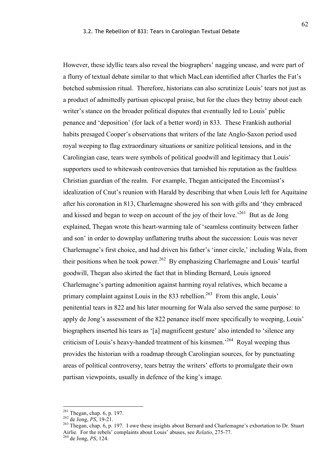However, these idyllic tears also reveal the biographers' nagging unease, and were part of a flurry of textual debate similar to that which MacLean identified after Charles the Fat's botched submission ritual. Therefore, historians can also scrutinize Louis' tears not just as a product of admittedly partisan episcopal praise, but for the clues they betray about each writer's stance on the broader political disputes that eventually led to Louis' public penance and 'deposition' (for lack of a better word) in 833. These Frankish authorial habits presaged Cooper's observations that writers of the late Anglo-Saxon period used royal weeping to flag extraordinary situations or sanitize political tensions, and in the Carolingian case, tears were symbols of political goodwill and legitimacy that Louis' supporters used to whitewash controversies that tarnished his reputation as the faultless Christian guardian of the realm. For example, Thegan anticipated the Encomiast's idealization of Cnut's reunion with Harald by describing that when Louis left for Aquitaine after his coronation in 813, Charlemagne showered his son with gifts and 'they embraced and kissed and began to weep on account of the joy of their love.<sup> $261$ </sup> But as de Jong explained, Thegan wrote this heart-warming tale of 'seamless continuity between father and son' in order to downplay unflattering truths about the succession: Louis was never Charlemagne's first choice, and had driven his father's 'inner circle,' including Wala, from their positions when he took power.<sup>262</sup> By emphasizing Charlemagne and Louis' tearful goodwill, Thegan also skirted the fact that in blinding Bernard, Louis ignored Charlemagne's parting admonition against harming royal relatives, which became a primary complaint against Louis in the 833 rebellion.<sup>263</sup> From this angle, Louis' penitential tears in 822 and his later mourning for Wala also served the same purpose: to apply de Jong's assessment of the 822 penance itself more specifically to weeping, Louis' biographers inserted his tears as '[a] magnificent gesture' also intended to 'silence any criticism of Louis's heavy-handed treatment of his kinsmen.'264 Royal weeping thus provides the historian with a roadmap through Carolingian sources, for by punctuating areas of political controversy, tears betray the writers' efforts to promulgate their own partisan viewpoints, usually in defence of the king's image.

<sup>&</sup>lt;sup>261</sup> Thegan, chap. 6, p. 197.<br><sup>262</sup> de Jong, *PS*, 19-21.<br><sup>263</sup> Thegan, chap. 6, p. 197. I owe these insights about Bernard and Charlemagne's exhortation to Dr. Stuart Airlie. For the rebels' complaints about Louis' abuses, see *Relatio*, 275-77.<br><sup>264</sup> de Jong, *PS*, 124.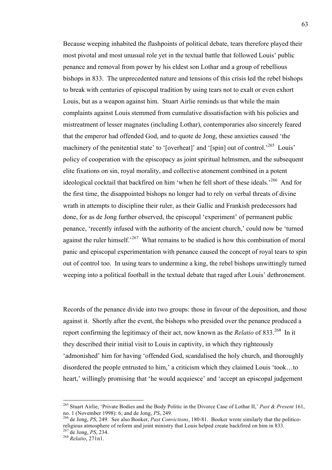Because weeping inhabited the flashpoints of political debate, tears therefore played their most pivotal and most unusual role yet in the textual battle that followed Louis' public penance and removal from power by his eldest son Lothar and a group of rebellious bishops in 833. The unprecedented nature and tensions of this crisis led the rebel bishops to break with centuries of episcopal tradition by using tears not to exalt or even exhort Louis, but as a weapon against him. Stuart Airlie reminds us that while the main complaints against Louis stemmed from cumulative dissatisfaction with his policies and mistreatment of lesser magnates (including Lothar), contemporaries also sincerely feared that the emperor had offended God, and to quote de Jong, these anxieties caused 'the machinery of the penitential state' to '[overheat]' and '[spin] out of control.<sup>265</sup> Louis' policy of cooperation with the episcopacy as joint spiritual helmsmen, and the subsequent elite fixations on sin, royal morality, and collective atonement combined in a potent ideological cocktail that backfired on him 'when he fell short of these ideals.<sup>266</sup> And for the first time, the disappointed bishops no longer had to rely on verbal threats of divine wrath in attempts to discipline their ruler, as their Gallic and Frankish predecessors had done, for as de Jong further observed, the episcopal 'experiment' of permanent public penance, 'recently infused with the authority of the ancient church,' could now be 'turned against the ruler himself.<sup> $267$ </sup> What remains to be studied is how this combination of moral panic and episcopal experimentation with penance caused the concept of royal tears to spin out of control too. In using tears to undermine a king, the rebel bishops unwittingly turned weeping into a political football in the textual debate that raged after Louis' dethronement.

Records of the penance divide into two groups: those in favour of the deposition, and those against it. Shortly after the event, the bishops who presided over the penance produced a report confirming the legitimacy of their act, now known as the *Relatio* of 833.<sup>268</sup> In it they described their initial visit to Louis in captivity, in which they righteously 'admonished' him for having 'offended God, scandalised the holy church, and thoroughly disordered the people entrusted to him,' a criticism which they claimed Louis 'took…to heart,' willingly promising that 'he would acquiesce' and 'accept an episcopal judgement

<sup>&</sup>lt;sup>265</sup> Stuart Airlie, 'Private Bodies and the Body Politic in the Divorce Case of Lothar II,' *Past & Present* 161, no. 1 (November 1998): 6: and de Jong, *PS*, 249.

<sup>&</sup>lt;sup>266</sup> de Jong, *PS*, 249. See also Booker, *Past Convictions*, 180-81. Booker wrote similarly that the politicoreligious atmosphere of reform and joint ministry that Louis helped create backfired on him in 833. 267 de Jong, *PS*, 234. <sup>268</sup> *Relatio*, 271n1.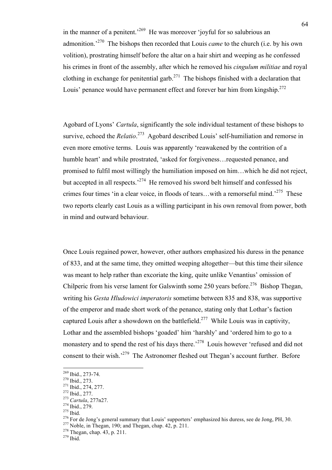in the manner of a penitent.<sup>269</sup> He was moreover 'joyful for so salubrious an admonition.'270 The bishops then recorded that Louis *came* to the church (i.e. by his own volition), prostrating himself before the altar on a hair shirt and weeping as he confessed his crimes in front of the assembly, after which he removed his *cingulum militiae* and royal clothing in exchange for penitential garb.<sup>271</sup> The bishops finished with a declaration that Louis' penance would have permanent effect and forever bar him from kingship.<sup>272</sup>

Agobard of Lyons' *Cartula*, significantly the sole individual testament of these bishops to survive, echoed the *Relatio*.<sup>273</sup> Agobard described Louis' self-humiliation and remorse in even more emotive terms. Louis was apparently 'reawakened by the contrition of a humble heart' and while prostrated, 'asked for forgiveness…requested penance, and promised to fulfil most willingly the humiliation imposed on him…which he did not reject, but accepted in all respects.<sup>274</sup> He removed his sword belt himself and confessed his crimes four times 'in a clear voice, in floods of tears... with a remorseful mind.<sup>275</sup> These two reports clearly cast Louis as a willing participant in his own removal from power, both in mind and outward behaviour.

Once Louis regained power, however, other authors emphasized his duress in the penance of 833, and at the same time, they omitted weeping altogether—but this time their silence was meant to help rather than excoriate the king, quite unlike Venantius' omission of Chilperic from his verse lament for Galswinth some 250 years before.<sup>276</sup> Bishop Thegan, writing his *Gesta Hludowici imperatoris* sometime between 835 and 838, was supportive of the emperor and made short work of the penance, stating only that Lothar's faction captured Louis after a showdown on the battlefield.<sup>277</sup> While Louis was in captivity, Lothar and the assembled bishops 'goaded' him 'harshly' and 'ordered him to go to a monastery and to spend the rest of his days there.<sup>278</sup> Louis however 'refused and did not consent to their wish.<sup>279</sup> The Astronomer fleshed out Thegan's account further. Before

<sup>&</sup>lt;sup>269</sup> Ibid., 273-74.<br><sup>270</sup> Ibid., 273.<br><sup>271</sup> Ibid., 274, 277.<br><sup>273</sup> Cartula, 277n27.<br><sup>273</sup> Cartula, 277n27.<br><sup>274</sup> Ibid., 279.<br><sup>276</sup> For de Jong's general summary that Louis' supporters' emphasized his duress, see de Jong,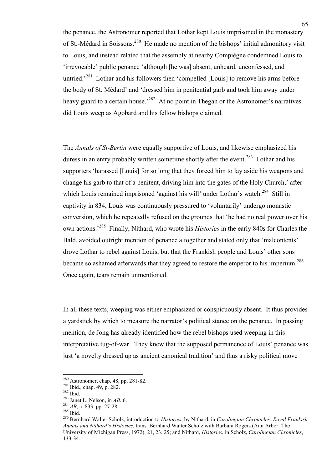the penance, the Astronomer reported that Lothar kept Louis imprisoned in the monastery of St.-Médard in Soissons.<sup>280</sup> He made no mention of the bishops' initial admonitory visit to Louis, and instead related that the assembly at nearby Compiègne condemned Louis to 'irrevocable' public penance 'although [he was] absent, unheard, unconfessed, and untried.<sup>281</sup> Lothar and his followers then 'compelled [Louis] to remove his arms before the body of St. Médard' and 'dressed him in penitential garb and took him away under heavy guard to a certain house.<sup>282</sup> At no point in Thegan or the Astronomer's narratives did Louis weep as Agobard and his fellow bishops claimed.

The *Annals of St-Bertin* were equally supportive of Louis, and likewise emphasized his duress in an entry probably written sometime shortly after the event.<sup>283</sup> Lothar and his supporters 'harassed [Louis] for so long that they forced him to lay aside his weapons and change his garb to that of a penitent, driving him into the gates of the Holy Church,' after which Louis remained imprisoned 'against his will' under Lothar's watch.<sup>284</sup> Still in captivity in 834, Louis was continuously pressured to 'voluntarily' undergo monastic conversion, which he repeatedly refused on the grounds that 'he had no real power over his own actions.' <sup>285</sup> Finally, Nithard, who wrote his *Histories* in the early 840s for Charles the Bald, avoided outright mention of penance altogether and stated only that 'malcontents' drove Lothar to rebel against Louis, but that the Frankish people and Louis' other sons became so ashamed afterwards that they agreed to restore the emperor to his imperium.<sup>286</sup> Once again, tears remain unmentioned.

In all these texts, weeping was either emphasized or conspicuously absent. It thus provides a yardstick by which to measure the narrator's political stance on the penance. In passing mention, de Jong has already identified how the rebel bishops used weeping in this interpretative tug-of-war. They knew that the supposed permanence of Louis' penance was just 'a novelty dressed up as ancient canonical tradition' and thus a risky political move

<sup>&</sup>lt;sup>280</sup> Astronomer, chap. 48, pp. 281-82.<br><sup>281</sup> Ibid., chap. 49, p. 282.<br><sup>282</sup> Ibid.<br><sup>283</sup> Janet L. Nelson, in *AB*, 6.<br><sup>284</sup> *AB*, a. 833, pp. 27-28.<br><sup>285</sup> Ibid.<br><sup>286</sup> Bernhard Walter Scholz, introduction to *Histories*, b *Annals and Nithard's Histories*, trans. Bernhard Walter Scholz with Barbara Rogers (Ann Arbor: The University of Michigan Press, 1972), 21, 23, 25; and Nithard, *Histories*, in Scholz, *Carolingian Chronicles*, 133-34.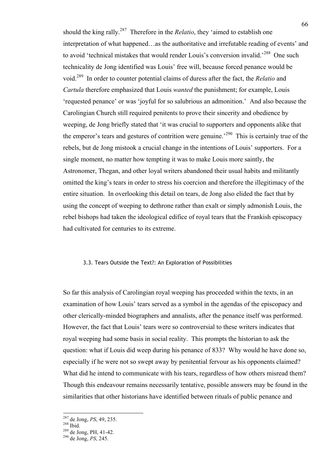should the king rally. 287 Therefore in the *Relatio*, they 'aimed to establish one interpretation of what happened…as the authoritative and irrefutable reading of events' and to avoid 'technical mistakes that would render Louis's conversion invalid.<sup>288</sup> One such technicality de Jong identified was Louis' free will, because forced penance would be void. <sup>289</sup> In order to counter potential claims of duress after the fact, the *Relatio* and *Cartula* therefore emphasized that Louis *wanted* the punishment; for example, Louis 'requested penance' or was 'joyful for so salubrious an admonition.' And also because the Carolingian Church still required penitents to prove their sincerity and obedience by weeping, de Jong briefly stated that 'it was crucial to supporters and opponents alike that the emperor's tears and gestures of contrition were genuine.<sup>290</sup> This is certainly true of the rebels, but de Jong mistook a crucial change in the intentions of Louis' supporters. For a single moment, no matter how tempting it was to make Louis more saintly, the Astronomer, Thegan, and other loyal writers abandoned their usual habits and militantly omitted the king's tears in order to stress his coercion and therefore the illegitimacy of the entire situation. In overlooking this detail on tears, de Jong also elided the fact that by using the concept of weeping to dethrone rather than exalt or simply admonish Louis, the rebel bishops had taken the ideological edifice of royal tears that the Frankish episcopacy had cultivated for centuries to its extreme.

#### 3.3. Tears Outside the Text?: An Exploration of Possibilities

So far this analysis of Carolingian royal weeping has proceeded within the texts, in an examination of how Louis' tears served as a symbol in the agendas of the episcopacy and other clerically-minded biographers and annalists, after the penance itself was performed. However, the fact that Louis' tears were so controversial to these writers indicates that royal weeping had some basis in social reality. This prompts the historian to ask the question: what if Louis did weep during his penance of 833? Why would he have done so, especially if he were not so swept away by penitential fervour as his opponents claimed? What did he intend to communicate with his tears, regardless of how others misread them? Though this endeavour remains necessarily tentative, possible answers may be found in the similarities that other historians have identified between rituals of public penance and

 <sup>287</sup> de Jong, *PS*, 49, 235. 288 Ibid. 289 de Jong, PH, 41-42. 290 de Jong, *PS*, 245.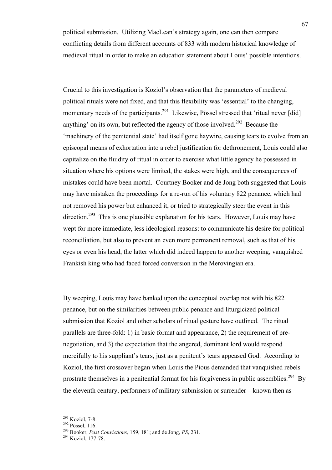political submission. Utilizing MacLean's strategy again, one can then compare conflicting details from different accounts of 833 with modern historical knowledge of medieval ritual in order to make an education statement about Louis' possible intentions.

Crucial to this investigation is Koziol's observation that the parameters of medieval political rituals were not fixed, and that this flexibility was 'essential' to the changing, momentary needs of the participants.<sup>291</sup> Likewise, Pössel stressed that 'ritual never [did] anything' on its own, but reflected the agency of those involved.<sup>292</sup> Because the 'machinery of the penitential state' had itself gone haywire, causing tears to evolve from an episcopal means of exhortation into a rebel justification for dethronement, Louis could also capitalize on the fluidity of ritual in order to exercise what little agency he possessed in situation where his options were limited, the stakes were high, and the consequences of mistakes could have been mortal. Courtney Booker and de Jong both suggested that Louis may have mistaken the proceedings for a re-run of his voluntary 822 penance, which had not removed his power but enhanced it, or tried to strategically steer the event in this direction.<sup>293</sup> This is one plausible explanation for his tears. However, Louis may have wept for more immediate, less ideological reasons: to communicate his desire for political reconciliation, but also to prevent an even more permanent removal, such as that of his eyes or even his head, the latter which did indeed happen to another weeping, vanquished Frankish king who had faced forced conversion in the Merovingian era.

By weeping, Louis may have banked upon the conceptual overlap not with his 822 penance, but on the similarities between public penance and liturgicized political submission that Koziol and other scholars of ritual gesture have outlined. The ritual parallels are three-fold: 1) in basic format and appearance, 2) the requirement of prenegotiation, and 3) the expectation that the angered, dominant lord would respond mercifully to his suppliant's tears, just as a penitent's tears appeased God. According to Koziol, the first crossover began when Louis the Pious demanded that vanquished rebels prostrate themselves in a penitential format for his forgiveness in public assemblies.<sup>294</sup> By the eleventh century, performers of military submission or surrender—known then as

<sup>&</sup>lt;sup>291</sup> Koziol, 7-8.<br><sup>292</sup> Pössel, 116.<br><sup>293</sup> Booker, *Past Convictions*, 159, 181; and de Jong, *PS*, 231.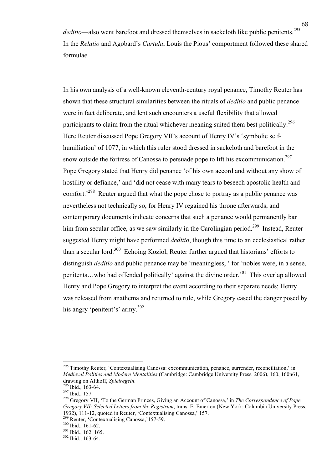*deditio*—also went barefoot and dressed themselves in sackcloth like public penitents. 295 In the *Relatio* and Agobard's *Cartula*, Louis the Pious' comportment followed these shared formulae.

In his own analysis of a well-known eleventh-century royal penance, Timothy Reuter has shown that these structural similarities between the rituals of *deditio* and public penance were in fact deliberate, and lent such encounters a useful flexibility that allowed participants to claim from the ritual whichever meaning suited them best politically.<sup>296</sup> Here Reuter discussed Pope Gregory VII's account of Henry IV's 'symbolic selfhumiliation' of 1077, in which this ruler stood dressed in sackcloth and barefoot in the snow outside the fortress of Canossa to persuade pope to lift his excommunication.<sup>297</sup> Pope Gregory stated that Henry did penance 'of his own accord and without any show of hostility or defiance,' and 'did not cease with many tears to beseech apostolic health and comfort.<sup>298</sup> Reuter argued that what the pope chose to portray as a public penance was nevertheless not technically so, for Henry IV regained his throne afterwards, and contemporary documents indicate concerns that such a penance would permanently bar him from secular office, as we saw similarly in the Carolingian period.<sup>299</sup> Instead, Reuter suggested Henry might have performed *deditio*, though this time to an ecclesiastical rather than a secular lord.<sup>300</sup> Echoing Koziol, Reuter further argued that historians' efforts to distinguish *deditio* and public penance may be 'meaningless, ' for 'nobles were, in a sense, penitents...who had offended politically' against the divine order.<sup>301</sup> This overlap allowed Henry and Pope Gregory to interpret the event according to their separate needs; Henry was released from anathema and returned to rule, while Gregory eased the danger posed by his angry 'penitent's' army.<sup>302</sup>

<sup>299</sup> Reuter, 'Contextualising Canossa,' 157-59.<br><sup>300</sup> Ibid., 161-62.<br><sup>301</sup> Ibid., 162, 165. <sup>302</sup> Ibid., 163-64.

<sup>&</sup>lt;sup>295</sup> Timothy Reuter, 'Contextualising Canossa: excommunication, penance, surrender, reconciliation,' in *Medieval Polities and Modern Mentalities* (Cambridge: Cambridge University Press, 2006), 160, 160n61, drawing on Althoff, *Spielregeln*.<br><sup>296</sup> Ibid., 163-64.<br><sup>297</sup> Ibid., 157.<br><sup>298</sup> Gregory VII, 'To the German Princes, Giving an Account of Canossa,' in *The Correspondence of Pope* 

*Gregory VII: Selected Letters from the Registrum*, trans. E. Emerton (New York: Columbia University Press, 1932). 111-12. quoted in Reuter. 'Contextualising Canossa.' 157.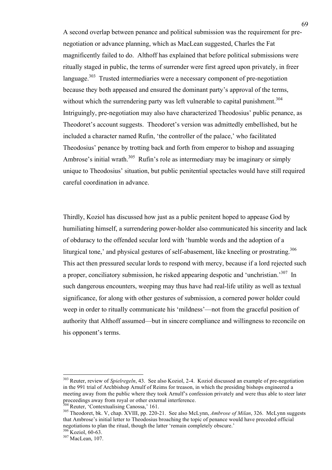A second overlap between penance and political submission was the requirement for prenegotiation or advance planning, which as MacLean suggested, Charles the Fat magnificently failed to do. Althoff has explained that before political submissions were ritually staged in public, the terms of surrender were first agreed upon privately, in freer language.<sup>303</sup> Trusted intermediaries were a necessary component of pre-negotiation because they both appeased and ensured the dominant party's approval of the terms, without which the surrendering party was left vulnerable to capital punishment.<sup>304</sup> Intriguingly, pre-negotiation may also have characterized Theodosius' public penance, as Theodoret's account suggests. Theodoret's version was admittedly embellished, but he included a character named Rufin, 'the controller of the palace,' who facilitated Theodosius' penance by trotting back and forth from emperor to bishop and assuaging Ambrose's initial wrath.<sup>305</sup> Rufin's role as intermediary may be imaginary or simply unique to Theodosius' situation, but public penitential spectacles would have still required careful coordination in advance.

Thirdly, Koziol has discussed how just as a public penitent hoped to appease God by humiliating himself, a surrendering power-holder also communicated his sincerity and lack of obduracy to the offended secular lord with 'humble words and the adoption of a liturgical tone,' and physical gestures of self-abasement, like kneeling or prostrating.<sup>306</sup> This act then pressured secular lords to respond with mercy, because if a lord rejected such a proper, conciliatory submission, he risked appearing despotic and 'unchristian.<sup>307</sup> In such dangerous encounters, weeping may thus have had real-life utility as well as textual significance, for along with other gestures of submission, a cornered power holder could weep in order to ritually communicate his 'mildness'—not from the graceful position of authority that Althoff assumed—but in sincere compliance and willingness to reconcile on his opponent's terms.

 <sup>303</sup> Reuter, review of *Spielregeln*, 43. See also Koziol, 2-4. Koziol discussed an example of pre-negotiation in the 991 trial of Archbishop Arnulf of Reims for treason, in which the presiding bishops engineered a meeting away from the public where they took Arnulf's confession privately and were thus able to steer later proceedings away from royal or other external interference.<br><sup>304</sup> Reuter, 'Contextualising Canossa,' 161.

proceedings away from royal or other external interference. 304 Reuter, 'Contextualising Canossa,' 161. 305 Theodoret, bk. V, chap. XVIII, pp. 220-21. See also McLynn, *Ambrose of Milan*, 326. McLynn suggests that Ambrose's initial letter to Theodosius broaching the topic of penance would have preceded official negotiations to plan the ritual, though the latter 'remain completely obscure.'  $\frac{306}{306}$  Koziol, 60-63.

 $307$  MacLean, 107.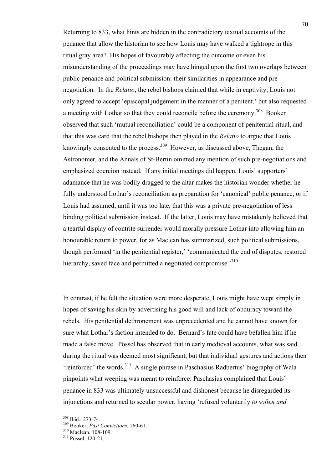Returning to 833, what hints are hidden in the contradictory textual accounts of the penance that allow the historian to see how Louis may have walked a tightrope in this ritual gray area? His hopes of favourably affecting the outcome or even his misunderstanding of the proceedings may have hinged upon the first two overlaps between public penance and political submission: their similarities in appearance and prenegotiation. In the *Relatio*, the rebel bishops claimed that while in captivity, Louis not only agreed to accept 'episcopal judgement in the manner of a penitent,' but also requested a meeting with Lothar so that they could reconcile before the ceremony.<sup>308</sup> Booker observed that such 'mutual reconciliation' could be a component of penitential ritual, and that this was card that the rebel bishops then played in the *Relatio* to argue that Louis knowingly consented to the process.<sup>309</sup> However, as discussed above, Thegan, the Astronomer, and the Annals of St-Bertin omitted any mention of such pre-negotiations and emphasized coercion instead. If any initial meetings did happen, Louis' supporters' adamance that he was bodily dragged to the altar makes the historian wonder whether he fully understood Lothar's reconciliation as preparation for 'canonical' public penance, or if Louis had assumed, until it was too late, that this was a private pre-negotiation of less binding political submission instead. If the latter, Louis may have mistakenly believed that a tearful display of contrite surrender would morally pressure Lothar into allowing him an honourable return to power, for as Maclean has summarized, such political submissions, though performed 'in the penitential register,' 'communicated the end of disputes, restored hierarchy, saved face and permitted a negotiated compromise.<sup>310</sup>

In contrast, if he felt the situation were more desperate, Louis might have wept simply in hopes of saving his skin by advertising his good will and lack of obduracy toward the rebels. His penitential dethronement was unprecedented and he cannot have known for sure what Lothar's faction intended to do. Bernard's fate could have befallen him if he made a false move. Pössel has observed that in early medieval accounts, what was said during the ritual was deemed most significant, but that individual gestures and actions then 'reinforced' the words.<sup>311</sup> A single phrase in Paschasius Radbertus' biography of Wala pinpoints what weeping was meant to reinforce: Paschasius complained that Louis' penance in 833 was ultimately unsuccessful and dishonest because he disregarded its injunctions and returned to secular power, having 'refused voluntarily *to soften and* 

 <sup>308</sup> Ibid., 273-74. 309 Booker, *Past Convictions*, 160-61. 310 Maclean, 108-109. 311 Pössel, 120-21.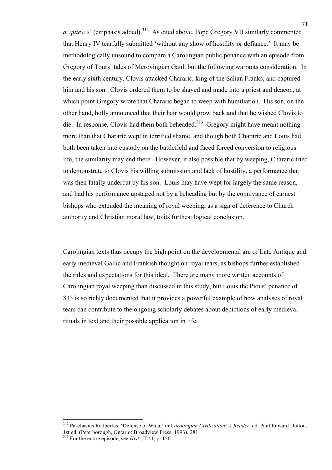*acquiesce*' (emphasis added).<sup>312</sup> As cited above, Pope Gregory VII similarly commented that Henry IV tearfully submitted 'without any show of hostility or defiance.' It may be methodologically unsound to compare a Carolingian public penance with an episode from Gregory of Tours' tales of Merovingian Gaul, but the following warrants consideration. In the early sixth century, Clovis attacked Chararic, king of the Salian Franks, and captured him and his son. Clovis ordered them to be shaved and made into a priest and deacon, at which point Gregory wrote that Chararic began to weep with humiliation. His son, on the other hand, hotly announced that their hair would grow back and that he wished Clovis to die. In response, Clovis had them both beheaded.<sup>313</sup> Gregory might have meant nothing more than that Chararic wept in terrified shame, and though both Chararic and Louis had both been taken into custody on the battlefield and faced forced conversion to religious life, the similarity may end there. However, it also possible that by weeping, Chararic tried to demonstrate to Clovis his willing submission and lack of hostility, a performance that was then fatally undercut by his son. Louis may have wept for largely the same reason, and had his performance upstaged not by a beheading but by the connivance of earnest bishops who extended the meaning of royal weeping, as a sign of deference to Church authority and Christian moral law, to its furthest logical conclusion.

Carolingian texts thus occupy the high point on the developmental arc of Late Antique and early medieval Gallic and Frankish thought on royal tears, as bishops further established the rules and expectations for this ideal. There are many more written accounts of Carolingian royal weeping than discussed in this study, but Louis the Pious' penance of 833 is so richly documented that it provides a powerful example of how analyses of royal tears can contribute to the ongoing scholarly debates about depictions of early medieval rituals in text and their possible application in life.

 <sup>312</sup> Paschasius Radbertus, 'Defense of Wala,' in *Carolingian Civilization: A Reader*, ed. Paul Edward Dutton, 1st ed. (Peterborough, Ontario: Broadview Press, 1993), 281.

<sup>313</sup> For the entire episode, see *Hist.*, II.41, p. 156.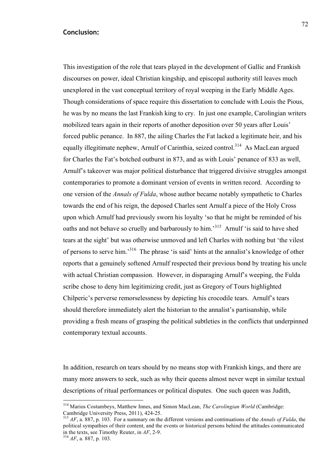## **Conclusion:**

This investigation of the role that tears played in the development of Gallic and Frankish discourses on power, ideal Christian kingship, and episcopal authority still leaves much unexplored in the vast conceptual territory of royal weeping in the Early Middle Ages. Though considerations of space require this dissertation to conclude with Louis the Pious, he was by no means the last Frankish king to cry. In just one example, Carolingian writers mobilized tears again in their reports of another deposition over 50 years after Louis' forced public penance. In 887, the ailing Charles the Fat lacked a legitimate heir, and his equally illegitimate nephew, Arnulf of Carinthia, seized control.<sup>314</sup> As MacLean argued for Charles the Fat's botched outburst in 873, and as with Louis' penance of 833 as well, Arnulf's takeover was major political disturbance that triggered divisive struggles amongst contemporaries to promote a dominant version of events in written record. According to one version of the *Annals of Fulda*, whose author became notably sympathetic to Charles towards the end of his reign, the deposed Charles sent Arnulf a piece of the Holy Cross upon which Arnulf had previously sworn his loyalty 'so that he might be reminded of his oaths and not behave so cruelly and barbarously to him.<sup>315</sup> Arnulf 'is said to have shed tears at the sight' but was otherwise unmoved and left Charles with nothing but 'the vilest of persons to serve him.<sup>316</sup> The phrase 'is said' hints at the annalist's knowledge of other reports that a genuinely softened Arnulf respected their previous bond by treating his uncle with actual Christian compassion. However, in disparaging Arnulf's weeping, the Fulda scribe chose to deny him legitimizing credit, just as Gregory of Tours highlighted Chilperic's perverse remorselessness by depicting his crocodile tears. Arnulf's tears should therefore immediately alert the historian to the annalist's partisanship, while providing a fresh means of grasping the political subtleties in the conflicts that underpinned contemporary textual accounts.

In addition, research on tears should by no means stop with Frankish kings, and there are many more answers to seek, such as why their queens almost never wept in similar textual descriptions of ritual performances or political disputes. One such queen was Judith,

<sup>&</sup>lt;sup>314</sup> Marios Costambeys, Matthew Innes, and Simon MacLean, *The Carolingian World* (Cambridge: Cambridge: Cambridge University Press, 2011), 424-25.

Cambridge University Press, 2011), 424-25. <sup>315</sup> *AF*, a. 887, p. 103. For a summary on the different versions and continuations of the *Annals of Fulda*, the political sympathies of their content, and the events or historical persons behind the attitudes communicated in the texts, see Timothy Reuter, in *AF*, 2-9. <sup>316</sup> *AF*, a. 887, p. 103.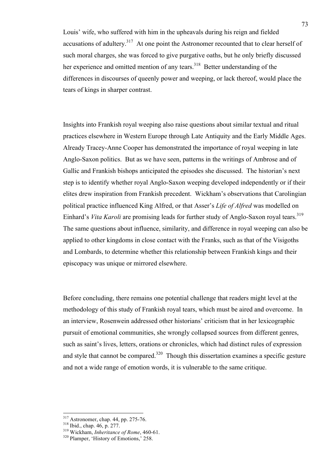Louis' wife, who suffered with him in the upheavals during his reign and fielded accusations of adultery.<sup>317</sup> At one point the Astronomer recounted that to clear herself of such moral charges, she was forced to give purgative oaths, but he only briefly discussed her experience and omitted mention of any tears.<sup>318</sup> Better understanding of the differences in discourses of queenly power and weeping, or lack thereof, would place the tears of kings in sharper contrast.

Insights into Frankish royal weeping also raise questions about similar textual and ritual practices elsewhere in Western Europe through Late Antiquity and the Early Middle Ages. Already Tracey-Anne Cooper has demonstrated the importance of royal weeping in late Anglo-Saxon politics. But as we have seen, patterns in the writings of Ambrose and of Gallic and Frankish bishops anticipated the episodes she discussed. The historian's next step is to identify whether royal Anglo-Saxon weeping developed independently or if their elites drew inspiration from Frankish precedent. Wickham's observations that Carolingian political practice influenced King Alfred, or that Asser's *Life of Alfred* was modelled on Einhard's *Vita Karoli* are promising leads for further study of Anglo-Saxon royal tears. 319 The same questions about influence, similarity, and difference in royal weeping can also be applied to other kingdoms in close contact with the Franks, such as that of the Visigoths and Lombards, to determine whether this relationship between Frankish kings and their episcopacy was unique or mirrored elsewhere.

Before concluding, there remains one potential challenge that readers might level at the methodology of this study of Frankish royal tears, which must be aired and overcome. In an interview, Rosenwein addressed other historians' criticism that in her lexicographic pursuit of emotional communities, she wrongly collapsed sources from different genres, such as saint's lives, letters, orations or chronicles, which had distinct rules of expression and style that cannot be compared.<sup>320</sup> Though this dissertation examines a specific gesture and not a wide range of emotion words, it is vulnerable to the same critique.

 <sup>317</sup> Astronomer, chap. 44, pp. 275-76. 318 Ibid., chap. 46, p. 277. 319 Wickham, *Inheritance of Rome*, 460-61. 320 Plamper, 'History of Emotions,' 258.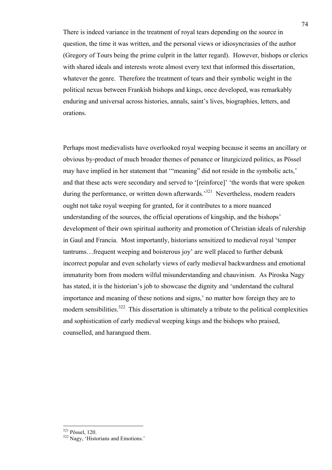There is indeed variance in the treatment of royal tears depending on the source in question, the time it was written, and the personal views or idiosyncrasies of the author (Gregory of Tours being the prime culprit in the latter regard). However, bishops or clerics with shared ideals and interests wrote almost every text that informed this dissertation, whatever the genre. Therefore the treatment of tears and their symbolic weight in the political nexus between Frankish bishops and kings, once developed, was remarkably enduring and universal across histories, annals, saint's lives, biographies, letters, and orations.

Perhaps most medievalists have overlooked royal weeping because it seems an ancillary or obvious by-product of much broader themes of penance or liturgicized politics, as Pössel may have implied in her statement that '"meaning" did not reside in the symbolic acts,' and that these acts were secondary and served to '[reinforce]' 'the words that were spoken during the performance, or written down afterwards.<sup>321</sup> Nevertheless, modern readers ought not take royal weeping for granted, for it contributes to a more nuanced understanding of the sources, the official operations of kingship, and the bishops' development of their own spiritual authority and promotion of Christian ideals of rulership in Gaul and Francia. Most importantly, historians sensitized to medieval royal 'temper tantrums…frequent weeping and boisterous joy' are well placed to further debunk incorrect popular and even scholarly views of early medieval backwardness and emotional immaturity born from modern wilful misunderstanding and chauvinism. As Piroska Nagy has stated, it is the historian's job to showcase the dignity and 'understand the cultural importance and meaning of these notions and signs,' no matter how foreign they are to modern sensibilities.<sup>322</sup> This dissertation is ultimately a tribute to the political complexities and sophistication of early medieval weeping kings and the bishops who praised, counselled, and harangued them.

 $\frac{321}{322}$  Pössel, 120.<br> $\frac{322}{322}$  Nagy, 'Historians and Emotions.'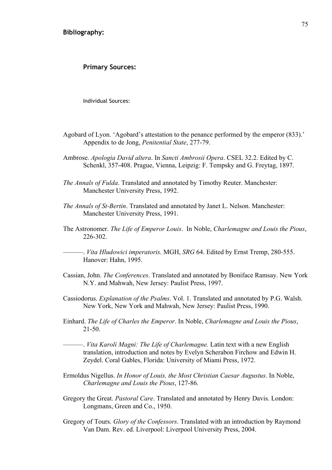**Primary Sources:**

Individual Sources:

- Agobard of Lyon. 'Agobard's attestation to the penance performed by the emperor (833).' Appendix to de Jong, *Penitential State*, 277-79.
- Ambrose. *Apologia David altera*. In *Sancti Ambrosii Opera*. CSEL 32.2. Edited by C. Schenkl, 357-408. Prague, Vienna, Leipzig: F. Tempsky and G. Freytag, 1897.
- *The Annals of Fulda*. Translated and annotated by Timothy Reuter. Manchester: Manchester University Press, 1992.
- *The Annals of St-Bertin*. Translated and annotated by Janet L. Nelson. Manchester: Manchester University Press, 1991.
- The Astronomer. *The Life of Emperor Louis*. In Noble, *Charlemagne and Louis the Pious*, 226-302.

———. *Vita Hludowici imperatoris*. MGH, *SRG* 64. Edited by Ernst Tremp, 280-555. Hanover: Hahn, 1995.

- Cassian, John. *The Conferences*. Translated and annotated by Boniface Ramsay. New York N.Y. and Mahwah, New Jersey: Paulist Press, 1997.
- Cassiodorus. *Explanation of the Psalms*. Vol. 1. Translated and annotated by P.G. Walsh. New York, New York and Mahwah, New Jersey: Paulist Press, 1990.
- Einhard. *The Life of Charles the Emperor*. In Noble, *Charlemagne and Louis the Pious*, 21-50.
- ———. *Vita Karoli Magni: The Life of Charlemagne.* Latin text with a new English translation, introduction and notes by Evelyn Scherabon Firchow and Edwin H. Zeydel. Coral Gables, Florida: University of Miami Press, 1972.
- Ermoldus Nigellus. *In Honor of Louis, the Most Christian Caesar Augustus*. In Noble, *Charlemagne and Louis the Pious*, 127-86.
- Gregory the Great. *Pastoral Care*. Translated and annotated by Henry Davis. London: Longmans, Green and Co., 1950.
- Gregory of Tours. *Glory of the Confessors*. Translated with an introduction by Raymond Van Dam. Rev. ed. Liverpool: Liverpool University Press, 2004.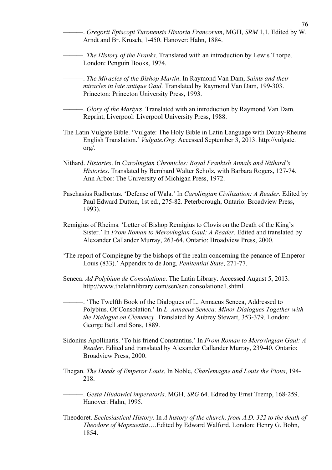- ———. *Gregorii Episcopi Turonensis Historia Francorum*, MGH, *SRM* 1,1. Edited by W. Arndt and Br. Krusch, 1-450. Hanover: Hahn, 1884.
- ———. *The History of the Franks*. Translated with an introduction by Lewis Thorpe. London: Penguin Books, 1974.
- ———. *The Miracles of the Bishop Martin*. In Raymond Van Dam, *Saints and their miracles in late antique Gaul.* Translated by Raymond Van Dam, 199-303. Princeton: Princeton University Press, 1993.

———. *Glory of the Martyrs*. Translated with an introduction by Raymond Van Dam. Reprint, Liverpool: Liverpool University Press, 1988.

- The Latin Vulgate Bible. 'Vulgate: The Holy Bible in Latin Language with Douay-Rheims English Translation.' *Vulgate.Org.* Accessed September 3, 2013. http://vulgate. org/.
- Nithard. *Histories*. In *Carolingian Chronicles: Royal Frankish Annals and Nithard's Histories*. Translated by Bernhard Walter Scholz, with Barbara Rogers, 127-74. Ann Arbor: The University of Michigan Press, 1972.
- Paschasius Radbertus. 'Defense of Wala.' In *Carolingian Civilization: A Reader*. Edited by Paul Edward Dutton, 1st ed., 275-82. Peterborough, Ontario: Broadview Press, 1993).
- Remigius of Rheims. 'Letter of Bishop Remigius to Clovis on the Death of the King's Sister.' In *From Roman to Merovingian Gaul: A Reader*. Edited and translated by Alexander Callander Murray, 263-64. Ontario: Broadview Press, 2000.
- 'The report of Compiègne by the bishops of the realm concerning the penance of Emperor Louis (833).' Appendix to de Jong, *Penitential State*, 271-77.
- Seneca. *Ad Polybium de Consolatione*. The Latin Library. Accessed August 5, 2013. http://www.thelatinlibrary.com/sen/sen.consolatione1.shtml.
	- ———. 'The Twelfth Book of the Dialogues of L. Annaeus Seneca, Addressed to Polybius. Of Consolation.' In *L. Annaeus Seneca: Minor Dialogues Together with the Dialogue on Clemency*. Translated by Aubrey Stewart, 353-379. London: George Bell and Sons, 1889.
- Sidonius Apollinaris. 'To his friend Constantius.' In *From Roman to Merovingian Gaul: A Reader*. Edited and translated by Alexander Callander Murray, 239-40. Ontario: Broadview Press, 2000.
- Thegan. *The Deeds of Emperor Louis*. In Noble, *Charlemagne and Louis the Pious*, 194- 218.

———. *Gesta Hludowici imperatoris*. MGH, *SRG* 64. Edited by Ernst Tremp, 168-259. Hanover: Hahn, 1995.

Theodoret. *Ecclesiastical History.* In *A history of the church, from A.D. 322 to the death of Theodore of Mopsuestia*….Edited by Edward Walford. London: Henry G. Bohn, 1854.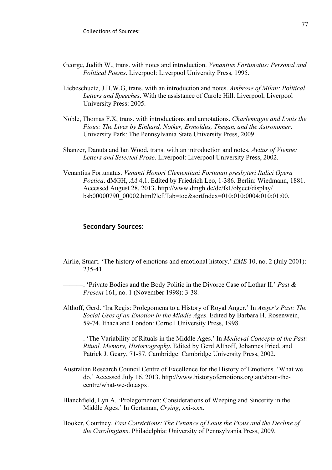- George, Judith W., trans. with notes and introduction. *Venantius Fortunatus: Personal and Political Poems*. Liverpool: Liverpool University Press, 1995.
- Liebeschuetz, J.H.W.G, trans. with an introduction and notes. *Ambrose of Milan: Political Letters and Speeches*. With the assistance of Carole Hill. Liverpool, Liverpool University Press: 2005.
- Noble, Thomas F.X, trans. with introductions and annotations. *Charlemagne and Louis the Pious: The Lives by Einhard, Notker, Ermoldus, Thegan, and the Astronomer*. University Park: The Pennsylvania State University Press, 2009.
- Shanzer, Danuta and Ian Wood, trans. with an introduction and notes. *Avitus of Vienne: Letters and Selected Prose*. Liverpool: Liverpool University Press, 2002.
- Venantius Fortunatus. *Venanti Honori Clementiani Fortunati presbyteri Italici Opera Poetica*. dMGH, *AA* 4,1. Edited by Friedrich Leo, 1-386. Berlin: Wiedmann, 1881. Accessed August 28, 2013. http://www.dmgh.de/de/fs1/object/display/ bsb00000790\_00002.html?leftTab=toc&sortIndex=010:010:0004:010:01:00.

## **Secondary Sources:**

Airlie, Stuart. 'The history of emotions and emotional history.' *EME* 10, no. 2 (July 2001): 235-41.

———. 'Private Bodies and the Body Politic in the Divorce Case of Lothar II.' *Past & Present* 161, no. 1 (November 1998): 3-38.

Althoff, Gerd. 'Ira Regis: Prolegomena to a History of Royal Anger.' In *Anger's Past: The Social Uses of an Emotion in the Middle Ages*. Edited by Barbara H. Rosenwein, 59-74. Ithaca and London: Cornell University Press, 1998.

———. 'The Variability of Rituals in the Middle Ages.' In *Medieval Concepts of the Past: Ritual, Memory, Historiography*. Edited by Gerd Althoff, Johannes Fried, and Patrick J. Geary, 71-87. Cambridge: Cambridge University Press, 2002.

- Australian Research Council Centre of Excellence for the History of Emotions. 'What we do.' Accessed July 16, 2013. http://www.historyofemotions.org.au/about-thecentre/what-we-do.aspx.
- Blanchfield, Lyn A. 'Prolegomenon: Considerations of Weeping and Sincerity in the Middle Ages.' In Gertsman, *Crying*, xxi-xxx.
- Booker, Courtney. *Past Convictions: The Penance of Louis the Pious and the Decline of the Carolingians*. Philadelphia: University of Pennsylvania Press, 2009.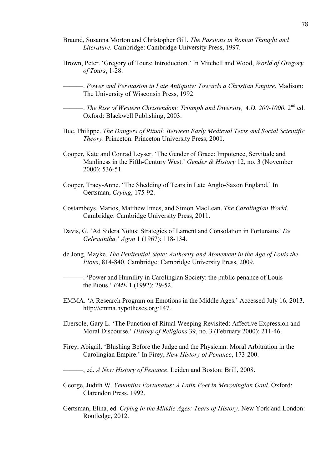- Braund, Susanna Morton and Christopher Gill. *The Passions in Roman Thought and Literature.* Cambridge: Cambridge University Press, 1997.
- Brown, Peter. 'Gregory of Tours: Introduction.' In Mitchell and Wood, *World of Gregory of Tours*, 1-28.
	- ———. *Power and Persuasion in Late Antiquity: Towards a Christian Empire*. Madison: The University of Wisconsin Press, 1992.

———. *The Rise of Western Christendom: Triumph and Diversity, A.D. 200-1000.* 2nd ed. Oxford: Blackwell Publishing, 2003.

- Buc, Philippe. *The Dangers of Ritual: Between Early Medieval Texts and Social Scientific Theory*. Princeton: Princeton University Press, 2001.
- Cooper, Kate and Conrad Leyser. 'The Gender of Grace: Impotence, Servitude and Manliness in the Fifth-Century West.' *Gender & History* 12, no. 3 (November 2000): 536-51.
- Cooper, Tracy-Anne. 'The Shedding of Tears in Late Anglo-Saxon England.' In Gertsman, *Crying*, 175-92.
- Costambeys, Marios, Matthew Innes, and Simon MacLean. *The Carolingian World*. Cambridge: Cambridge University Press, 2011.
- Davis, G. 'Ad Sidera Notus: Strategies of Lament and Consolation in Fortunatus' *De Gelesuintha.*' *Agon* 1 (1967): 118-134.
- de Jong, Mayke. *The Penitential State: Authority and Atonement in the Age of Louis the Pious*, 814-840. Cambridge: Cambridge University Press, 2009.

———. 'Power and Humility in Carolingian Society: the public penance of Louis the Pious.' *EME* 1 (1992): 29-52.

- EMMA. 'A Research Program on Emotions in the Middle Ages.' Accessed July 16, 2013. http://emma.hypotheses.org/147.
- Ebersole, Gary L. 'The Function of Ritual Weeping Revisited: Affective Expression and Moral Discourse.' *History of Religions* 39, no. 3 (February 2000): 211-46.
- Firey, Abigail. 'Blushing Before the Judge and the Physician: Moral Arbitration in the Carolingian Empire.' In Firey, *New History of Penance*, 173-200.

———, ed. *A New History of Penance*. Leiden and Boston: Brill, 2008.

- George, Judith W. *Venantius Fortunatus: A Latin Poet in Merovingian Gaul*. Oxford: Clarendon Press, 1992.
- Gertsman, Elina, ed. *Crying in the Middle Ages: Tears of History*. New York and London: Routledge, 2012.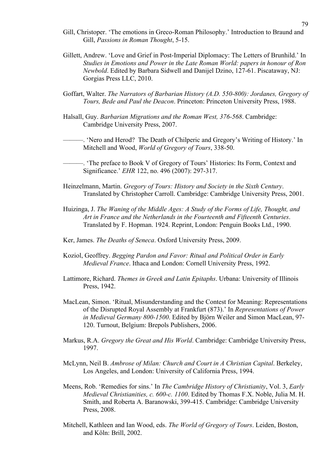- Gill, Christoper. 'The emotions in Greco-Roman Philosophy.' Introduction to Braund and Gill, *Passions in Roman Thought*, 5-15.
- Gillett, Andrew. 'Love and Grief in Post-Imperial Diplomacy: The Letters of Brunhild.' In *Studies in Emotions and Power in the Late Roman World: papers in honour of Ron Newbold*. Edited by Barbara Sidwell and Danijel Dzino, 127-61. Piscataway, NJ: Gorgias Press LLC, 2010.
- Goffart, Walter. *The Narrators of Barbarian History (A.D. 550-800): Jordanes, Gregory of Tours, Bede and Paul the Deacon*. Princeton: Princeton University Press, 1988.
- Halsall, Guy. *Barbarian Migrations and the Roman West, 376-568*. Cambridge: Cambridge University Press, 2007.

———. 'Nero and Herod? The Death of Chilperic and Gregory's Writing of History.' In Mitchell and Wood, *World of Gregory of Tours*, 338-50.

———. 'The preface to Book V of Gregory of Tours' Histories: Its Form, Context and Significance.' *EHR* 122, no. 496 (2007): 297-317.

- Heinzelmann, Martin. *Gregory of Tours: History and Society in the Sixth Century*. Translated by Christopher Carroll. Cambridge: Cambridge University Press, 2001.
- Huizinga, J. *The Waning of the Middle Ages: A Study of the Forms of Life, Thought, and Art in France and the Netherlands in the Fourteenth and Fifteenth Centuries*. Translated by F. Hopman. 1924. Reprint, London: Penguin Books Ltd., 1990.
- Ker, James. *The Deaths of Seneca*. Oxford University Press, 2009.
- Koziol, Geoffrey. *Begging Pardon and Favor: Ritual and Political Order in Early Medieval France*. Ithaca and London: Cornell University Press, 1992.
- Lattimore, Richard. *Themes in Greek and Latin Epitaphs*. Urbana: University of Illinois Press, 1942.
- MacLean, Simon. 'Ritual, Misunderstanding and the Contest for Meaning: Representations of the Disrupted Royal Assembly at Frankfurt (873).' In *Representations of Power in Medieval Germany 800-1500*. Edited by Björn Weiler and Simon MacLean, 97- 120. Turnout, Belgium: Brepols Publishers, 2006.
- Markus, R.A. *Gregory the Great and His World*. Cambridge: Cambridge University Press, 1997.
- McLynn, Neil B. *Ambrose of Milan: Church and Court in A Christian Capital*. Berkeley, Los Angeles, and London: University of California Press, 1994.
- Meens, Rob. 'Remedies for sins.' In *The Cambridge History of Christianity*, Vol. 3, *Early Medieval Christianities, c. 600-c. 1100*. Edited by Thomas F.X. Noble, Julia M. H. Smith, and Roberta A. Baranowski, 399-415. Cambridge: Cambridge University Press, 2008.
- Mitchell, Kathleen and Ian Wood, eds. *The World of Gregory of Tours*. Leiden, Boston, and Köln: Brill, 2002.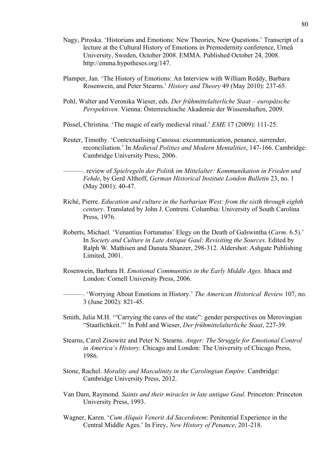- Nagy, Piroska. 'Historians and Emotions: New Theories, New Questions.' Transcript of a lecture at the Cultural History of Emotions in Premodernity conference, Umeå University, Sweden, October 2008. EMMA. Published October 24, 2008. http://emma.hypotheses.org/147.
- Plamper, Jan. 'The History of Emotions: An Interview with William Reddy, Barbara Rosenwein, and Peter Stearns.' *History and Theory* 49 (May 2010): 237-65.
- Pohl, Walter and Veronika Wieser, eds. *Der frühmittelalterliche Staat europäische Perspektiven*. Vienna: Österreichische Akademie der Wissenshaften, 2009.
- Pössel, Christina. 'The magic of early medieval ritual.' *EME* 17 (2009): 111-25.
- Reuter, Timothy. 'Contextualising Canossa: excommunication, penance, surrender, reconciliation.' In *Medieval Polities and Modern Mentalities*, 147-166. Cambridge: Cambridge University Press, 2006.

———. review of *Spielregeln der Politik im Mittelalter: Kommunikation in Frieden und Fehde*, by Gerd Althoff, *German Historical Institute London Bulletin* 23, no. 1 (May 2001): 40-47.

- Riché, Pierre. *Education and culture in the barbarian West: from the sixth through eighth century*. Translated by John J. Contreni. Columbia: University of South Carolina Press, 1976.
- Roberts, Michael. 'Venantius Fortunatus' Elegy on the Death of Galswintha (*Carm*. 6.5).' In *Society and Culture in Late Antique Gaul: Revisiting the Sources*. Edited by Ralph W. Mathisen and Danuta Shanzer, 298-312. Aldershot: Ashgate Publishing Limited, 2001.
- Rosenwein, Barbara H. *Emotional Communities in the Early Middle Ages.* Ithaca and London: Cornell University Press, 2006.
- ———. 'Worrying About Emotions in History.' *The American Historical Review* 107, no. 3 (June 2002): 821-45.
- Smith, Julia M.H. '"Carrying the cares of the state": gender perspectives on Merovingian "Staatlichkeit."' In Pohl and Wieser, *Der frühmittelalterliche Staat*, 227-39.
- Stearns, Carol Zisowitz and Peter N. Stearns. *Anger: The Struggle for Emotional Control in America's History*. Chicago and London: The University of Chicago Press, 1986.
- Stone, Rachel. *Morality and Masculinity in the Carolingian Empire*. Cambridge: Cambridge University Press, 2012.
- Van Dam, Raymond. *Saints and their miracles in late antique Gaul*. Princeton: Princeton University Press, 1993.
- Wagner, Karen. '*Cum Aliquis Venerit Ad Sacerdotem*: Penitential Experience in the Central Middle Ages.' In Firey, *New History of Penance*, 201-218.